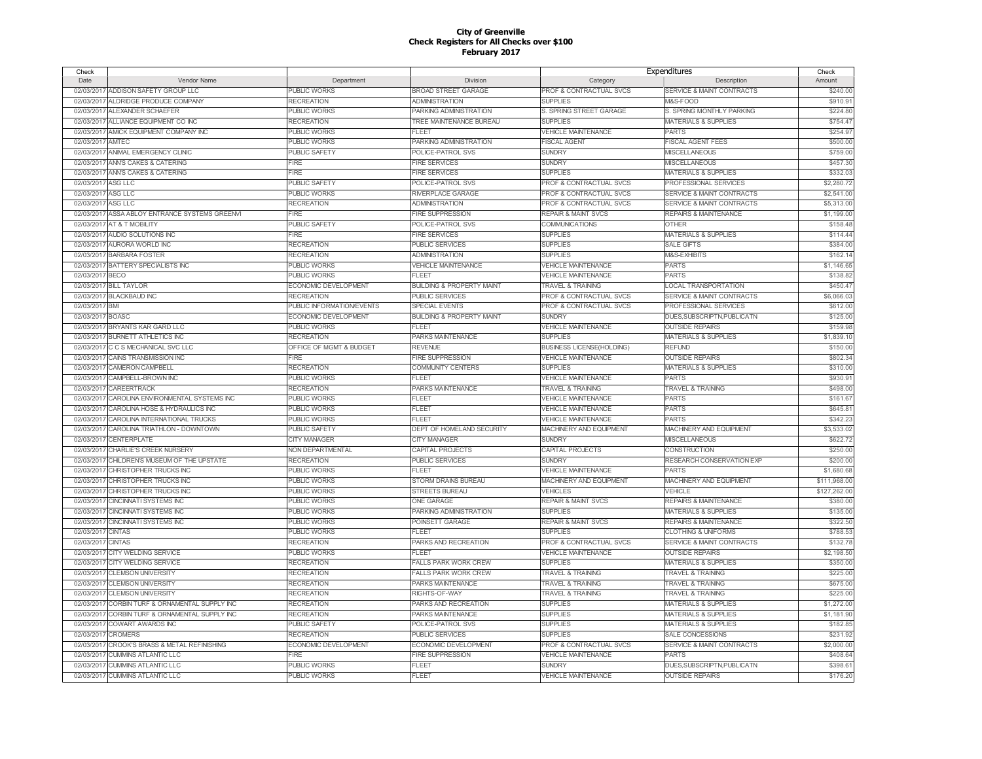| Check              |                                                |                           |                                      | Expenditures                       |                                      | Check        |
|--------------------|------------------------------------------------|---------------------------|--------------------------------------|------------------------------------|--------------------------------------|--------------|
| Date               | Vendor Name                                    | Department                | Division                             | Category                           | Description                          | Amount       |
| 02/03/2017         | ADDISON SAFETY GROUP LLC                       | <b>PUBLIC WORKS</b>       | <b>BROAD STREET GARAGE</b>           | PROF & CONTRACTUAL SVCS            | <b>SERVICE &amp; MAINT CONTRACTS</b> | \$240.00     |
| 02/03/2017         | ALDRIDGE PRODUCE COMPANY                       | <b>RECREATION</b>         | <b>ADMINISTRATION</b>                | <b>SUPPLIES</b>                    | M&S-FOOD                             | \$910.9      |
| 02/03/2017         | ALEXANDER SCHAEFER                             | <b>PUBLIC WORKS</b>       | PARKING ADMINISTRATION               | S. SPRING STREET GARAGE            | S. SPRING MONTHLY PARKING            | \$224.80     |
| 02/03/2017         | ALLIANCE EQUIPMENT CO INC                      | <b>RECREATION</b>         | TREE MAINTENANCE BUREAU              | <b>SUPPLIES</b>                    | <b>MATERIALS &amp; SUPPLIES</b>      | \$754.4      |
|                    | 02/03/2017 AMICK EQUIPMENT COMPANY INC         | <b>PUBLIC WORKS</b>       | FLEET                                | <b>VEHICLE MAINTENANCE</b>         | <b>PARTS</b>                         | \$254.97     |
| 02/03/2017         | AMTEC                                          | <b>PUBLIC WORKS</b>       | PARKING ADMINISTRATION               | <b>FISCAL AGENT</b>                | <b>FISCAL AGENT FEES</b>             | \$500.00     |
|                    | 02/03/2017 ANIMAL EMERGENCY CLINIC             | <b>PUBLIC SAFETY</b>      | POLICE-PATROL SVS                    | <b>SUNDRY</b>                      | <b>MISCELLANEOUS</b>                 | \$759.00     |
|                    | 02/03/2017 ANN'S CAKES & CATERING              | <b>FIRE</b>               | <b>FIRE SERVICES</b>                 | <b>SUNDRY</b>                      | <b>MISCELLANEOUS</b>                 | \$457.30     |
|                    | 02/03/2017 ANN'S CAKES & CATERING              | FIRE                      | <b>FIRE SERVICES</b>                 | <b>SUPPLIES</b>                    | <b>MATERIALS &amp; SUPPLIES</b>      | \$332.0      |
| 02/03/2017         | ASG LLC                                        | PUBLIC SAFETY             | POLICE-PATROL SVS                    | PROF & CONTRACTUAL SVCS            | PROFESSIONAL SERVICES                |              |
|                    |                                                |                           |                                      |                                    |                                      | \$2,280.72   |
| 02/03/2017 ASG LLC |                                                | <b>PUBLIC WORKS</b>       | RIVERPLACE GARAGE                    | <b>PROF &amp; CONTRACTUAL SVCS</b> | SERVICE & MAINT CONTRACTS            | \$2,541.00   |
| 02/03/2017 ASG LLC |                                                | <b>RECREATION</b>         | <b>ADMINISTRATION</b>                | PROF & CONTRACTUAL SVCS            | SERVICE & MAINT CONTRACTS            | \$5,313.00   |
|                    | 02/03/2017 ASSA ABLOY ENTRANCE SYSTEMS GREENVI | <b>FIRE</b>               | <b>FIRE SUPPRESSION</b>              | <b>REPAIR &amp; MAINT SVCS</b>     | <b>REPAIRS &amp; MAINTENANCE</b>     | \$1,199.00   |
|                    | 02/03/2017 AT & T MOBILITY                     | PUBLIC SAFETY             | POLICE-PATROL SVS                    | <b>COMMUNICATIONS</b>              | <b>OTHER</b>                         | \$158.48     |
|                    | 02/03/2017 AUDIO SOLUTIONS INC                 | FIRE                      | <b>FIRE SERVICES</b>                 | <b>SUPPLIES</b>                    | MATERIALS & SUPPLIES                 | \$114.44     |
|                    | 02/03/2017 AURORA WORLD INC                    | <b>RECREATION</b>         | <b>PUBLIC SERVICES</b>               | <b>SUPPLIES</b>                    | <b>SALE GIFTS</b>                    | \$384.00     |
|                    | 02/03/2017 BARBARA FOSTER                      | <b>RECREATION</b>         | <b>ADMINISTRATION</b>                | <b>SUPPLIES</b>                    | M&S-EXHIBITS                         | \$162.1      |
|                    | 02/03/2017 BATTERY SPECIALISTS INC             | <b>PUBLIC WORKS</b>       | <b>VEHICLE MAINTENANCE</b>           | <b>VEHICLE MAINTENANCE</b>         | <b>PARTS</b>                         | \$1,146.65   |
| 02/03/2017 BECO    |                                                | <b>PUBLIC WORKS</b>       | <b>FLEET</b>                         | <b>VEHICLE MAINTENANCE</b>         | <b>PARTS</b>                         | \$138.82     |
|                    | 02/03/2017 BILL TAYLOR                         | ECONOMIC DEVELOPMENT      | <b>BUILDING &amp; PROPERTY MAINT</b> | <b>TRAVEL &amp; TRAINING</b>       | LOCAL TRANSPORTATION                 | \$450.47     |
|                    | 02/03/2017 BLACKBAUD INC                       | <b>RECREATION</b>         | <b>PUBLIC SERVICES</b>               | <b>PROF &amp; CONTRACTUAL SVCS</b> | <b>SERVICE &amp; MAINT CONTRACTS</b> | \$6,066.03   |
| 02/03/2017 BMI     |                                                | PUBLIC INFORMATION/EVENTS | <b>SPECIAL EVENTS</b>                | PROF & CONTRACTUAL SVCS            | PROFESSIONAL SERVICES                | \$612.00     |
| 02/03/2017 BOASC   |                                                | ECONOMIC DEVELOPMENT      | <b>BUILDING &amp; PROPERTY MAINT</b> | <b>SUNDRY</b>                      | DUES, SUBSCRIPTN, PUBLICATN          | \$125.00     |
|                    | 02/03/2017 BRYANTS KAR GARD LLC                | <b>PUBLIC WORKS</b>       | FLEET                                | <b>VEHICLE MAINTENANCE</b>         | <b>OUTSIDE REPAIRS</b>               | \$159.98     |
|                    | 02/03/2017 BURNETT ATHLETICS INC               | <b>RECREATION</b>         | PARKS MAINTENANCE                    | <b>SUPPLIES</b>                    | <b>MATERIALS &amp; SUPPLIES</b>      | \$1,839.1    |
|                    | 02/03/2017 C C S MECHANICAL SVC LLC            | OFFICE OF MGMT & BUDGET   | <b>REVENUE</b>                       | <b>BUSINESS LICENSE(HOLDING)</b>   | <b>REFUND</b>                        | \$150.00     |
|                    | 02/03/2017 CAINS TRANSMISSION INC              | FIRE                      | <b>FIRE SUPPRESSION</b>              | <b>VEHICLE MAINTENANCE</b>         | <b>OUTSIDE REPAIRS</b>               | \$802.34     |
|                    | 02/03/2017 CAMERON CAMPBELL                    | <b>RECREATION</b>         | <b>COMMUNITY CENTERS</b>             | <b>SUPPLIES</b>                    | <b>MATERIALS &amp; SUPPLIES</b>      | \$310.00     |
|                    | 02/03/2017 CAMPBELL-BROWN INC                  | <b>PUBLIC WORKS</b>       | <b>FLEET</b>                         | <b>VEHICLE MAINTENANCE</b>         | <b>PARTS</b>                         | \$930.9      |
| 02/03/2017         | CAREERTRACK                                    | <b>RECREATION</b>         | PARKS MAINTENANCE                    | <b>TRAVEL &amp; TRAINING</b>       | <b>TRAVEL &amp; TRAINING</b>         | \$498.0      |
|                    | 02/03/2017 CAROLINA ENVIRONMENTAL SYSTEMS INC  | <b>PUBLIC WORKS</b>       | FLEET                                | <b>VEHICLE MAINTENANCE</b>         | <b>PARTS</b>                         | \$161.67     |
|                    | 02/03/2017 CAROLINA HOSE & HYDRAULICS INC      | <b>PUBLIC WORKS</b>       | FLEET                                | <b>VEHICLE MAINTENANCE</b>         | <b>PARTS</b>                         | \$645.8      |
|                    | 02/03/2017 CAROLINA INTERNATIONAL TRUCKS       | <b>PUBLIC WORKS</b>       | <b>FLEET</b>                         | <b>VEHICLE MAINTENANCE</b>         | <b>PARTS</b>                         | \$342.2      |
|                    | 02/03/2017 CAROLINA TRIATHLON - DOWNTOWN       | <b>PUBLIC SAFETY</b>      | DEPT OF HOMELAND SECURITY            | MACHINERY AND EQUIPMENT            | MACHINERY AND EQUIPMENT              | \$3,533.02   |
|                    | 02/03/2017 CENTERPLATE                         | <b>CITY MANAGER</b>       | <b>CITY MANAGER</b>                  | <b>SUNDRY</b>                      | <b>MISCELLANEOUS</b>                 | \$622.72     |
|                    | 02/03/2017 CHARLIE'S CREEK NURSERY             | NON DEPARTMENTAL          | CAPITAL PROJECTS                     | CAPITAL PROJECTS                   | <b>CONSTRUCTION</b>                  | \$250.00     |
|                    |                                                |                           |                                      |                                    |                                      |              |
|                    | 02/03/2017 CHILDRENS MUSEUM OF THE UPSTATE     | <b>RECREATION</b>         | <b>PUBLIC SERVICES</b>               | <b>SUNDRY</b>                      | RESEARCH CONSERVATION EXP            | \$200.00     |
| 02/03/2017         | CHRISTOPHER TRUCKS INC                         | <b>PUBLIC WORKS</b>       | <b>FLEET</b>                         | <b>VEHICLE MAINTENANCE</b>         | <b>PARTS</b>                         | \$1,680.68   |
| 02/03/2017         | <b>CHRISTOPHER TRUCKS INC</b>                  | <b>PUBLIC WORKS</b>       | <b>STORM DRAINS BUREAU</b>           | MACHINERY AND EQUIPMENT            | MACHINERY AND EQUIPMENT              | \$111,968.00 |
| 02/03/2017         | CHRISTOPHER TRUCKS INC                         | <b>PUBLIC WORKS</b>       | <b>STREETS BUREAU</b>                | <b>VEHICLES</b>                    | <b>VEHICLE</b>                       | \$127,262.00 |
|                    | 02/03/2017 CINCINNATI SYSTEMS INC              | <b>PUBLIC WORKS</b>       | <b>ONE GARAGE</b>                    | <b>REPAIR &amp; MAINT SVCS</b>     | <b>REPAIRS &amp; MAINTENANCE</b>     | \$380.00     |
| 02/03/2017         | <b>CINCINNATI SYSTEMS INC</b>                  | <b>PUBLIC WORKS</b>       | PARKING ADMINISTRATION               | <b>SUPPLIES</b>                    | <b>MATERIALS &amp; SUPPLIES</b>      | \$135.00     |
| 02/03/2017         | <b>CINCINNATI SYSTEMS INC</b>                  | <b>PUBLIC WORKS</b>       | POINSETT GARAGE                      | <b>REPAIR &amp; MAINT SVCS</b>     | <b>REPAIRS &amp; MAINTENANCE</b>     | \$322.50     |
| 02/03/2017 CINTAS  |                                                | <b>PUBLIC WORKS</b>       | FLEET                                | <b>SUPPLIES</b>                    | <b>CLOTHING &amp; UNIFORMS</b>       | \$788.53     |
| 02/03/2017 CINTAS  |                                                | <b>RECREATION</b>         | PARKS AND RECREATION                 | <b>PROF &amp; CONTRACTUAL SVCS</b> | <b>SERVICE &amp; MAINT CONTRACTS</b> | \$132.7      |
| 02/03/2017         | <b>CITY WELDING SERVICE</b>                    | <b>PUBLIC WORKS</b>       | FLEET                                | <b>VEHICLE MAINTENANCE</b>         | <b>OUTSIDE REPAIRS</b>               | \$2,198.50   |
| 02/03/2017         | <b>CITY WELDING SERVICE</b>                    | <b>RECREATION</b>         | <b>FALLS PARK WORK CREW</b>          | <b>SUPPLIES</b>                    | <b>MATERIALS &amp; SUPPLIES</b>      | \$350.00     |
|                    | 02/03/2017 CLEMSON UNIVERSITY                  | <b>RECREATION</b>         | <b>FALLS PARK WORK CREW</b>          | <b>TRAVEL &amp; TRAINING</b>       | <b>TRAVEL &amp; TRAINING</b>         | \$225.00     |
| 02/03/2017         | <b>CLEMSON UNIVERSITY</b>                      | <b>RECREATION</b>         | PARKS MAINTENANCE                    | <b>TRAVEL &amp; TRAINING</b>       | <b>TRAVEL &amp; TRAINING</b>         | \$675.00     |
| 02/03/2017         | <b>CLEMSON UNIVERSITY</b>                      | <b>RECREATION</b>         | RIGHTS-OF-WAY                        | <b>TRAVEL &amp; TRAINING</b>       | <b>TRAVEL &amp; TRAINING</b>         | \$225.00     |
| 02/03/2017         | CORBIN TURF & ORNAMENTAL SUPPLY INC            | <b>RECREATION</b>         | PARKS AND RECREATION                 | <b>SUPPLIES</b>                    | <b>MATERIALS &amp; SUPPLIES</b>      | \$1,272.00   |
| 02/03/2017         | CORBIN TURF & ORNAMENTAL SUPPLY INC            | <b>RECREATION</b>         | PARKS MAINTENANCE                    | <b>SUPPLIES</b>                    | <b>MATERIALS &amp; SUPPLIES</b>      | \$1,181.90   |
| 02/03/2017         | COWART AWARDS INC                              | <b>PUBLIC SAFETY</b>      | POLICE-PATROL SVS                    | <b>SUPPLIES</b>                    | <b>MATERIALS &amp; SUPPLIES</b>      | \$182.85     |
| 02/03/2017         | <b>CROMERS</b>                                 | <b>RECREATION</b>         | PUBLIC SERVICES                      | <b>SUPPLIES</b>                    | SALE CONCESSIONS                     | \$231.92     |
| 02/03/2017         | CROOK'S BRASS & METAL REFINISHING              | ECONOMIC DEVELOPMENT      | ECONOMIC DEVELOPMENT                 | PROF & CONTRACTUAL SVCS            | SERVICE & MAINT CONTRACTS            | \$2,000.00   |
| 02/03/2017         | <b>CUMMINS ATLANTIC LLC</b>                    | FIRE                      | <b>FIRE SUPPRESSION</b>              | <b>VEHICLE MAINTENANCE</b>         | <b>PARTS</b>                         | \$408.64     |
|                    | 02/03/2017 CUMMINS ATLANTIC LLC                | <b>PUBLIC WORKS</b>       | FLEET                                | <b>SUNDRY</b>                      | DUES, SUBSCRIPTN, PUBLICATN          | \$398.6      |
|                    | 02/03/2017 CUMMINS ATLANTIC LLC                | <b>PUBLIC WORKS</b>       | FLEET                                | <b>VEHICLE MAINTENANCE</b>         | <b>OUTSIDE REPAIRS</b>               | \$176.20     |
|                    |                                                |                           |                                      |                                    |                                      |              |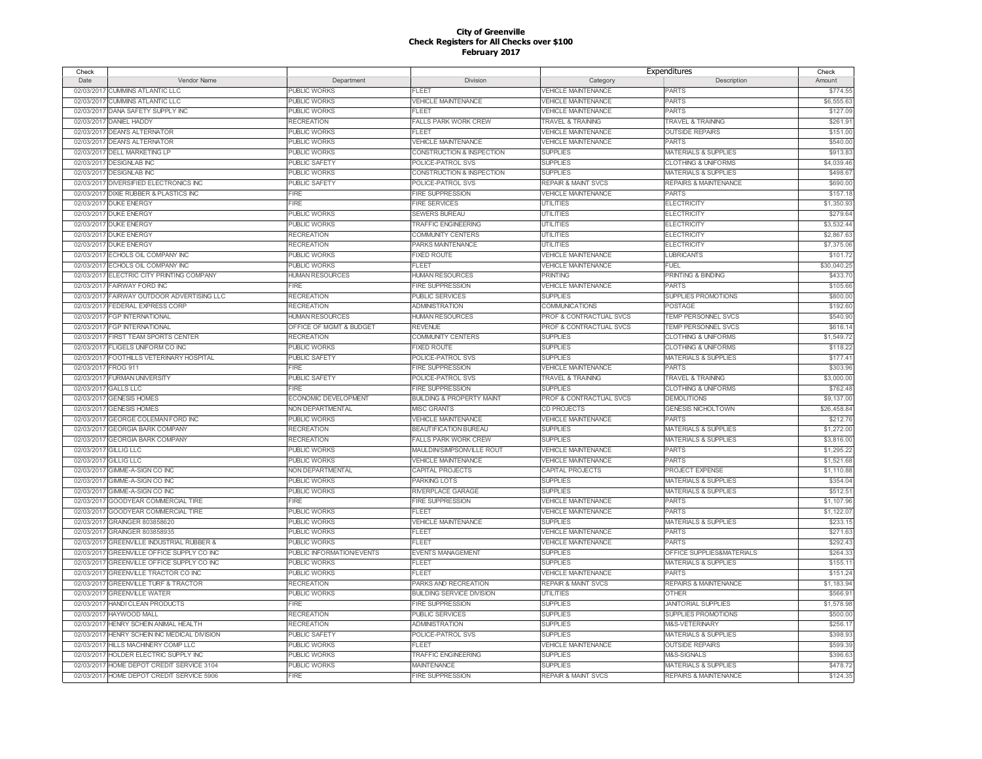| Check      |                                              |                           |                                      | Expenditures                   |                                  | Check       |
|------------|----------------------------------------------|---------------------------|--------------------------------------|--------------------------------|----------------------------------|-------------|
| Date       | Vendor Name                                  | Department                | Division                             | Category                       | Description                      | Amount      |
|            | 02/03/2017 CUMMINS ATLANTIC LLC              | PUBLIC WORKS              | FLEET                                | <b>VEHICLE MAINTENANCE</b>     | <b>PARTS</b>                     | \$774.55    |
| 02/03/2017 | <b>CUMMINS ATLANTIC LLC</b>                  | PUBLIC WORKS              | <b>VEHICLE MAINTENANCE</b>           | <b>VEHICLE MAINTENANCE</b>     | <b>PARTS</b>                     | \$6,555.63  |
|            | 02/03/2017 DANA SAFETY SUPPLY INC            | <b>PUBLIC WORKS</b>       | FLEET                                | <b>VEHICLE MAINTENANCE</b>     | <b>PARTS</b>                     | \$127.09    |
|            | 02/03/2017 DANIEL HADDY                      | <b>RECREATION</b>         | <b>FALLS PARK WORK CREW</b>          | TRAVEL & TRAINING              | <b>TRAVEL &amp; TRAINING</b>     | \$261.9     |
|            | 02/03/2017 DEANS ALTERNATOR                  | PUBLIC WORKS              | <b>FLEET</b>                         | <b>VEHICLE MAINTENANCE</b>     | <b>OUTSIDE REPAIRS</b>           | \$151.00    |
| 02/03/2017 | <b>DEAN'S ALTERNATOR</b>                     | PUBLIC WORKS              | <b>VEHICLE MAINTENANCE</b>           | <b>VEHICLE MAINTENANCE</b>     | <b>PARTS</b>                     | \$540.00    |
|            | 02/03/2017 DELL MARKETING LP                 | <b>PUBLIC WORKS</b>       | CONSTRUCTION & INSPECTION            | <b>SUPPLIES</b>                | <b>MATERIALS &amp; SUPPLIES</b>  | \$913.83    |
|            | 02/03/2017 DESIGNLAB INC                     | <b>PUBLIC SAFETY</b>      | POLICE-PATROL SVS                    | <b>SUPPLIES</b>                | <b>CLOTHING &amp; UNIFORMS</b>   | \$4,039.46  |
|            | 02/03/2017 DESIGNLAB INC                     | <b>PUBLIC WORKS</b>       | CONSTRUCTION & INSPECTION            | <b>SUPPLIES</b>                | <b>MATERIALS &amp; SUPPLIES</b>  | \$498.6     |
| 02/03/2017 | DIVERSIFIED ELECTRONICS INC                  | PUBLIC SAFETY             | POLICE-PATROL SVS                    | <b>REPAIR &amp; MAINT SVCS</b> | <b>REPAIRS &amp; MAINTENANCE</b> | \$690.00    |
|            | 02/03/2017 DIXIE RUBBER & PLASTICS INC       | <b>FIRE</b>               | <b>FIRE SUPPRESSION</b>              | <b>VEHICLE MAINTENANCE</b>     | <b>PARTS</b>                     | \$157.18    |
|            | 02/03/2017 DUKE ENERGY                       | <b>FIRE</b>               | <b>FIRE SERVICES</b>                 | <b>UTILITIES</b>               | <b>ELECTRICITY</b>               | \$1,350.9   |
|            | 02/03/2017 DUKE ENERGY                       | PUBLIC WORKS              | <b>SEWERS BUREAU</b>                 | <b>UTILITIES</b>               | <b>ELECTRICITY</b>               | \$279.64    |
|            | 02/03/2017 DUKE ENERGY                       | <b>PUBLIC WORKS</b>       | <b>TRAFFIC ENGINEERING</b>           | <b>UTILITIES</b>               | <b>ELECTRICITY</b>               | \$3,532.44  |
|            |                                              |                           |                                      |                                |                                  |             |
|            | 02/03/2017 DUKE ENERGY                       | <b>RECREATION</b>         | COMMUNITY CENTERS                    | <b>UTILITIES</b>               | <b>ELECTRICITY</b>               | \$2,867.63  |
|            | 02/03/2017 DUKE ENERGY                       | <b>RECREATION</b>         | PARKS MAINTENANCE                    | <b>UTILITIES</b>               | <b>ELECTRICITY</b>               | \$7,375.06  |
|            | 02/03/2017 ECHOLS OIL COMPANY INC            | <b>PUBLIC WORKS</b>       | FIXED ROUTE                          | <b>VEHICLE MAINTENANCE</b>     | LUBRICANTS                       | \$101.72    |
| 02/03/2017 | <b>ECHOLS OIL COMPANY INC</b>                | <b>PUBLIC WORKS</b>       | FL FFT                               | <b>VEHICLE MAINTENANCE</b>     | FUEL                             | \$30,040.2  |
| 02/03/2017 | ELECTRIC CITY PRINTING COMPANY               | <b>HUMAN RESOURCES</b>    | <b>HUMAN RESOURCES</b>               | <b>PRINTING</b>                | <b>PRINTING &amp; BINDING</b>    | \$433.70    |
| 02/03/2017 | <b>FAIRWAY FORD INC</b>                      | <b>FIRE</b>               | <b>FIRE SUPPRESSION</b>              | <b>VEHICLE MAINTENANCE</b>     | <b>PARTS</b>                     | \$105.66    |
|            | 02/03/2017 FAIRWAY OUTDOOR ADVERTISING LLC   | <b>RECREATION</b>         | <b>PUBLIC SERVICES</b>               | <b>SUPPLIES</b>                | <b>SUPPLIES PROMOTIONS</b>       | \$800.00    |
| 02/03/2017 | <b>FEDERAL EXPRESS CORP</b>                  | <b>RECREATION</b>         | <b>ADMINISTRATION</b>                | <b>COMMUNICATIONS</b>          | <b>POSTAGE</b>                   | \$192.6     |
|            | 02/03/2017 FGP INTERNATIONAL                 | <b>HUMAN RESOURCES</b>    | <b>HUMAN RESOURCES</b>               | PROF & CONTRACTUAL SVCS        | <b>TEMP PERSONNEL SVCS</b>       | \$540.90    |
|            | 02/03/2017 FGP INTERNATIONAL                 | OFFICE OF MGMT & BUDGET   | <b>REVENUE</b>                       | PROF & CONTRACTUAL SVCS        | TEMP PERSONNEL SVCS              | \$616.14    |
|            | 02/03/2017 FIRST TEAM SPORTS CENTER          | <b>RECREATION</b>         | <b>COMMUNITY CENTERS</b>             | <b>SUPPLIES</b>                | <b>CLOTHING &amp; UNIFORMS</b>   | \$1,549.72  |
|            | 02/03/2017 FLIGELS UNIFORM CO INC            | <b>PUBLIC WORKS</b>       | <b>FIXED ROUTE</b>                   | <b>SUPPLIES</b>                | <b>CLOTHING &amp; UNIFORMS</b>   | \$118.22    |
| 02/03/2017 | FOOTHILLS VETERINARY HOSPITAL                | PUBLIC SAFETY             | POLICE-PATROL SVS                    | <b>SUPPLIES</b>                | <b>MATERIALS &amp; SUPPLIES</b>  | \$177.41    |
| 02/03/2017 | <b>FROG 911</b>                              | FIRE                      | <b>FIRE SUPPRESSION</b>              | VEHICLE MAINTENANCE            | <b>PARTS</b>                     | \$303.96    |
| 02/03/2017 | <b>FURMAN UNIVERSITY</b>                     | <b>PUBLIC SAFETY</b>      | POLICE-PATROL SVS                    | <b>TRAVEL &amp; TRAINING</b>   | <b>TRAVEL &amp; TRAINING</b>     | \$3,000.00  |
| 02/03/2017 | <b>GALLS LLC</b>                             | <b>FIRE</b>               | <b>FIRE SUPPRESSION</b>              | <b>SUPPLIES</b>                | <b>CLOTHING &amp; UNIFORMS</b>   | \$762.48    |
|            | 02/03/2017 GENESIS HOMES                     | ECONOMIC DEVELOPMENT      | <b>BUILDING &amp; PROPERTY MAINT</b> | PROF & CONTRACTUAL SVCS        | <b>DEMOLITIONS</b>               | \$9,137.00  |
| 02/03/2017 | <b>GENESIS HOMES</b>                         | NON DEPARTMENTAL          | <b>MISC GRANTS</b>                   | CD PROJECTS                    | <b>GENESIS NICHOLTOWN</b>        | \$26,458.84 |
| 02/03/2017 | <b>GEORGE COLEMAN FORD INC</b>               | <b>PUBLIC WORKS</b>       | <b>VEHICLE MAINTENANCE</b>           | <b>VEHICLE MAINTENANCE</b>     | <b>PARTS</b>                     | \$212.76    |
| 02/03/201  | <b>GEORGIA BARK COMPANY</b>                  | <b>RECREATION</b>         | <b>BEAUTIFICATION BUREAU</b>         | <b>SUPPLIES</b>                | <b>MATERIALS &amp; SUPPLIES</b>  | \$1,272.00  |
| 02/03/2017 | <b>GEORGIA BARK COMPANY</b>                  | <b>RECREATION</b>         | <b>FALLS PARK WORK CREW</b>          | <b>SUPPLIES</b>                | <b>MATERIALS &amp; SUPPLIES</b>  | \$3,816.00  |
| 02/03/2017 | <b>GILLIG LLC</b>                            | <b>PUBLIC WORKS</b>       | <b>MAULDIN/SIMPSONVILLE ROUT</b>     | <b>VEHICLE MAINTENANCE</b>     | <b>PARTS</b>                     | \$1,295.22  |
| 02/03/2017 | <b>GILLIG LLC</b>                            | <b>PUBLIC WORKS</b>       | <b>VEHICLE MAINTENANCE</b>           | <b>VEHICLE MAINTENANCE</b>     | <b>PARTS</b>                     | \$1,521.68  |
| 02/03/2017 | GIMME-A-SIGN CO INC                          | <b>NON DEPARTMENTAL</b>   | CAPITAL PROJECTS                     | CAPITAL PROJECTS               | PROJECT EXPENSE                  | \$1,110.88  |
| 02/03/2017 | GIMME-A-SIGN CO INC                          | <b>PUBLIC WORKS</b>       | PARKING LOTS                         | <b>SUPPLIES</b>                | <b>MATERIALS &amp; SUPPLIES</b>  | \$354.04    |
| 02/03/2017 | GIMME-A-SIGN CO INC                          | <b>PUBLIC WORKS</b>       | RIVERPLACE GARAGE                    | <b>SUPPLIES</b>                | <b>MATERIALS &amp; SUPPLIES</b>  | \$512.5     |
| 02/03/2017 | GOODYEAR COMMERCIAL TIRE                     | FIRE                      | <b>FIRE SUPPRESSION</b>              | <b>VEHICLE MAINTENANCE</b>     | <b>PARTS</b>                     | \$1,107.9   |
| 02/03/2017 | GOODYEAR COMMERCIAL TIRE                     | PUBLIC WORKS              | FLEET                                | <b>VEHICLE MAINTENANCE</b>     | <b>PARTS</b>                     | \$1,122.0   |
| 02/03/201  | GRAINGER 803858620                           | <b>PUBLIC WORKS</b>       | <b>VEHICLE MAINTENANCE</b>           | <b>SUPPLIES</b>                | <b>MATERIALS &amp; SUPPLIES</b>  | \$233.15    |
| 02/03/2017 | GRAINGER 803858935                           | <b>PUBLIC WORKS</b>       | FLEET                                | <b>VEHICLE MAINTENANCE</b>     | <b>PARTS</b>                     | \$271.6     |
| 02/03/2017 | <b>GREENVILLE INDUSTRIAL RUBBER &amp;</b>    | <b>PUBLIC WORKS</b>       | FLEET                                | <b>VEHICLE MAINTENANCE</b>     | <b>PARTS</b>                     | \$292.4     |
| 02/03/2017 | <b>GREENVILLE OFFICE SUPPLY CO INC</b>       | PUBLIC INFORMATION/EVENTS |                                      | <b>SUPPLIES</b>                | OFFICE SUPPLIES&MATERIALS        | \$264.3     |
|            |                                              |                           | <b>EVENTS MANAGEMENT</b>             |                                |                                  |             |
| 02/03/2017 | GREENVILLE OFFICE SUPPLY CO INC              | <b>PUBLIC WORKS</b>       | FLEET                                | <b>SUPPLIES</b>                | <b>MATERIALS &amp; SUPPLIES</b>  | \$155.1     |
| 02/03/2017 | <b>GREENVILLE TRACTOR CO INC</b>             | <b>PUBLIC WORKS</b>       | FLEET                                | <b>VEHICLE MAINTENANCE</b>     | <b>PARTS</b>                     | \$151.24    |
| 02/03/2017 | <b>GREENVILLE TURF &amp; TRACTOR</b>         | <b>RECREATION</b>         | PARKS AND RECREATION                 | <b>REPAIR &amp; MAINT SVCS</b> | REPAIRS & MAINTENANCE            | \$1,183.94  |
|            | 02/03/2017 GREENVILLE WATER                  | PUBLIC WORKS              | <b>BUILDING SERVICE DIVISION</b>     | <b>UTILITIES</b>               | <b>OTHER</b>                     | \$566.9     |
| 02/03/2017 | <b>HANDI CLEAN PRODUCTS</b>                  | <b>FIRE</b>               | <b>FIRE SUPPRESSION</b>              | <b>SUPPLIES</b>                | <b>JANITORIAL SUPPLIES</b>       | \$1,578.98  |
| 02/03/2017 | <b>HAYWOOD MALL</b>                          | <b>RECREATION</b>         | PUBLIC SERVICES                      | <b>SUPPLIES</b>                | SUPPLIES PROMOTIONS              | \$500.00    |
| 02/03/2017 | HENRY SCHEIN ANIMAL HEALTH                   | <b>RECREATION</b>         | <b>ADMINISTRATION</b>                | <b>SUPPLIES</b>                | M&S-VETERINARY                   | \$256.1     |
|            | 02/03/2017 HENRY SCHEIN INC MEDICAL DIVISION | PUBLIC SAFETY             | POLICE-PATROL SVS                    | <b>SUPPLIES</b>                | <b>MATERIALS &amp; SUPPLIES</b>  | \$398.9     |
| 02/03/2017 | HILLS MACHINERY COMP LLC                     | <b>PUBLIC WORKS</b>       | FLEET                                | <b>VEHICLE MAINTENANCE</b>     | <b>OUTSIDE REPAIRS</b>           | \$599.3     |
| 02/03/2017 | HOLDER ELECTRIC SUPPLY INC                   | <b>PUBLIC WORKS</b>       | <b>TRAFFIC ENGINEERING</b>           | <b>SUPPLIES</b>                | M&S-SIGNALS                      | \$396.63    |
|            | 02/03/2017 HOME DEPOT CREDIT SERVICE 3104    | <b>PUBLIC WORKS</b>       | <b>MAINTENANCE</b>                   | <b>SUPPLIES</b>                | <b>MATERIALS &amp; SUPPLIES</b>  | \$478.7     |
|            | 02/03/2017 HOME DEPOT CREDIT SERVICE 5906    | <b>FIRE</b>               | FIRE SUPPRESSION                     | <b>REPAIR &amp; MAINT SVCS</b> | <b>REPAIRS &amp; MAINTENANCE</b> | \$124.35    |
|            |                                              |                           |                                      |                                |                                  |             |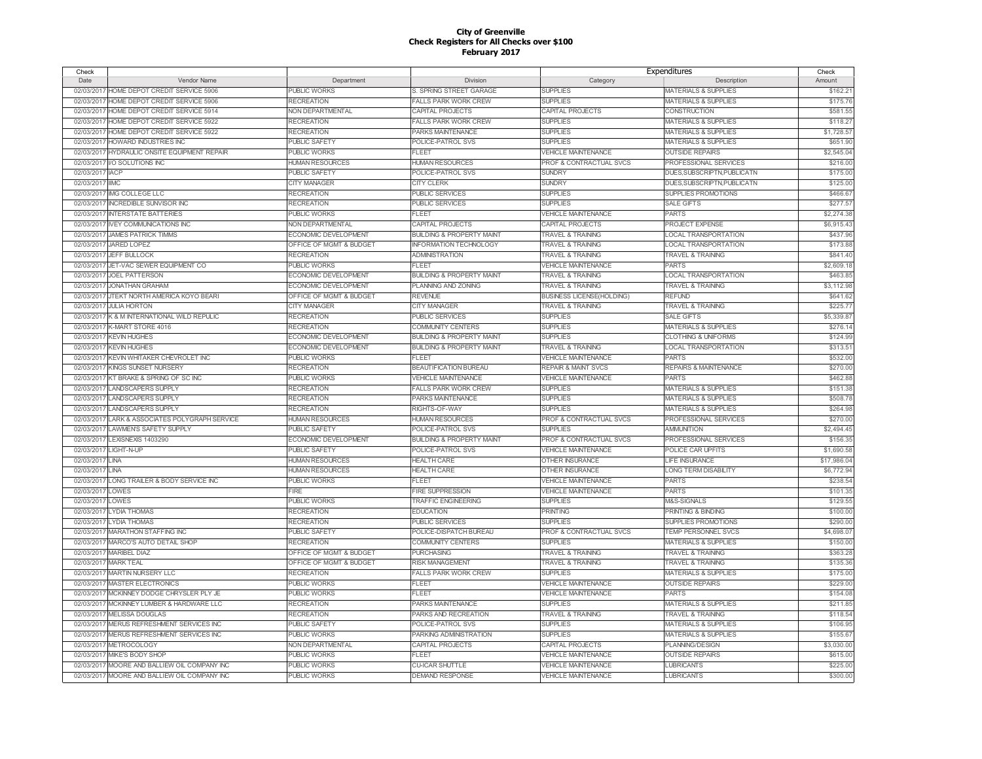| Check                 |                                                |                             |                                      |                                    | Expenditures                     | Check       |
|-----------------------|------------------------------------------------|-----------------------------|--------------------------------------|------------------------------------|----------------------------------|-------------|
| Date                  | Vendor Name                                    | Department                  | Division                             | Category                           | Description                      | Amount      |
|                       | 02/03/2017 HOME DEPOT CREDIT SERVICE 5906      | <b>PUBLIC WORKS</b>         | S. SPRING STREET GARAGE              | <b>SUPPLIES</b>                    | <b>MATERIALS &amp; SUPPLIES</b>  | \$162.21    |
| 02/03/2017            | HOME DEPOT CREDIT SERVICE 5906                 | <b>RECREATION</b>           | <b>FALLS PARK WORK CREW</b>          | <b>SUPPLIES</b>                    | <b>MATERIALS &amp; SUPPLIES</b>  | \$175.76    |
| 02/03/2017            | HOME DEPOT CREDIT SERVICE 5914                 | NON DEPARTMENTAL            | <b>CAPITAL PROJECTS</b>              | CAPITAL PROJECTS                   | <b>CONSTRUCTION</b>              | \$581.55    |
| 02/03/2017            | HOME DEPOT CREDIT SERVICE 5922                 | <b>RECREATION</b>           | <b>FALLS PARK WORK CREW</b>          | <b>SUPPLIES</b>                    | <b>MATERIALS &amp; SUPPLIES</b>  | \$118.2     |
|                       | 02/03/2017 HOME DEPOT CREDIT SERVICE 5922      | <b>RECREATION</b>           | PARKS MAINTENANCE                    | <b>SUPPLIES</b>                    | <b>MATERIALS &amp; SUPPLIES</b>  | \$1,728.5   |
| 02/03/2017            | HOWARD INDUSTRIES INC                          | <b>PUBLIC SAFETY</b>        | POLICE-PATROL SVS                    | <b>SUPPLIES</b>                    | <b>MATERIALS &amp; SUPPLIES</b>  | \$651.90    |
| 02/03/2017            | HYDRAULIC ONSITE EQUIPMENT REPAIR              | <b>PUBLIC WORKS</b>         | FLEET                                | <b>VEHICLE MAINTENANCE</b>         | <b>OUTSIDE REPAIRS</b>           | \$2,545.04  |
| 02/03/2017            | <b>I/O SOLUTIONS INC</b>                       | <b>HUMAN RESOURCES</b>      | <b>HUMAN RESOURCES</b>               | PROF & CONTRACTUAL SVCS            | PROFESSIONAL SERVICES            | \$216.0     |
| 02/03/2017 IACP       |                                                | PUBLIC SAFETY               | POLICE-PATROL SVS                    | <b>SUNDRY</b>                      | DUES, SUBSCRIPTN, PUBLICATN      | \$175.0     |
| 02/03/2017            | <b>IIMC</b>                                    | <b>CITY MANAGER</b>         | <b>CITY CLERK</b>                    | <b>SUNDRY</b>                      | DUES, SUBSCRIPTN, PUBLICATN      | \$125.00    |
| 02/03/2017            | IMG COLLEGE LLC                                | <b>RECREATION</b>           | <b>PUBLIC SERVICES</b>               | <b>SUPPLIES</b>                    | SUPPLIES PROMOTIONS              | \$466.6     |
| 02/03/2017            | <b>INCREDIBLE SUNVISOR INC</b>                 | <b>RECREATION</b>           | <b>PUBLIC SERVICES</b>               | <b>SUPPLIES</b>                    | SALE GIFTS                       | \$277.5     |
|                       | 02/03/2017 INTERSTATE BATTERIES                | <b>PUBLIC WORKS</b>         | FLEET                                | <b>VEHICLE MAINTENANCE</b>         | <b>PARTS</b>                     | \$2,274.38  |
| 02/03/2017            | <b>IVEY COMMUNICATIONS INC</b>                 | NON DEPARTMENTAL            | CAPITAL PROJECTS                     | CAPITAL PROJECTS                   | PROJECT EXPENSE                  | \$6,915.4   |
| 02/03/2017            | <b>JAMES PATRICK TIMMS</b>                     | ECONOMIC DEVELOPMENT        | <b>BUILDING &amp; PROPERTY MAINT</b> | <b>TRAVEL &amp; TRAINING</b>       | LOCAL TRANSPORTATION             | \$437.96    |
|                       | 02/03/2017 JARED LOPEZ                         | OFFICE OF MGMT & BUDGET     | <b>INFORMATION TECHNOLOGY</b>        | <b>TRAVEL &amp; TRAINING</b>       | LOCAL TRANSPORTATION             | \$173.8     |
|                       | 02/03/2017 JEFF BULLOCK                        | <b>RECREATION</b>           | <b>ADMINISTRATION</b>                | <b>TRAVEL &amp; TRAINING</b>       | <b>TRAVEL &amp; TRAINING</b>     | \$841.4     |
| 02/03/2017            | JET-VAC SEWER EQUIPMENT CO                     | <b>PUBLIC WORKS</b>         | FLEET                                | <b>VEHICLE MAINTENANCE</b>         | <b>PARTS</b>                     | \$2,609.1   |
|                       | 02/03/2017 JOEL PATTERSON                      | ECONOMIC DEVELOPMENT        | <b>BUILDING &amp; PROPERTY MAINT</b> | <b>TRAVEL &amp; TRAINING</b>       | <b>LOCAL TRANSPORTATION</b>      | \$463.85    |
| 02/03/2017            | <b>JONATHAN GRAHAM</b>                         | ECONOMIC DEVELOPMENT        | <b>PLANNING AND ZONING</b>           | <b>TRAVEL &amp; TRAINING</b>       | <b>TRAVEL &amp; TRAINING</b>     | \$3,112.98  |
|                       | 02/03/2017 JTEKT NORTH AMERICA KOYO BEARI      | OFFICE OF MGMT & BUDGET     | <b>REVENUE</b>                       | <b>BUSINESS LICENSE(HOLDING)</b>   | <b>REFUND</b>                    | \$641.6     |
| 02/03/2017            | <b>JULIA HORTON</b>                            | <b>CITY MANAGER</b>         | <b>CITY MANAGER</b>                  | <b>TRAVEL &amp; TRAINING</b>       | <b>TRAVEL &amp; TRAINING</b>     | \$225.7     |
| 02/03/2017            | K & M INTERNATIONAL WILD REPULIC               | <b>RECREATION</b>           | <b>PUBLIC SERVICES</b>               | <b>SUPPLIES</b>                    | <b>SALE GIFTS</b>                | \$5,339.8   |
|                       | 02/03/2017 K-MART STORE 4016                   | <b>RECREATION</b>           | <b>COMMUNITY CENTERS</b>             | <b>SUPPLIES</b>                    | <b>MATERIALS &amp; SUPPLIES</b>  | \$276.1     |
|                       | 02/03/2017 KEVIN HUGHES                        | ECONOMIC DEVELOPMENT        | <b>BUILDING &amp; PROPERTY MAINT</b> | <b>SUPPLIES</b>                    | <b>CLOTHING &amp; UNIFORMS</b>   | \$124.99    |
|                       | 02/03/2017 KEVIN HUGHES                        | ECONOMIC DEVELOPMENT        | <b>BUILDING &amp; PROPERTY MAINT</b> | <b>TRAVEL &amp; TRAINING</b>       | <b>LOCAL TRANSPORTATION</b>      | \$313.5     |
|                       | 02/03/2017 KEVIN WHITAKER CHEVROLET INC        | <b>PUBLIC WORKS</b>         | <b>FLEET</b>                         | <b>VEHICLE MAINTENANCE</b>         | <b>PARTS</b>                     | \$532.00    |
|                       | 02/03/2017 KINGS SUNSET NURSERY                | <b>RECREATION</b>           | <b>BEAUTIFICATION BUREAU</b>         | <b>REPAIR &amp; MAINT SVCS</b>     | <b>REPAIRS &amp; MAINTENANCE</b> | \$270.0     |
|                       | 02/03/2017 KT BRAKE & SPRING OF SC INC         | PUBLIC WORKS                | <b>VEHICLE MAINTENANCE</b>           | <b>VEHICLE MAINTENANCE</b>         | <b>PARTS</b>                     | \$462.8     |
| 02/03/2017            | <b>LANDSCAPERS SUPPLY</b>                      | <b>RECREATION</b>           | <b>FALLS PARK WORK CREW</b>          | <b>SUPPLIES</b>                    | <b>MATERIALS &amp; SUPPLIES</b>  | \$151.3     |
|                       | 02/03/2017 LANDSCAPERS SUPPLY                  | <b>RECREATION</b>           | <b>PARKS MAINTENANCE</b>             | <b>SUPPLIES</b>                    | <b>MATERIALS &amp; SUPPLIES</b>  | \$508.78    |
| 02/03/2017            | <b>LANDSCAPERS SUPPLY</b>                      | <b>RECREATION</b>           | RIGHTS-OF-WAY                        | <b>SUPPLIES</b>                    | <b>MATERIALS &amp; SUPPLIES</b>  | \$264.98    |
|                       | 02/03/2017 LARK & ASSOCIATES POLYGRAPH SERVICE | <b>HUMAN RESOURCES</b>      | <b>HUMAN RESOURCES</b>               | PROF & CONTRACTUAL SVCS            | PROFESSIONAL SERVICES            | \$270.00    |
| 02/03/2017            | <b>LAWMEN'S SAFETY SUPPLY</b>                  | <b>PUBLIC SAFETY</b>        | POLICE-PATROL SVS                    | <b>SUPPLIES</b>                    | <b>AMMUNITION</b>                | \$2,494.45  |
| 02/03/2017            | LEXISNEXIS 1403290                             | <b>ECONOMIC DEVELOPMENT</b> | <b>BUILDING &amp; PROPERTY MAINT</b> | <b>PROF &amp; CONTRACTUAL SVCS</b> | PROFESSIONAL SERVICES            | \$156.35    |
| 02/03/2017 LIGHT-N-UP |                                                | <b>PUBLIC SAFETY</b>        | POLICE-PATROL SVS                    | <b>VEHICLE MAINTENANCE</b>         | POLICE CAR UPFITS                | \$1,690.58  |
| 02/03/2017            | LINA                                           | <b>HUMAN RESOURCES</b>      | <b>HEALTH CARE</b>                   | <b>OTHER INSURANCE</b>             | <b>LIFE INSURANCE</b>            | \$17,986.04 |
| 02/03/2017            | LINA                                           | <b>HUMAN RESOURCES</b>      | <b>HEALTH CARE</b>                   | <b>OTHER INSURANCE</b>             | <b>LONG TERM DISABILITY</b>      | \$6,772.9   |
| 02/03/201             | LONG TRAILER & BODY SERVICE INC                | <b>PUBLIC WORKS</b>         | <b>FLEET</b>                         | <b>VEHICLE MAINTENANCE</b>         | <b>PARTS</b>                     | \$238.54    |
| 02/03/2017            | LOWES                                          | <b>FIRE</b>                 | <b>FIRE SUPPRESSION</b>              | <b>VEHICLE MAINTENANCE</b>         | PARTS                            | \$101.35    |
| 02/03/201             | LOWES                                          | <b>PUBLIC WORKS</b>         | <b>TRAFFIC ENGINEERING</b>           | <b>SUPPLIES</b>                    | M&S-SIGNALS                      | \$129.5     |
| 02/03/2017            | <b>LYDIA THOMAS</b>                            | <b>RECREATION</b>           | <b>EDUCATION</b>                     | PRINTING                           | <b>PRINTING &amp; BINDING</b>    | \$100.00    |
| 02/03/2017            | <b>LYDIA THOMAS</b>                            | <b>RECREATION</b>           | PUBLIC SERVICES                      | <b>SUPPLIES</b>                    | <b>SUPPLIES PROMOTIONS</b>       | \$290.00    |
| 02/03/201             | MARATHON STAFFING INC                          | <b>PUBLIC SAFETY</b>        | POLICE-DISPATCH BUREAU               | PROF & CONTRACTUAL SVCS            | TEMP PERSONNEL SVCS              | \$4,698.0   |
| 02/03/2017            | MARCO'S AUTO DETAIL SHOP                       | <b>RECREATION</b>           | <b>COMMUNITY CENTERS</b>             | <b>SUPPLIES</b>                    | <b>MATERIALS &amp; SUPPLIES</b>  | \$150.0     |
| 02/03/2017            | <b>MARIBEL DIAZ</b>                            | OFFICE OF MGMT & BUDGET     | <b>PURCHASING</b>                    | <b>TRAVEL &amp; TRAINING</b>       | <b>TRAVEL &amp; TRAINING</b>     | \$363.2     |
| 02/03/2017            | <b>MARK TEAL</b>                               | OFFICE OF MGMT & BUDGET     | <b>RISK MANAGEMENT</b>               | <b>TRAVEL &amp; TRAINING</b>       | <b>TRAVEL &amp; TRAINING</b>     | \$135.36    |
| 02/03/2017            | <b>MARTIN NURSERY LLC</b>                      | <b>RECREATION</b>           | <b>FALLS PARK WORK CREW</b>          | <b>SUPPLIES</b>                    | <b>MATERIALS &amp; SUPPLIES</b>  | \$175.00    |
| 02/03/2017            | <b>MASTER ELECTRONICS</b>                      | <b>PUBLIC WORKS</b>         | FLEET                                | <b>VEHICLE MAINTENANCE</b>         | <b>OUTSIDE REPAIRS</b>           | \$229.0     |
|                       | 02/03/2017 MCKINNEY DODGE CHRYSLER PLY JE      | PUBLIC WORKS                | <b>FLEET</b>                         | <b>VEHICLE MAINTENANCE</b>         | <b>PARTS</b>                     | \$154.0     |
| 02/03/2017            | MCKINNEY LUMBER & HARDWARE LLC                 | <b>RECREATION</b>           | PARKS MAINTENANCE                    | <b>SUPPLIES</b>                    | <b>MATERIALS &amp; SUPPLIES</b>  | \$211.8     |
|                       | 02/03/2017 MELISSA DOUGLAS                     | <b>RECREATION</b>           | PARKS AND RECREATION                 | <b>TRAVEL &amp; TRAINING</b>       | <b>TRAVEL &amp; TRAINING</b>     | \$118.54    |
| 02/03/2017            | MERUS REFRESHMENT SERVICES INC                 | PUBLIC SAFETY               | POLICE-PATROL SVS                    | <b>SUPPLIES</b>                    | <b>MATERIALS &amp; SUPPLIES</b>  | \$106.9     |
|                       | 02/03/2017 MERUS REFRESHMENT SERVICES INC      | PUBLIC WORKS                | PARKING ADMINISTRATION               | <b>SUPPLIES</b>                    | <b>MATERIALS &amp; SUPPLIES</b>  | \$155.6     |
| 02/03/2017            | <b>METROCOLOGY</b>                             | NON DEPARTMENTAL            | CAPITAL PROJECTS                     | CAPITAL PROJECTS                   | PLANNING/DESIGN                  | \$3,030.0   |
| 02/03/2017            | MIKE'S BODY SHOP                               | PUBLIC WORKS                | FLEET                                | <b>VEHICLE MAINTENANCE</b>         | <b>OUTSIDE REPAIRS</b>           | \$615.00    |
|                       | 02/03/2017 MOORE AND BALLIEW OIL COMPANY INC   | <b>PUBLIC WORKS</b>         | <b>CU-ICAR SHUTTLE</b>               | <b>VEHICLE MAINTENANCE</b>         | <b>LUBRICANTS</b>                | \$225.00    |
|                       | 02/03/2017 MOORE AND BALLIEW OIL COMPANY INC   | <b>PUBLIC WORKS</b>         | <b>DEMAND RESPONSE</b>               | <b>VEHICLE MAINTENANCE</b>         | <b>LUBRICANTS</b>                | \$300.00    |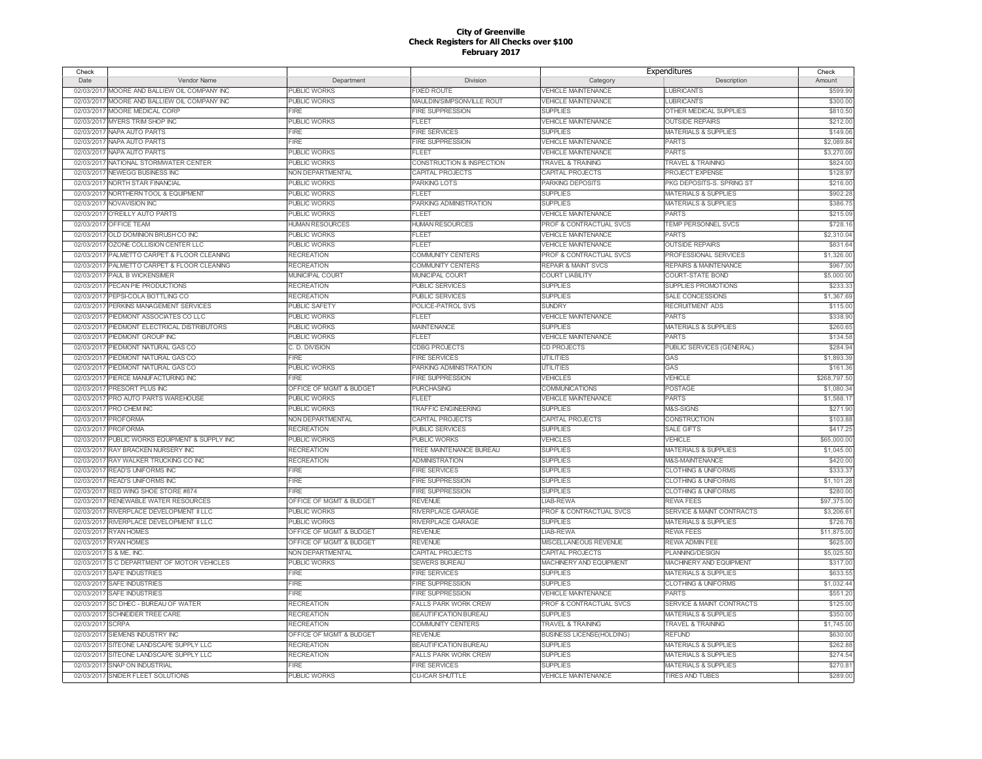| Check            |                                              |                         |                              |                                    | Expenditures                         | Check        |
|------------------|----------------------------------------------|-------------------------|------------------------------|------------------------------------|--------------------------------------|--------------|
| Date             | Vendor Name                                  | Department              | Division                     | Category                           | Description                          | Amount       |
|                  | 02/03/2017 MOORE AND BALLIEW OIL COMPANY INC | <b>PUBLIC WORKS</b>     | <b>IXED ROUTE</b>            | <b>VEHICLE MAINTENANCE</b>         | <b>LUBRICANTS</b>                    | \$599.99     |
| 02/03/2017       | MOORE AND BALLIEW OIL COMPANY INC            | <b>PUBLIC WORKS</b>     | MAULDIN/SIMPSONVILLE ROUT    | <b>VEHICLE MAINTENANCE</b>         | <b>LUBRICANTS</b>                    | \$300.00     |
| 02/03/2017       | MOORE MEDICAL CORP                           | <b>FIRE</b>             | <b>FIRE SUPPRESSION</b>      | <b>SUPPLIES</b>                    | OTHER MEDICAL SUPPLIES               | \$810.50     |
|                  | 02/03/2017 MYERS TRIM SHOP INC               | PUBLIC WORKS            | FLEET                        | <b>VEHICLE MAINTENANCE</b>         | <b>OUTSIDE REPAIRS</b>               | \$212.0      |
|                  | 02/03/2017 NAPA AUTO PARTS                   | <b>FIRE</b>             | <b>FIRE SERVICES</b>         | <b>SUPPLIES</b>                    | <b>MATERIALS &amp; SUPPLIES</b>      | \$149.0      |
| 02/03/2017       | NAPA AUTO PARTS                              | <b>FIRE</b>             | <b>FIRE SUPPRESSION</b>      | <b>VEHICLE MAINTENANCE</b>         | <b>PARTS</b>                         | \$2,089.84   |
| 02/03/2017       | NAPA AUTO PARTS                              | <b>PUBLIC WORKS</b>     | FLEET                        | <b>VEHICLE MAINTENANCE</b>         | <b>PARTS</b>                         | \$3,270.09   |
| 02/03/2017       | NATIONAL STORMWATER CENTER                   | <b>PUBLIC WORKS</b>     | CONSTRUCTION & INSPECTION    | <b>TRAVEL &amp; TRAINING</b>       | <b>TRAVEL &amp; TRAINING</b>         | \$824.0      |
|                  | 02/03/2017 NEWEGG BUSINESS INC               | NON DEPARTMENTAL        | CAPITAL PROJECTS             | CAPITAL PROJECTS                   | PROJECT EXPENSE                      | \$128.9      |
| 02/03/2017       | NORTH STAR FINANCIAL                         | PUBLIC WORKS            | PARKING LOTS                 | PARKING DEPOSITS                   | PKG DEPOSITS-S. SPRING ST            | \$216.00     |
|                  | 02/03/2017 NORTHERN TOOL & EQUIPMENT         | <b>PUBLIC WORKS</b>     | FLEET                        | <b>SUPPLIES</b>                    | <b>MATERIALS &amp; SUPPLIES</b>      | \$902.28     |
|                  | 02/03/2017 NOVAVISION INC                    | <b>PUBLIC WORKS</b>     | PARKING ADMINISTRATION       | <b>SUPPLIES</b>                    | <b>MATERIALS &amp; SUPPLIES</b>      | \$386.7      |
|                  | 02/03/2017 O'REILLY AUTO PARTS               | <b>PUBLIC WORKS</b>     | FLEET                        | <b>VEHICLE MAINTENANCE</b>         | <b>PARTS</b>                         | \$215.09     |
| 02/03/2017       | OFFICE TEAM                                  | <b>HUMAN RESOURCES</b>  | <b>HUMAN RESOURCES</b>       | PROF & CONTRACTUAL SVCS            | TEMP PERSONNEL SVCS                  | \$728.1      |
|                  | 02/03/2017 OLD DOMINION BRUSH CO INC         | <b>PUBLIC WORKS</b>     | FLEET                        | <b>VEHICLE MAINTENANCE</b>         | <b>PARTS</b>                         | \$2,310.0    |
| 02/03/2017       | OZONE COLLISION CENTER LLC                   | <b>PUBLIC WORKS</b>     | <b>FLEET</b>                 | <b>VEHICLE MAINTENANCE</b>         | <b>OUTSIDE REPAIRS</b>               | \$831.64     |
| 02/03/2017       | PALMETTO CARPET & FLOOR CLEANING             | <b>RECREATION</b>       | COMMUNITY CENTERS            | PROF & CONTRACTUAL SVCS            | PROFESSIONAL SERVICES                | \$1,326.0    |
| 02/03/2017       | PALMETTO CARPET & FLOOR CLEANING             | <b>RECREATION</b>       | COMMUNITY CENTERS            | <b>REPAIR &amp; MAINT SVCS</b>     | <b>REPAIRS &amp; MAINTENANCE</b>     | \$967.0      |
| 02/03/2017       | <b>PAUL B WICKENSIMER</b>                    | MUNICIPAL COURT         | <b>MUNICIPAL COURT</b>       | <b>COURT LIABILITY</b>             | <b>COURT-STATE BOND</b>              | \$5,000.00   |
| 02/03/2017       | PECAN PIE PRODUCTIONS                        | <b>RECREATION</b>       | PUBLIC SERVICES              | <b>SUPPLIES</b>                    | SUPPLIES PROMOTIONS                  | \$233.3      |
|                  | 02/03/2017 PEPSI-COLA BOTTLING CO            | <b>RECREATION</b>       | <b>PUBLIC SERVICES</b>       | <b>SUPPLIES</b>                    | SALE CONCESSIONS                     | \$1,367.69   |
| 02/03/201        | PERKINS MANAGEMENT SERVICES                  | <b>PUBLIC SAFETY</b>    | POLICE-PATROL SVS            | <b>SUNDRY</b>                      | <b>RECRUITMENT ADS</b>               | \$115.00     |
| 02/03/2017       | PIEDMONT ASSOCIATES CO LLC                   | <b>PUBLIC WORKS</b>     | FLEET                        | <b>VEHICLE MAINTENANCE</b>         | <b>PARTS</b>                         | \$338.90     |
| 02/03/2017       | PIEDMONT ELECTRICAL DISTRIBUTORS             | <b>PUBLIC WORKS</b>     | <b>MAINTENANCE</b>           | <b>SUPPLIES</b>                    | <b>MATERIALS &amp; SUPPLIES</b>      | \$260.65     |
|                  |                                              |                         |                              |                                    | <b>PARTS</b>                         |              |
|                  | 02/03/2017 PIEDMONT GROUP INC                | <b>PUBLIC WORKS</b>     | FLEET                        | VEHICLE MAINTENANCE                |                                      | \$134.58     |
| 02/03/2017       | PIEDMONT NATURAL GAS CO                      | C. D. DIVISION          | <b>CDBG PROJECTS</b>         | <b>CD PROJECTS</b>                 | PUBLIC SERVICES (GENERAL)            | \$284.94     |
|                  | 02/03/2017 PIEDMONT NATURAL GAS CO           | <b>FIRE</b>             | <b>FIRE SERVICES</b>         | <b>UTILITIES</b>                   | GAS                                  | \$1,893.39   |
| 02/03/2017       | PIEDMONT NATURAL GAS CO                      | PUBLIC WORKS            | PARKING ADMINISTRATION       | <b>UTILITIES</b>                   | GAS                                  | \$161.3      |
|                  | 02/03/2017 PIERCE MANUFACTURING INC          | <b>FIRE</b>             | <b>FIRE SUPPRESSION</b>      | <b>VEHICLES</b>                    | <b>VEHICLE</b>                       | \$268,797.50 |
| 02/03/2017       | PRESORT PLUS INC                             | OFFICE OF MGMT & BUDGET | <b>PURCHASING</b>            | <b>COMMUNICATIONS</b>              | POSTAGE                              | \$1,080.34   |
| 02/03/2017       | PRO AUTO PARTS WAREHOUSE                     | <b>PUBLIC WORKS</b>     | <b>FLEET</b>                 | <b>VEHICLE MAINTENANCE</b>         | <b>PARTS</b>                         | \$1,588.1    |
|                  | 02/03/2017 PRO CHEM INC                      | <b>PUBLIC WORKS</b>     | <b>TRAFFIC ENGINEERING</b>   | <b>SUPPLIES</b>                    | M&S-SIGNS                            | \$271.90     |
|                  | 02/03/2017 PROFORMA                          | NON DEPARTMENTAL        | CAPITAL PROJECTS             | CAPITAL PROJECTS                   | <b>CONSTRUCTION</b>                  | \$103.88     |
| 02/03/2017       | <b>PROFORMA</b>                              | <b>RECREATION</b>       | PUBLIC SERVICES              | <b>SUPPLIES</b>                    | <b>SALE GIFTS</b>                    | \$417.25     |
| 02/03/2017       | PUBLIC WORKS EQUIPMENT & SUPPLY INC          | <b>PUBLIC WORKS</b>     | PUBLIC WORKS                 | VEHICLES                           | <b>VEHICLE</b>                       | \$65,000.00  |
| 02/03/2017       | <b>RAY BRACKEN NURSERY INC</b>               | <b>RECREATION</b>       | TREE MAINTENANCE BUREAU      | <b>SUPPLIES</b>                    | <b>MATERIALS &amp; SUPPLIES</b>      | \$1,045.00   |
| 02/03/2017       | RAY WALKER TRUCKING CO INC                   | <b>RECREATION</b>       | <b>ADMINISTRATION</b>        | <b>SUPPLIES</b>                    | M&S-MAINTENANCE                      | \$420.00     |
| 02/03/2017       | <b>READ'S UNIFORMS INC</b>                   | <b>FIRE</b>             | <b>FIRE SERVICES</b>         | <b>SUPPLIES</b>                    | <b>CLOTHING &amp; UNIFORMS</b>       | \$333.3      |
| 02/03/2017       | <b>READ'S UNIFORMS INC</b>                   | <b>FIRE</b>             | <b>FIRE SUPPRESSION</b>      | <b>SUPPLIES</b>                    | <b>CLOTHING &amp; UNIFORMS</b>       | \$1,101.28   |
| 02/03/2017       | RED WING SHOE STORE #874                     | <b>FIRE</b>             | <b>FIRE SUPPRESSION</b>      | <b>SUPPLIES</b>                    | <b>CLOTHING &amp; UNIFORMS</b>       | \$280.00     |
| 02/03/2017       | <b>RENEWABLE WATER RESOURCES</b>             | OFFICE OF MGMT & BUDGET | <b>REVENUE</b>               | LIAB-REWA                          | <b>REWA FEES</b>                     | \$97,375.0   |
| 02/03/2017       | RIVERPLACE DEVELOPMENT II LLC                | <b>PUBLIC WORKS</b>     | RIVERPLACE GARAGE            | <b>PROF &amp; CONTRACTUAL SVCS</b> | <b>SERVICE &amp; MAINT CONTRACTS</b> | \$3,206.6    |
| 02/03/2017       | RIVERPLACE DEVELOPMENT II LLC                | <b>PUBLIC WORKS</b>     | RIVERPLACE GARAGE            | <b>SUPPLIES</b>                    | <b>MATERIALS &amp; SUPPLIES</b>      | \$726.76     |
| 02/03/2017       | <b>RYAN HOMES</b>                            | OFFICE OF MGMT & BUDGET | <b>REVENUE</b>               | LIAB-REWA                          | <b>REWA FEES</b>                     | \$11,875.00  |
| 02/03/2017       | <b>RYAN HOMES</b>                            | OFFICE OF MGMT & BUDGET | <b>REVENUE</b>               | MISCELLANEOUS REVENUE              | <b>REWA ADMIN FEE</b>                | \$625.0      |
| 02/03/2017       | S & ME. INC.                                 | NON DEPARTMENTAL        | CAPITAL PROJECTS             | CAPITAL PROJECTS                   | <b>PLANNING/DESIGN</b>               | \$5,025.50   |
| 02/03/2017       | S C DEPARTMENT OF MOTOR VEHICLES             | <b>PUBLIC WORKS</b>     | <b>SEWERS BUREAU</b>         | MACHINERY AND EQUIPMENT            | MACHINERY AND EQUIPMENT              | \$317.00     |
| 02/03/2017       | <b>SAFE INDUSTRIES</b>                       | <b>FIRE</b>             | <b>FIRE SERVICES</b>         | <b>SUPPLIES</b>                    | <b>MATERIALS &amp; SUPPLIES</b>      | \$633.5      |
| 02/03/2017       | <b>SAFE INDUSTRIES</b>                       | <b>FIRE</b>             | FIRE SUPPRESSION             | <b>SUPPLIES</b>                    | <b>CLOTHING &amp; UNIFORMS</b>       | \$1,032.4    |
|                  | 02/03/2017 SAFE INDUSTRIES                   | <b>FIRE</b>             | <b>FIRE SUPPRESSION</b>      | <b>VEHICLE MAINTENANCE</b>         | <b>PARTS</b>                         | \$551.20     |
| 02/03/2017       | SC DHEC - BUREAU OF WATER                    | <b>RECREATION</b>       | <b>FALLS PARK WORK CREW</b>  | PROF & CONTRACTUAL SVCS            | SERVICE & MAINT CONTRACTS            | \$125.00     |
| 02/03/2017       | <b>SCHNEIDER TREE CARE</b>                   | <b>RECREATION</b>       | <b>BEAUTIFICATION BUREAU</b> | <b>SUPPLIES</b>                    | <b>MATERIALS &amp; SUPPLIES</b>      | \$350.00     |
| 02/03/2017 SCRPA |                                              | <b>RECREATION</b>       | <b>COMMUNITY CENTERS</b>     | TRAVEL & TRAINING                  | <b>TRAVEL &amp; TRAINING</b>         | \$1,745.0    |
| 02/03/2017       | SIEMENS INDUSTRY INC                         | OFFICE OF MGMT & BUDGET | <b>REVENUE</b>               | <b>BUSINESS LICENSE(HOLDING)</b>   | <b>REFUND</b>                        | \$630.0      |
| 02/03/2017       | SITEONE LANDSCAPE SUPPLY LLC                 | <b>RECREATION</b>       | <b>BEAUTIFICATION BUREAU</b> | <b>SUPPLIES</b>                    | <b>MATERIALS &amp; SUPPLIES</b>      | \$262.8      |
| 02/03/2017       | SITEONE LANDSCAPE SUPPLY LLC                 | <b>RECREATION</b>       | <b>FALLS PARK WORK CREW</b>  | <b>SUPPLIES</b>                    | <b>MATERIALS &amp; SUPPLIES</b>      | \$274.5      |
|                  | 02/03/2017 SNAP ON INDUSTRIAL                | <b>FIRE</b>             | <b>FIRE SERVICES</b>         | <b>SUPPLIES</b>                    | <b>MATERIALS &amp; SUPPLIES</b>      | \$270.8      |
|                  | 02/03/2017 SNIDER FLEET SOLUTIONS            | <b>PUBLIC WORKS</b>     | <b>CU-ICAR SHUTTLE</b>       | <b>VEHICLE MAINTENANCE</b>         | <b>TIRES AND TUBES</b>               | \$289.00     |
|                  |                                              |                         |                              |                                    |                                      |              |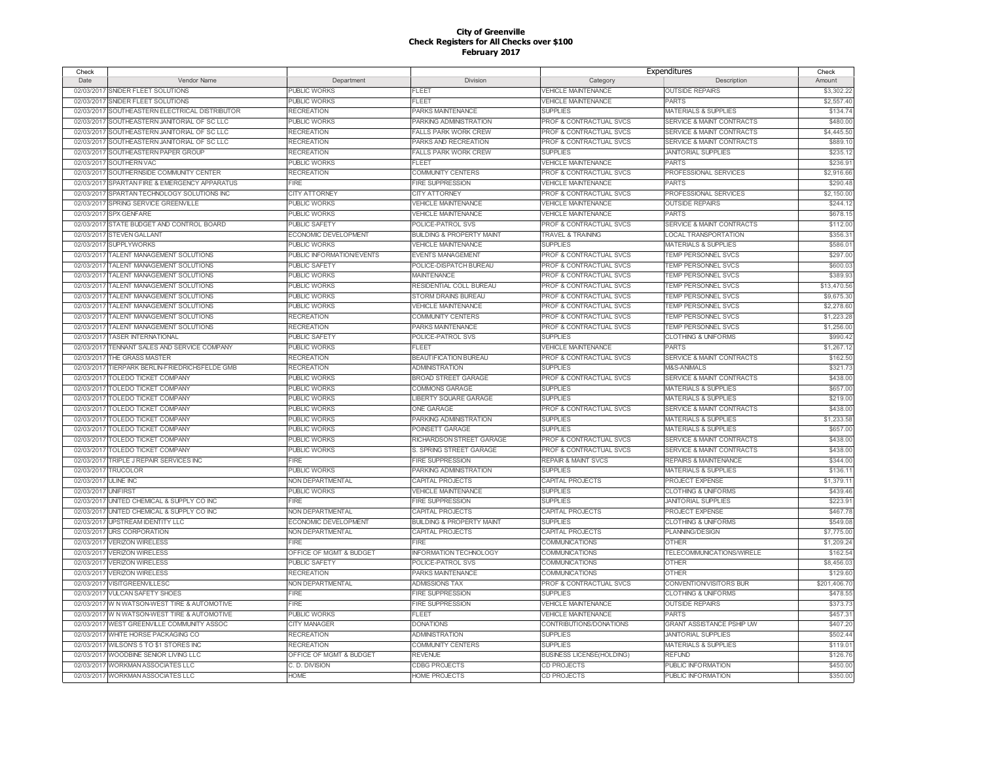| Check      |                                              |                             |                                      | Expenditures                       |                                      | Check        |
|------------|----------------------------------------------|-----------------------------|--------------------------------------|------------------------------------|--------------------------------------|--------------|
| Date       | Vendor Name                                  | Department                  | Division                             | Category                           | Description                          | Amount       |
|            | 02/03/2017 SNIDER FLEET SOLUTIONS            | PUBLIC WORKS                | <b>FLEET</b>                         | <b>VEHICLE MAINTENANCE</b>         | <b>OUTSIDE REPAIRS</b>               | \$3,302.22   |
| 02/03/2011 | SNIDER FLEET SOLUTIONS                       | <b>PUBLIC WORKS</b>         | <b>FLEET</b>                         | <b>VEHICLE MAINTENANCE</b>         | PARTS                                | \$2,557.40   |
| 02/03/2017 | SOUTHEASTERN ELECTRICAL DISTRIBUTOR          | <b>RECREATION</b>           | PARKS MAINTENANCE                    | <b>SUPPLIES</b>                    | <b>MATERIALS &amp; SUPPLIES</b>      | \$134.74     |
| 02/03/2017 | SOUTHEASTERN JANITORIAL OF SC LLC            | PUBLIC WORKS                | PARKING ADMINISTRATION               | PROF & CONTRACTUAL SVCS            | <b>SERVICE &amp; MAINT CONTRACTS</b> | \$480.00     |
| 02/03/2017 | SOUTHEASTERN JANITORIAL OF SC LLC            | <b>RECREATION</b>           | <b>FALLS PARK WORK CREW</b>          | PROF & CONTRACTUAL SVCS            | <b>SERVICE &amp; MAINT CONTRACTS</b> | \$4,445.50   |
| 02/03/201  | SOUTHEASTERN JANITORIAL OF SC LLC            | <b>RECREATION</b>           | PARKS AND RECREATION                 | <b>PROF &amp; CONTRACTUAL SVCS</b> | <b>SERVICE &amp; MAINT CONTRACTS</b> | \$889.10     |
| 02/03/2011 | SOUTHEASTERN PAPER GROUP                     | RECREATION                  | <b>FALLS PARK WORK CREW</b>          | <b>SUPPLIES</b>                    | <b>JANITORIAL SUPPLIES</b>           | \$235.12     |
| 02/03/201  | SOUTHERN VAC                                 | <b>PUBLIC WORKS</b>         | FLEET                                | <b>VEHICLE MAINTENANCE</b>         | <b>PARTS</b>                         | \$236.91     |
| 02/03/2011 | SOUTHERNSIDE COMMUNITY CENTER                | <b>RECREATION</b>           | COMMUNITY CENTERS                    | PROF & CONTRACTUAL SVCS            | PROFESSIONAL SERVICES                | \$2,916.66   |
| 02/03/201  | SPARTAN FIRE & EMERGENCY APPARATUS           | <b>FIRE</b>                 | <b>FIRE SUPPRESSION</b>              | <b>VEHICLE MAINTENANCE</b>         | <b>PARTS</b>                         | \$290.48     |
| 02/03/2017 | SPARTAN TECHNOLOGY SOLUTIONS INC             | <b>CITY ATTORNEY</b>        | <b>CITY ATTORNEY</b>                 | PROF & CONTRACTUAL SVCS            | PROFESSIONAL SERVICES                | \$2,150.00   |
| 02/03/2017 | SPRING SERVICE GREENVILLE                    | <b>PUBLIC WORKS</b>         | <b>VEHICLE MAINTENANCE</b>           | <b>VEHICLE MAINTENANCE</b>         | <b>OUTSIDE REPAIRS</b>               | \$244.12     |
|            |                                              |                             |                                      |                                    |                                      |              |
|            | 02/03/2017 SPX GENFARE                       | PUBLIC WORKS                | <b>/EHICLE MAINTENANCE</b>           | <b>VEHICLE MAINTENANCE</b>         | PARTS                                | \$678.15     |
| 02/03/2017 | STATE BUDGET AND CONTROL BOARD               | <b>PUBLIC SAFETY</b>        | POLICE-PATROL SVS                    | PROF & CONTRACTUAL SVCS            | SERVICE & MAINT CONTRACTS            | \$112.00     |
| 02/03/2017 | <b>STEVEN GALLANT</b>                        | ECONOMIC DEVELOPMENT        | <b>BUILDING &amp; PROPERTY MAINT</b> | <b>TRAVEL &amp; TRAINING</b>       | <b>LOCAL TRANSPORTATION</b>          | \$356.31     |
| 02/03/2017 | <b>SUPPLYWORKS</b>                           | PUBLIC WORKS                | <b>VEHICLE MAINTENANCE</b>           | <b>SUPPLIES</b>                    | <b>MATERIALS &amp; SUPPLIES</b>      | \$586.01     |
|            | 02/03/2017 TALENT MANAGEMENT SOLUTIONS       | PUBLIC INFORMATION/EVENTS   | <b>EVENTS MANAGEMENT</b>             | PROF & CONTRACTUAL SVCS            | TEMP PERSONNEL SVCS                  | \$297.00     |
| 02/03/2017 | TALENT MANAGEMENT SOLUTIONS                  | <b>PUBLIC SAFETY</b>        | POLICE-DISPATCH BUREAU               | PROF & CONTRACTUAL SVCS            | TEMP PERSONNEL SVCS                  | \$600.03     |
| 02/03/2017 | TALENT MANAGEMENT SOLUTIONS                  | PUBLIC WORKS                | <b>MAINTENANCE</b>                   | <b>PROF &amp; CONTRACTUAL SVCS</b> | TEMP PERSONNEL SVCS                  | \$389.93     |
| 02/03/2017 | TALENT MANAGEMENT SOLUTIONS                  | PUBLIC WORKS                | RESIDENTIAL COLL BUREAU              | PROF & CONTRACTUAL SVCS            | TEMP PERSONNEL SVCS                  | \$13,470.56  |
|            | 02/03/2017 TALENT MANAGEMENT SOLUTIONS       | <b>PUBLIC WORKS</b>         | STORM DRAINS BUREAU                  | PROF & CONTRACTUAL SVCS            | <b>TEMP PERSONNEL SVCS</b>           | \$9,675.30   |
| 02/03/2017 | TALENT MANAGEMENT SOLUTIONS                  | PUBLIC WORKS                | <b>VEHICLE MAINTENANCE</b>           | PROF & CONTRACTUAL SVCS            | <b>TEMP PERSONNEL SVCS</b>           | \$2,278.60   |
| 02/03/2017 | TALENT MANAGEMENT SOLUTIONS                  | <b>RECREATION</b>           | COMMUNITY CENTERS                    | PROF & CONTRACTUAL SVCS            | <b>TEMP PERSONNEL SVCS</b>           | \$1,223.28   |
| 02/03/2017 | TALENT MANAGEMENT SOLUTIONS                  | <b>RECREATION</b>           | PARKS MAINTENANCE                    | PROF & CONTRACTUAL SVCS            | TEMP PERSONNEL SVCS                  | \$1,256.00   |
|            | 02/03/2017 TASER INTERNATIONAL               | <b>PUBLIC SAFETY</b>        | POLICE-PATROL SVS                    | <b>SUPPLIES</b>                    | <b>CLOTHING &amp; UNIFORMS</b>       | \$990.42     |
| 02/03/2017 | TENNANT SALES AND SERVICE COMPANY            | PUBLIC WORKS                | <b>FLEET</b>                         | VEHICLE MAINTENANCE                | <b>PARTS</b>                         | \$1,267.12   |
| 02/03/2017 | THE GRASS MASTER                             | <b>RECREATION</b>           | BEAUTIFICATION BUREAU                | PROF & CONTRACTUAL SVCS            | SERVICE & MAINT CONTRACTS            | \$162.50     |
| 02/03/2017 | TIERPARK BERLIN-FRIEDRICHSFELDE GMB          | <b>RECREATION</b>           | <b>ADMINISTRATION</b>                | <b>SUPPLIES</b>                    | M&S-ANIMALS                          | \$321.73     |
|            | 02/03/2017 TOLEDO TICKET COMPANY             | PUBLIC WORKS                | <b>BROAD STREET GARAGE</b>           | PROF & CONTRACTUAL SVCS            | SERVICE & MAINT CONTRACTS            | \$438.00     |
| 02/03/2011 | <b>TOLEDO TICKET COMPANY</b>                 | PUBLIC WORKS                | COMMONS GARAGE                       | <b>SUPPLIES</b>                    | <b>MATERIALS &amp; SUPPLIES</b>      | \$657.00     |
| 02/03/2017 | <b>TOLEDO TICKET COMPANY</b>                 | <b>PUBLIC WORKS</b>         | <b>LIBERTY SQUARE GARAGE</b>         | <b>SUPPLIES</b>                    | <b>MATERIALS &amp; SUPPLIES</b>      | \$219.00     |
| 02/03/2017 | <b>TOLEDO TICKET COMPANY</b>                 | PUBLIC WORKS                | <b>ONE GARAGE</b>                    | PROF & CONTRACTUAL SVCS            | <b>SERVICE &amp; MAINT CONTRACTS</b> | \$438.00     |
|            | 02/03/2017 TOLEDO TICKET COMPANY             | <b>PUBLIC WORKS</b>         | PARKING ADMINISTRATION               | <b>SUPPLIES</b>                    | <b>MATERIALS &amp; SUPPLIES</b>      | \$1,233.58   |
| 02/03/2017 | TOLEDO TICKET COMPANY                        | <b>PUBLIC WORKS</b>         | POINSETT GARAGE                      | <b>SUPPLIES</b>                    | <b>MATERIALS &amp; SUPPLIES</b>      | \$657.00     |
| 02/03/2017 | TOLEDO TICKET COMPANY                        | <b>PUBLIC WORKS</b>         | RICHARDSON STREET GARAGE             | PROF & CONTRACTUAL SVCS            | <b>SERVICE &amp; MAINT CONTRACTS</b> | \$438.00     |
|            |                                              | <b>PUBLIC WORKS</b>         | S. SPRING STREET GARAGE              | <b>PROF &amp; CONTRACTUAL SVCS</b> | <b>SERVICE &amp; MAINT CONTRACTS</b> | \$438.00     |
| 02/03/2017 | TOLEDO TICKET COMPANY                        |                             |                                      |                                    |                                      |              |
|            | 02/03/2017 TRIPLE J REPAIR SERVICES INC      | <b>FIRE</b>                 | <b>FIRE SUPPRESSION</b>              | <b>REPAIR &amp; MAINT SVCS</b>     | <b>REPAIRS &amp; MAINTENANCE</b>     | \$344.00     |
| 02/03/2017 | <b>TRUCOLOR</b>                              | <b>PUBLIC WORKS</b>         | PARKING ADMINISTRATION               | <b>SUPPLIES</b>                    | MATERIALS & SUPPLIES                 | \$136.11     |
| 02/03/2017 | <b>ULINE INC</b>                             | <b>NON DEPARTMENTAL</b>     | CAPITAL PROJECTS                     | CAPITAL PROJECTS                   | PROJECT EXPENSE                      | \$1,379.11   |
| 02/03/2017 | <b>UNIFIRST</b>                              | PUBLIC WORKS                | <b>VEHICLE MAINTENANCE</b>           | <b>SUPPLIES</b>                    | <b>CLOTHING &amp; UNIFORMS</b>       | \$439.46     |
| 02/03/2017 | UNITED CHEMICAL & SUPPLY CO INC              | FIRE                        | <b>FIRE SUPPRESSION</b>              | <b>SUPPLIES</b>                    | <b>JANITORIAL SUPPLIES</b>           | \$223.91     |
| 02/03/2017 | UNITED CHEMICAL & SUPPLY CO INC              | NON DEPARTMENTAL            | CAPITAL PROJECTS                     | CAPITAL PROJECTS                   | PROJECT EXPENSE                      | \$467.78     |
| 02/03/201  | <b>UPSTREAM IDENTITY LLC</b>                 | <b>ECONOMIC DEVELOPMENT</b> | <b>BUILDING &amp; PROPERTY MAINT</b> | <b>SUPPLIES</b>                    | <b>CLOTHING &amp; UNIFORMS</b>       | \$549.08     |
| 02/03/2017 | <b>URS CORPORATION</b>                       | <b>NON DEPARTMENTAL</b>     | <b>CAPITAL PROJECTS</b>              | CAPITAL PROJECTS                   | <b>PLANNING/DESIGN</b>               | \$7,775.00   |
| 02/03/201  | <b>VERIZON WIRELESS</b>                      | FIRE                        | FIRE                                 | COMMUNICATIONS                     | <b>OTHER</b>                         | \$1,209.24   |
| 02/03/201  | <b>VERIZON WIRELESS</b>                      | OFFICE OF MGMT & BUDGET     | <b>INFORMATION TECHNOLOGY</b>        | COMMUNICATIONS                     | TELECOMMUNICATIONS/WIRELE            | \$162.54     |
| 02/03/201  | <b>VERIZON WIRELESS</b>                      | <b>PUBLIC SAFETY</b>        | POLICE-PATROL SVS                    | COMMUNICATIONS                     | <b>OTHER</b>                         | \$8,456.03   |
| 02/03/2017 | <b>VERIZON WIRELESS</b>                      | <b>RECREATION</b>           | PARKS MAINTENANCE                    | COMMUNICATIONS                     | <b>OTHER</b>                         | \$129.60     |
| 02/03/2017 | VISITGREENVILLESC                            | NON DEPARTMENTAL            | <b>ADMISSIONS TAX</b>                | PROF & CONTRACTUAL SVCS            | <b>CONVENTION/VISITORS BUR</b>       | \$201,406.70 |
|            | 02/03/2017 VULCAN SAFETY SHOES               | FIRE                        | <b>FIRE SUPPRESSION</b>              | <b>SUPPLIES</b>                    | <b>CLOTHING &amp; UNIFORMS</b>       | \$478.55     |
| 02/03/2017 | W N WATSON-WEST TIRE & AUTOMOTIVE            | <b>FIRE</b>                 | <b>FIRE SUPPRESSION</b>              | <b>VEHICLE MAINTENANCE</b>         | <b>OUTSIDE REPAIRS</b>               | \$373.73     |
|            | 02/03/2017 W N WATSON-WEST TIRE & AUTOMOTIVE | PUBLIC WORKS                | FLEET                                | <b>VEHICLE MAINTENANCE</b>         | <b>PARTS</b>                         | \$457.31     |
| 02/03/2017 | WEST GREENVILLE COMMUNITY ASSOC              | <b>CITY MANAGER</b>         | <b>DONATIONS</b>                     | CONTRIBUTIONS/DONATIONS            | <b>GRANT ASSISTANCE PSHIP UW</b>     | \$407.20     |
|            | 02/03/2017 WHITE HORSE PACKAGING CO          | <b>RECREATION</b>           | <b>ADMINISTRATION</b>                | <b>SUPPLIES</b>                    | <b>JANITORIAL SUPPLIES</b>           | \$502.44     |
| 02/03/2017 | WILSON'S 5 TO \$1 STORES INC                 | <b>RECREATION</b>           | COMMUNITY CENTERS                    | <b>SUPPLIES</b>                    | <b>MATERIALS &amp; SUPPLIES</b>      | \$119.01     |
|            | 02/03/2017 WOODBINE SENIOR LIVING LLC        | OFFICE OF MGMT & BUDGET     | <b>REVENUE</b>                       | <b>BUSINESS LICENSE(HOLDING)</b>   | <b>REFUND</b>                        | \$126.76     |
|            | 02/03/2017 WORKMAN ASSOCIATES LLC            | C. D. DIVISION              | <b>CDBG PROJECTS</b>                 | CD PROJECTS                        | PUBLIC INFORMATION                   | \$450.00     |
|            |                                              |                             |                                      |                                    | PUBLIC INFORMATION                   |              |
|            | 02/03/2017 WORKMAN ASSOCIATES LLC            | <b>HOME</b>                 | <b>HOME PROJECTS</b>                 | <b>CD PROJECTS</b>                 |                                      | \$350.00     |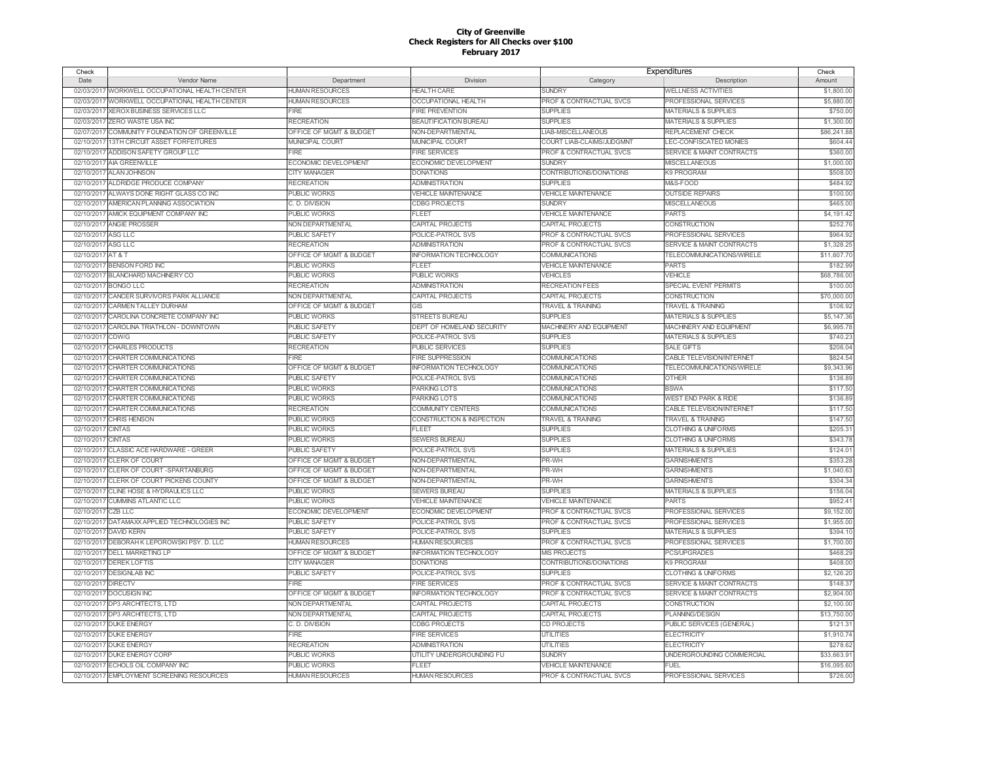| Check              |                                                |                         |                               |                                    | Expenditures                         | Check       |
|--------------------|------------------------------------------------|-------------------------|-------------------------------|------------------------------------|--------------------------------------|-------------|
| Date               | Vendor Name                                    | Department              | Division                      | Category                           | Description                          | Amount      |
|                    | 02/03/2017 WORKWELL OCCUPATIONAL HEALTH CENTER | <b>HUMAN RESOURCES</b>  | <b>HEALTH CARE</b>            | <b>SUNDRY</b>                      | <b>WELLNESS ACTIVITIES</b>           | \$1,800.00  |
| 02/03/2017         | WORKWELL OCCUPATIONAL HEALTH CENTER            | <b>HUMAN RESOURCES</b>  | OCCUPATIONAL HEALTH           | PROF & CONTRACTUAL SVCS            | PROFESSIONAL SERVICES                | \$5,880.00  |
| 02/03/2017         | XEROX BUSINESS SERVICES LLC                    | <b>FIRE</b>             | <b>FIRE PREVENTION</b>        | <b>SUPPLIES</b>                    | <b>MATERIALS &amp; SUPPLIES</b>      | \$750.00    |
| 02/03/2017         | <b>ZERO WASTE USA INC</b>                      | <b>RECREATION</b>       | <b>BEAUTIFICATION BUREAU</b>  | <b>SUPPLIES</b>                    | <b>MATERIALS &amp; SUPPLIES</b>      | \$1,300.00  |
| 02/07/2017         | COMMUNITY FOUNDATION OF GREENVILLE             | OFFICE OF MGMT & BUDGET | <b>NON-DEPARTMENTAL</b>       | <b>LIAB-MISCELLANEOUS</b>          | REPLACEMENT CHECK                    | \$86,241.88 |
| 02/10/2017         | 13TH CIRCUIT ASSET FORFEITURES                 | MUNICIPAL COURT         | MUNICIPAL COURT               | COURT LIAB-CLAIMS/JUDGMNT          | LEC-CONFISCATED MONIES               | \$604.44    |
| 02/10/2017         | ADDISON SAFETY GROUP LLC                       | <b>FIRE</b>             | <b>FIRE SERVICES</b>          | <b>PROF &amp; CONTRACTUAL SVCS</b> | SERVICE & MAINT CONTRACTS            | \$360.00    |
|                    | 02/10/2017 AIA GREENVILLE                      | ECONOMIC DEVELOPMENT    | ECONOMIC DEVELOPMENT          | <b>SUNDRY</b>                      | <b>MISCELLANEOUS</b>                 | \$1,000.00  |
| 02/10/2017         | <b>ALAN JOHNSON</b>                            | <b>CITY MANAGER</b>     | <b>DONATIONS</b>              | CONTRIBUTIONS/DONATIONS            | K9 PROGRAM                           | \$508.0     |
| 02/10/2017         | ALDRIDGE PRODUCE COMPANY                       | <b>RECREATION</b>       | <b>ADMINISTRATION</b>         | <b>SUPPLIES</b>                    | M&S-FOOD                             | \$484.92    |
| 02/10/2017         | ALWAYS DONE RIGHT GLASS CO INC                 | <b>PUBLIC WORKS</b>     | <b>VEHICLE MAINTENANCE</b>    | <b>VEHICLE MAINTENANCE</b>         | <b>OUTSIDE REPAIRS</b>               | \$100.00    |
|                    |                                                |                         |                               |                                    |                                      |             |
| 02/10/2017         | AMERICAN PLANNING ASSOCIATION                  | C. D. DIVISION          | <b>CDBG PROJECTS</b>          | <b>SUNDRY</b>                      | MISCELLANEOUS                        | \$465.00    |
| 02/10/2017         | AMICK EQUIPMENT COMPANY INC                    | <b>PUBLIC WORKS</b>     | FLEET                         | <b>VEHICLE MAINTENANCE</b>         | PARTS                                | \$4,191.42  |
| 02/10/2017         | <b>ANGIE PROSSER</b>                           | NON DEPARTMENTAL        | CAPITAL PROJECTS              | CAPITAL PROJECTS                   | CONSTRUCTION                         | \$252.76    |
| 02/10/2017         | ASG LLC                                        | <b>PUBLIC SAFETY</b>    | POLICE-PATROL SVS             | <b>PROF &amp; CONTRACTUAL SVCS</b> | PROFESSIONAL SERVICES                | \$964.92    |
| 02/10/2017         | <b>ASG LLC</b>                                 | <b>RECREATION</b>       | <b>ADMINISTRATION</b>         | <b>PROF &amp; CONTRACTUAL SVCS</b> | <b>SERVICE &amp; MAINT CONTRACTS</b> | \$1,328.25  |
| 02/10/2017         | AT&T                                           | OFFICE OF MGMT & BUDGET | <b>INFORMATION TECHNOLOGY</b> | <b>COMMUNICATIONS</b>              | TELECOMMUNICATIONS/WIRELE            | \$11,607.7  |
| 02/10/2017         | <b>BENSON FORD INC</b>                         | <b>PUBLIC WORKS</b>     | FLEET                         | <b>VEHICLE MAINTENANCE</b>         | <b>PARTS</b>                         | \$182.99    |
| 02/10/2017         | <b>BLANCHARD MACHINERY CO</b>                  | <b>PUBLIC WORKS</b>     | PUBLIC WORKS                  | <b>VEHICLES</b>                    | VEHICLE                              | \$68,786.00 |
| 02/10/2017         | <b>BONGO LLC</b>                               | <b>RECREATION</b>       | <b>ADMINISTRATION</b>         | RECREATION FEES                    | SPECIAL EVENT PERMITS                | \$100.0     |
| 02/10/2017         | CANCER SURVIVORS PARK ALLIANCE                 | NON DEPARTMENTAL        | CAPITAL PROJECTS              | CAPITAL PROJECTS                   | <b>CONSTRUCTION</b>                  | \$70,000.00 |
| 02/10/201          | CARMEN TALLEY DURHAM                           | OFFICE OF MGMT & BUDGET | GIS                           | <b>TRAVEL &amp; TRAINING</b>       | <b>TRAVEL &amp; TRAINING</b>         | \$106.92    |
| 02/10/2017         | CAROLINA CONCRETE COMPANY INC                  | <b>PUBLIC WORKS</b>     | <b>STREETS BUREAU</b>         | <b>SUPPLIES</b>                    | <b>MATERIALS &amp; SUPPLIES</b>      | \$5,147.36  |
| 02/10/2017         | CAROLINA TRIATHLON - DOWNTOWN                  | <b>PUBLIC SAFETY</b>    | DEPT OF HOMELAND SECURITY     | MACHINERY AND EQUIPMENT            | MACHINERY AND EQUIPMENT              | \$6,995.78  |
| 02/10/2017         | CDW/G                                          | <b>PUBLIC SAFETY</b>    | POLICE-PATROL SVS             | <b>SUPPLIES</b>                    | <b>MATERIALS &amp; SUPPLIES</b>      | \$740.23    |
| 02/10/2017         | <b>CHARLES PRODUCTS</b>                        | <b>RECREATION</b>       | <b>PUBLIC SERVICES</b>        | <b>SUPPLIES</b>                    | <b>SALE GIFTS</b>                    | \$206.04    |
| 02/10/2017         | CHARTER COMMUNICATIONS                         | <b>FIRE</b>             | <b>FIRE SUPPRESSION</b>       | COMMUNICATIONS                     | CABLE TELEVISION/INTERNET            | \$824.54    |
| 02/10/2017         | CHARTER COMMUNICATIONS                         | OFFICE OF MGMT & BUDGET | <b>INFORMATION TECHNOLOGY</b> | COMMUNICATIONS                     | TELECOMMUNICATIONS/WIRELE            | \$9,343.9   |
| 02/10/2017         | CHARTER COMMUNICATIONS                         | <b>PUBLIC SAFETY</b>    | POLICE-PATROL SVS             | COMMUNICATIONS                     | <b>OTHER</b>                         | \$136.8     |
| 02/10/201          | CHARTER COMMUNICATIONS                         | <b>PUBLIC WORKS</b>     | PARKING LOTS                  | COMMUNICATIONS                     | <b>BSWA</b>                          | \$117.50    |
| 02/10/2017         | CHARTER COMMUNICATIONS                         | <b>PUBLIC WORKS</b>     | PARKING LOTS                  | COMMUNICATIONS                     | <b>WEST END PARK &amp; RIDE</b>      | \$136.89    |
| 02/10/2017         | CHARTER COMMUNICATIONS                         | <b>RECREATION</b>       | <b>COMMUNITY CENTERS</b>      | <b>COMMUNICATIONS</b>              | <b>CABLE TELEVISION/INTERNET</b>     | \$117.50    |
|                    | 02/10/2017 CHRIS HENSON                        | <b>PUBLIC WORKS</b>     | CONSTRUCTION & INSPECTION     | <b>TRAVEL &amp; TRAINING</b>       | <b>TRAVEL &amp; TRAINING</b>         | \$147.5     |
| 02/10/2017         | <b>CINTAS</b>                                  | <b>PUBLIC WORKS</b>     | FLEET                         | <b>SUPPLIES</b>                    | <b>CLOTHING &amp; UNIFORMS</b>       | \$205.3     |
| 02/10/2017         | <b>CINTAS</b>                                  | <b>PUBLIC WORKS</b>     | <b>SEWERS BUREAU</b>          | <b>SUPPLIES</b>                    | <b>CLOTHING &amp; UNIFORMS</b>       | \$343.7     |
| 02/10/2017         | CLASSIC ACE HARDWARE - GREER                   | PUBLIC SAFETY           | POLICE-PATROL SVS             | <b>SUPPLIES</b>                    | <b>MATERIALS &amp; SUPPLIES</b>      | \$124.0     |
|                    |                                                |                         |                               |                                    |                                      |             |
|                    | 02/10/2017 CLERK OF COURT                      | OFFICE OF MGMT & BUDGET | <b>NON-DEPARTMENTAL</b>       | PR-WH                              | <b>GARNISHMENTS</b>                  | \$353.2     |
| 02/10/2017         | CLERK OF COURT - SPARTANBURG                   | OFFICE OF MGMT & BUDGET | NON-DEPARTMENTAL              | PR-WH                              | <b>GARNISHMENTS</b>                  | \$1,040.6   |
| 02/10/2017         | CLERK OF COURT PICKENS COUNTY                  | OFFICE OF MGMT & BUDGET | NON-DEPARTMENTAL              | PR-WH                              | <b>GARNISHMENTS</b>                  | \$304.3     |
| 02/10/2017         | CLINE HOSE & HYDRAULICS LLC                    | PUBLIC WORKS            | <b>SEWERS BUREAU</b>          | <b>SUPPLIES</b>                    | <b>MATERIALS &amp; SUPPLIES</b>      | \$156.0     |
|                    | 02/10/2017 CUMMINS ATLANTIC LLC                | <b>PUBLIC WORKS</b>     | <b>VEHICLE MAINTENANCE</b>    | <b>VEHICLE MAINTENANCE</b>         | <b>PARTS</b>                         | \$952.4     |
| 02/10/2017         | CZB LLC                                        | ECONOMIC DEVELOPMENT    | ECONOMIC DEVELOPMENT          | PROF & CONTRACTUAL SVCS            | PROFESSIONAL SERVICES                | \$9,152.00  |
| 02/10/2017         | DATAMAXX APPLIED TECHNOLOGIES INC              | PUBLIC SAFETY           | POLICE-PATROL SVS             | PROF & CONTRACTUAL SVCS            | PROFESSIONAL SERVICES                | \$1,955.00  |
| 02/10/2017         | <b>DAVID KERN</b>                              | PUBLIC SAFETY           | POLICE-PATROL SVS             | <b>SUPPLIES</b>                    | <b>MATERIALS &amp; SUPPLIES</b>      | \$394.1     |
|                    | 02/10/2017 DEBORAH K LEPOROWSKI PSY. D. LLC    | <b>HUMAN RESOURCES</b>  | HUMAN RESOURCES               | PROF & CONTRACTUAL SVCS            | PROFESSIONAL SERVICES                | \$1,700.00  |
| 02/10/2017         | <b>DELL MARKETING LP</b>                       | OFFICE OF MGMT & BUDGET | <b>INFORMATION TECHNOLOGY</b> | <b>MIS PROJECTS</b>                | PCS/UPGRADES                         | \$468.2     |
|                    | 02/10/2017 DEREK LOFTIS                        | <b>CITY MANAGER</b>     | <b>DONATIONS</b>              | CONTRIBUTIONS/DONATIONS            | <b>K9 PROGRAM</b>                    | \$408.00    |
|                    | 02/10/2017 DESIGNLAB INC                       | <b>PUBLIC SAFETY</b>    | POLICE-PATROL SVS             | <b>SUPPLIES</b>                    | <b>CLOTHING &amp; UNIFORMS</b>       | \$2,126.2   |
| 02/10/2017 DIRECTV |                                                | FIRE                    | <b>FIRE SERVICES</b>          | PROF & CONTRACTUAL SVCS            | SERVICE & MAINT CONTRACTS            | \$148.3     |
|                    | 02/10/2017 DOCUSIGN INC                        | OFFICE OF MGMT & BUDGET | <b>INFORMATION TECHNOLOGY</b> | PROF & CONTRACTUAL SVCS            | SERVICE & MAINT CONTRACTS            | \$2,904.00  |
|                    | 02/10/2017 DP3 ARCHITECTS, LTD                 | NON DEPARTMENTAL        | CAPITAL PROJECTS              | CAPITAL PROJECTS                   | CONSTRUCTION                         | \$2,100.00  |
|                    | 02/10/2017 DP3 ARCHITECTS, LTD                 | NON DEPARTMENTAL        | CAPITAL PROJECTS              | CAPITAL PROJECTS                   | PLANNING/DESIGN                      | \$13,750.00 |
|                    | 02/10/2017 DUKE ENERGY                         | C. D. DIVISION          | <b>CDBG PROJECTS</b>          | CD PROJECTS                        | PUBLIC SERVICES (GENERAL)            | \$121.3     |
|                    | 02/10/2017 DUKE ENERGY                         | <b>FIRE</b>             | <b>FIRE SERVICES</b>          | <b>UTILITIES</b>                   | <b>ELECTRICITY</b>                   | \$1,910.74  |
|                    | 02/10/2017 DUKE ENERGY                         | <b>RECREATION</b>       | <b>ADMINISTRATION</b>         | <b>UTILITIES</b>                   | <b>ELECTRICITY</b>                   | \$278.62    |
|                    | 02/10/2017 DUKE ENERGY CORP                    | <b>PUBLIC WORKS</b>     | UTILITY UNDERGROUNDING FU     | <b>SUNDRY</b>                      | UNDERGROUNDING COMMERCIAL            | \$33,663.9  |
|                    | 02/10/2017 ECHOLS OIL COMPANY INC              | <b>PUBLIC WORKS</b>     | <b>FLEET</b>                  | <b>VEHICLE MAINTENANCE</b>         | <b>FUEL</b>                          | \$16,095.60 |
|                    | 02/10/2017 EMPLOYMENT SCREENING RESOURCES      | <b>HUMAN RESOURCES</b>  | <b>HUMAN RESOURCES</b>        | PROF & CONTRACTUAL SVCS            | PROFESSIONAL SERVICES                | \$726.00    |
|                    |                                                |                         |                               |                                    |                                      |             |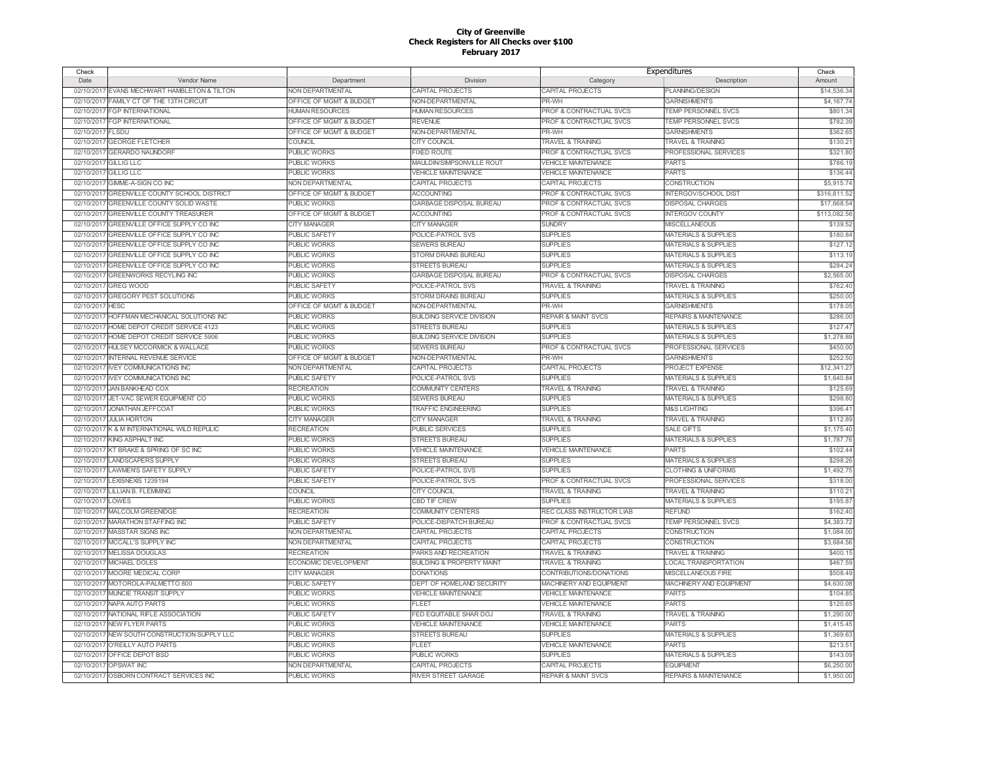| Check            |                                              |                         |                                      | Expenditures                       |                                  | Check        |
|------------------|----------------------------------------------|-------------------------|--------------------------------------|------------------------------------|----------------------------------|--------------|
| Date             | Vendor Name                                  | Department              | Division                             | Category                           | Description                      | Amount       |
| 02/10/2017       | EVANS MECHWART HAMBLETON & TILTON            | NON DEPARTMENTAL        | CAPITAL PROJECTS                     | CAPITAL PROJECTS                   | PLANNING/DESIGN                  | \$14,536.34  |
| 02/10/2017       | FAMILY CT OF THE 13TH CIRCUIT                | OFFICE OF MGMT & BUDGET | NON-DEPARTMENTAL                     | PR-WH                              | <b>GARNISHMENTS</b>              | \$4,167.74   |
|                  | 02/10/2017 FGP INTERNATIONAL                 | <b>HUMAN RESOURCES</b>  | <b>HUMAN RESOURCES</b>               | PROF & CONTRACTUAL SVCS            | TEMP PERSONNEL SVCS              | \$801.34     |
|                  | 02/10/2017 FGP INTERNATIONAL                 | OFFICE OF MGMT & BUDGET | <b>REVENUE</b>                       | PROF & CONTRACTUAL SVCS            | TEMP PERSONNEL SVCS              | \$782.39     |
| 02/10/2017 FLSDU |                                              | OFFICE OF MGMT & BUDGET | NON-DEPARTMENTAL                     | PR-WH                              | <b>GARNISHMENTS</b>              | \$362.65     |
| 02/10/201        | <b>GEORGE FLETCHER</b>                       | COUNCIL                 | <b>CITY COUNCIL</b>                  | <b>TRAVEL &amp; TRAINING</b>       | <b>TRAVEL &amp; TRAINING</b>     | \$130.2'     |
| 02/10/2011       | <b>GERARDO NAUNDORF</b>                      | <b>PUBLIC WORKS</b>     | <b>FIXED ROUTE</b>                   | PROF & CONTRACTUAL SVCS            | PROFESSIONAL SERVICES            | \$321.80     |
| 02/10/2017       | <b>GILLIG LLC</b>                            | <b>PUBLIC WORKS</b>     | MAULDIN/SIMPSONVILLE ROUT            | <b>VEHICLE MAINTENANCE</b>         | <b>PARTS</b>                     | \$786.1      |
| 02/10/2017       | <b>GILLIG LLC</b>                            | <b>PUBLIC WORKS</b>     | <b>VEHICLE MAINTENANCE</b>           | <b>VEHICLE MAINTENANCE</b>         | <b>PARTS</b>                     | \$136.44     |
| 02/10/2017       | GIMME-A-SIGN CO INC                          | NON DEPARTMENTAL        | <b>CAPITAL PROJECTS</b>              | CAPITAL PROJECTS                   | <b>CONSTRUCTION</b>              | \$5,915.74   |
| 02/10/2017       | <b>GREENVILLE COUNTY SCHOOL DISTRICT</b>     | OFFICE OF MGMT & BUDGET | <b>ACCOUNTING</b>                    | <b>PROF &amp; CONTRACTUAL SVCS</b> | INTERGOV/SCHOOL DIST             | \$316,811.52 |
|                  |                                              |                         |                                      |                                    |                                  |              |
| 02/10/2017       | <b>GREENVILLE COUNTY SOLID WASTE</b>         | <b>PUBLIC WORKS</b>     | GARBAGE DISPOSAL BUREAU              | PROF & CONTRACTUAL SVCS            | <b>DISPOSAL CHARGES</b>          | \$17,668.54  |
|                  | 02/10/2017 GREENVILLE COUNTY TREASURER       | OFFICE OF MGMT & BUDGET | <b>ACCOUNTING</b>                    | PROF & CONTRACTUAL SVCS            | <b>INTERGOV COUNTY</b>           | \$113,082.56 |
| 02/10/2017       | GREENVILLE OFFICE SUPPLY CO INC              | CITY MANAGER            | <b>CITY MANAGER</b>                  | <b>SUNDRY</b>                      | <b>MISCELLANEOUS</b>             | \$139.52     |
| 02/10/2017       | GREENVILLE OFFICE SUPPLY CO INC              | <b>PUBLIC SAFETY</b>    | POLICE-PATROL SVS                    | <b>SUPPLIES</b>                    | <b>MATERIALS &amp; SUPPLIES</b>  | \$180.84     |
| 02/10/2017       | GREENVILLE OFFICE SUPPLY CO INC              | PUBLIC WORKS            | <b>SEWERS BUREAU</b>                 | <b>SUPPLIES</b>                    | <b>MATERIALS &amp; SUPPLIES</b>  | \$127.1      |
|                  | 02/10/2017 GREENVILLE OFFICE SUPPLY CO INC   | <b>PUBLIC WORKS</b>     | <b>STORM DRAINS BUREAU</b>           | <b>SUPPLIES</b>                    | <b>MATERIALS &amp; SUPPLIES</b>  | \$113.1      |
| 02/10/2017       | GREENVILLE OFFICE SUPPLY CO INC              | <b>PUBLIC WORKS</b>     | <b>STREETS BUREAU</b>                | <b>SUPPLIES</b>                    | MATERIALS & SUPPLIES             | \$284.24     |
| 02/10/2017       | <b>GREENWORKS RECYLING INC</b>               | <b>PUBLIC WORKS</b>     | GARBAGE DISPOSAL BUREAU              | PROF & CONTRACTUAL SVCS            | <b>DISPOSAL CHARGES</b>          | \$2,565.00   |
| 02/10/2017       | <b>GREG WOOD</b>                             | PUBLIC SAFETY           | POLICE-PATROL SVS                    | <b>TRAVEL &amp; TRAINING</b>       | <b>TRAVEL &amp; TRAINING</b>     | \$762.40     |
|                  | 02/10/2017 GREGORY PEST SOLUTIONS            | PUBLIC WORKS            | STORM DRAINS BUREAU                  | <b>SUPPLIES</b>                    | <b>MATERIALS &amp; SUPPLIES</b>  | \$250.0      |
| 02/10/2017       | <b>HESC</b>                                  | OFFICE OF MGMT & BUDGET | NON-DEPARTMENTAL                     | PR-WH                              | <b>GARNISHMENTS</b>              | \$178.05     |
|                  | 02/10/2017 HOFFMAN MECHANICAL SOLUTIONS INC  | <b>PUBLIC WORKS</b>     | <b>BUILDING SERVICE DIVISION</b>     | <b>REPAIR &amp; MAINT SVCS</b>     | <b>REPAIRS &amp; MAINTENANCE</b> | \$286.00     |
|                  | 02/10/2017 HOME DEPOT CREDIT SERVICE 4123    | PUBLIC WORKS            | STREETS BUREAU                       | <b>SUPPLIES</b>                    | <b>MATERIALS &amp; SUPPLIES</b>  | \$127.47     |
|                  | 02/10/2017 HOME DEPOT CREDIT SERVICE 5906    | <b>PUBLIC WORKS</b>     | <b>BUILDING SERVICE DIVISION</b>     | <b>SUPPLIES</b>                    | <b>MATERIALS &amp; SUPPLIES</b>  | \$1,278.89   |
| 02/10/2017       | <b>HULSEY MCCORMICK &amp; WALLACE</b>        | <b>PUBLIC WORKS</b>     | <b>SEWERS BUREAU</b>                 | PROF & CONTRACTUAL SVCS            | PROFESSIONAL SERVICES            | \$450.00     |
|                  | 02/10/2017 INTERNAL REVENUE SERVICE          | OFFICE OF MGMT & BUDGET | NON-DEPARTMENTAL                     | PR-WH                              | <b>GARNISHMENTS</b>              | \$252.50     |
| 02/10/2017       | <b>IVEY COMMUNICATIONS INC</b>               | NON DEPARTMENTAL        | CAPITAL PROJECTS                     | CAPITAL PROJECTS                   | PROJECT EXPENSE                  | \$12,341.2   |
|                  | 02/10/2017 IVEY COMMUNICATIONS INC           | PUBLIC SAFETY           | POLICE-PATROL SVS                    | <b>SUPPLIES</b>                    | <b>MATERIALS &amp; SUPPLIES</b>  | \$1,640.84   |
| 02/10/2017       | JAN BANKHEAD COX                             | <b>RECREATION</b>       | <b>COMMUNITY CENTERS</b>             | <b>TRAVEL &amp; TRAINING</b>       | <b>TRAVEL &amp; TRAINING</b>     | \$125.69     |
|                  | 02/10/2017 JET-VAC SEWER EQUIPMENT CO        | <b>PUBLIC WORKS</b>     | <b>SEWERS BUREAU</b>                 | <b>SUPPLIES</b>                    | <b>MATERIALS &amp; SUPPLIES</b>  | \$298.80     |
|                  | 02/10/2017 JONATHAN JEFFCOAT                 | PUBLIC WORKS            | <b>TRAFFIC ENGINEERING</b>           | <b>SUPPLIES</b>                    | <b>M&amp;S LIGHTING</b>          | \$396.4      |
|                  | 02/10/2017 JULIA HORTON                      | <b>CITY MANAGER</b>     | <b>CITY MANAGER</b>                  | <b>TRAVEL &amp; TRAINING</b>       | <b>TRAVEL &amp; TRAINING</b>     | \$112.89     |
|                  | 02/10/2017 K & M INTERNATIONAL WILD REPULIC  | <b>RECREATION</b>       | PUBLIC SERVICES                      | <b>SUPPLIES</b>                    | <b>SALE GIFTS</b>                | \$1,175.40   |
|                  | 02/10/2017 KING ASPHALT INC                  | <b>PUBLIC WORKS</b>     | <b>STREETS BUREAU</b>                | <b>SUPPLIES</b>                    | <b>MATERIALS &amp; SUPPLIES</b>  | \$1,787.76   |
|                  | 02/10/2017 KT BRAKE & SPRING OF SC INC       | <b>PUBLIC WORKS</b>     | <b>VEHICLE MAINTENANCE</b>           |                                    | <b>PARTS</b>                     | \$102.44     |
|                  |                                              |                         |                                      | <b>VEHICLE MAINTENANCE</b>         |                                  |              |
|                  | 02/10/2017 LANDSCAPERS SUPPLY                | PUBLIC WORKS            | <b>STREETS BUREAU</b>                | <b>SUPPLIES</b>                    | <b>MATERIALS &amp; SUPPLIES</b>  | \$298.26     |
| 02/10/2017       | <b>LAWMENS SAFETY SUPPLY</b>                 | <b>PUBLIC SAFETY</b>    | POLICE-PATROL SVS                    | <b>SUPPLIES</b>                    | <b>CLOTHING &amp; UNIFORMS</b>   | \$1,492.75   |
|                  | 02/10/2017 LEXISNEXIS 1239194                | PUBLIC SAFETY           | POLICE-PATROL SVS                    | <b>PROF &amp; CONTRACTUAL SVCS</b> | PROFESSIONAL SERVICES            | \$318.00     |
|                  | 02/10/2017 LILLIAN B. FLEMMING               | COUNCIL                 | <b>CITY COUNCIL</b>                  | <b>TRAVEL &amp; TRAINING</b>       | <b>TRAVEL &amp; TRAINING</b>     | \$110.2'     |
| 02/10/2017 LOWES |                                              | <b>PUBLIC WORKS</b>     | CBD TIF CREW                         | <b>SUPPLIES</b>                    | <b>MATERIALS &amp; SUPPLIES</b>  | \$195.87     |
| 02/10/2017       | MALCOLM GREENIDGE                            | <b>RECREATION</b>       | COMMUNITY CENTERS                    | REC CLASS INSTRUCTOR LIAB          | <b>REFUND</b>                    | \$162.40     |
|                  | 02/10/2017 MARATHON STAFFING INC             | <b>PUBLIC SAFETY</b>    | POLICE-DISPATCH BUREAU               | PROF & CONTRACTUAL SVCS            | <b>TEMP PERSONNEL SVCS</b>       | \$4,383.72   |
|                  | 02/10/2017 MASSTAR SIGNS INC                 | NON DEPARTMENTAL        | CAPITAL PROJECTS                     | CAPITAL PROJECTS                   | <b>CONSTRUCTION</b>              | \$1,084.00   |
|                  | 02/10/2017 MCCALL'S SUPPLY INC               | NON DEPARTMENTAL        | <b>CAPITAL PROJECTS</b>              | CAPITAL PROJECTS                   | <b>CONSTRUCTION</b>              | \$3,684.56   |
| 02/10/2017       | <b>MELISSA DOUGLAS</b>                       | <b>RECREATION</b>       | PARKS AND RECREATION                 | <b>TRAVEL &amp; TRAINING</b>       | <b>TRAVEL &amp; TRAINING</b>     | \$400.1      |
|                  | 02/10/2017 MICHAEL DOLES                     | ECONOMIC DEVELOPMENT    | <b>BUILDING &amp; PROPERTY MAINT</b> | <b>TRAVEL &amp; TRAINING</b>       | <b>LOCAL TRANSPORTATION</b>      | \$467.59     |
|                  | 02/10/2017 MOORE MEDICAL CORP                | <b>CITY MANAGER</b>     | <b>DONATIONS</b>                     | CONTRIBUTIONS/DONATIONS            | <b>MISCELLANEOUS FIRE</b>        | \$508.49     |
|                  | 02/10/2017 MOTOROLA-PALMETTO 800             | <b>PUBLIC SAFETY</b>    | DEPT OF HOMELAND SECURITY            | MACHINERY AND EQUIPMENT            | <b>MACHINERY AND EQUIPMENT</b>   | \$4,630.08   |
|                  | 02/10/2017 MUNCIE TRANSIT SUPPLY             | PUBLIC WORKS            | VEHICLE MAINTENANCE                  | <b>VEHICLE MAINTENANCE</b>         | <b>PARTS</b>                     | \$104.85     |
|                  | 02/10/2017 NAPA AUTO PARTS                   | <b>PUBLIC WORKS</b>     | <b>FLEET</b>                         | <b>VEHICLE MAINTENANCE</b>         | <b>PARTS</b>                     | \$120.65     |
|                  | 02/10/2017 NATIONAL RIFLE ASSOCIATION        | PUBLIC SAFETY           | FED EQUITABLE SHAR DOJ               | <b>TRAVEL &amp; TRAINING</b>       | <b>TRAVEL &amp; TRAINING</b>     | \$1,290.00   |
|                  | 02/10/2017 NEW FLYER PARTS                   | PUBLIC WORKS            | <b>VEHICLE MAINTENANCE</b>           | <b>VEHICLE MAINTENANCE</b>         | <b>PARTS</b>                     | \$1,415.45   |
|                  | 02/10/2017 NEW SOUTH CONSTRUCTION SUPPLY LLC | <b>PUBLIC WORKS</b>     | <b>STREETS BUREAU</b>                | <b>SUPPLIES</b>                    | <b>MATERIALS &amp; SUPPLIES</b>  | \$1,369.63   |
|                  | 02/10/2017 O'REILLY AUTO PARTS               | PUBLIC WORKS            | <b>FLEET</b>                         | <b>VEHICLE MAINTENANCE</b>         | <b>PARTS</b>                     | \$213.5'     |
|                  | 02/10/2017 OFFICE DEPOT BSD                  | <b>PUBLIC WORKS</b>     | <b>PUBLIC WORKS</b>                  | <b>SUPPLIES</b>                    | <b>MATERIALS &amp; SUPPLIES</b>  | \$143.0      |
|                  | 02/10/2017 OPSWAT INC                        |                         | <b>CAPITAL PROJECTS</b>              | CAPITAL PROJECTS                   | <b>FOUPMENT</b>                  | \$6,250.00   |
|                  |                                              | NON DEPARTMENTAL        |                                      |                                    |                                  |              |
|                  | 02/10/2017 OSBORN CONTRACT SERVICES INC      | <b>PUBLIC WORKS</b>     | <b>RIVER STREET GARAGE</b>           | <b>REPAIR &amp; MAINT SVCS</b>     | <b>REPAIRS &amp; MAINTENANCE</b> | \$1,950.00   |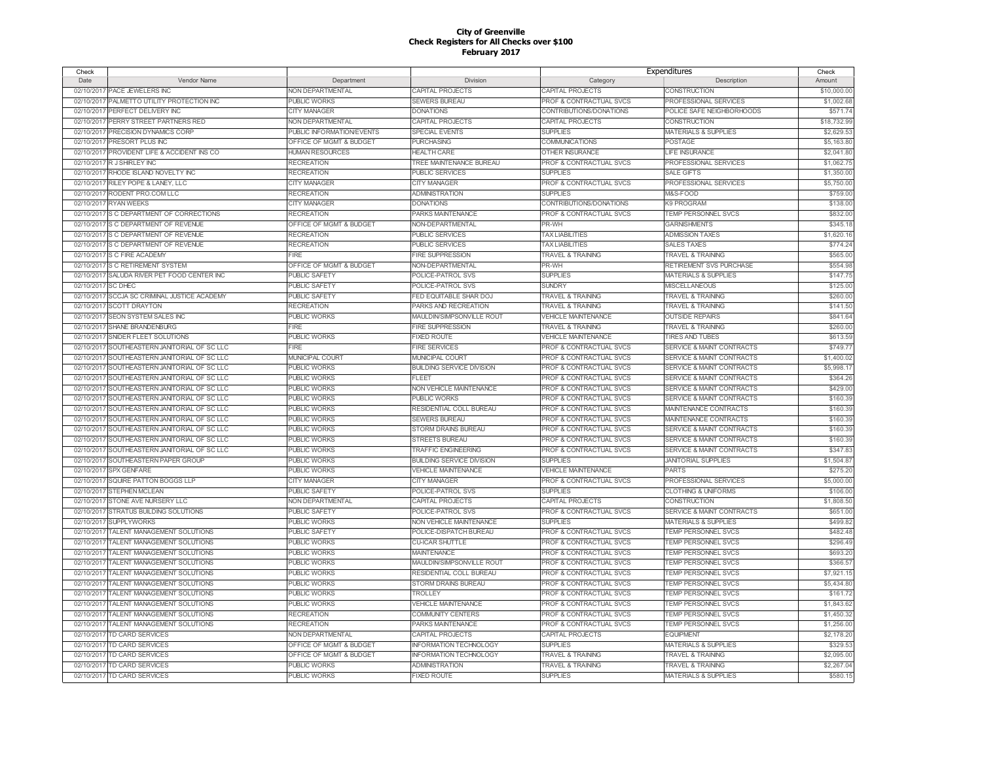| Check              |                                              |                           |                                  | Expenditures                       |                                      | Check       |
|--------------------|----------------------------------------------|---------------------------|----------------------------------|------------------------------------|--------------------------------------|-------------|
| Date               | Vendor Name                                  | Department                | Division                         | Category                           | Description                          | Amount      |
|                    | 02/10/2017 PACE JEWELERS INC                 | NON DEPARTMENTAL          | CAPITAL PROJECTS                 | <b>CAPITAL PROJECTS</b>            | CONSTRUCTION                         | \$10,000.00 |
| 02/10/2017         | PALMETTO UTILITY PROTECTION INC              | <b>PUBLIC WORKS</b>       | <b>SEWERS BUREAU</b>             | PROF & CONTRACTUAL SVCS            | PROFESSIONAL SERVICES                | \$1,002.68  |
| 02/10/2017         | PERFECT DELIVERY INC                         | <b>CITY MANAGER</b>       | <b>DONATIONS</b>                 | CONTRIBUTIONS/DONATIONS            | POLICE SAFE NEIGHBORHOODS            | \$571.74    |
| 02/10/2017         | PERRY STREET PARTNERS RED                    | NON DEPARTMENTAL          | CAPITAL PROJECTS                 | CAPITAL PROJECTS                   | <b>CONSTRUCTION</b>                  | \$18,732.99 |
| 02/10/2017         | PRECISION DYNAMICS CORP                      | PUBLIC INFORMATION/EVENTS | <b>SPECIAL EVENTS</b>            | <b>SUPPLIES</b>                    | <b>MATERIALS &amp; SUPPLIES</b>      | \$2,629.53  |
| 02/10/2017         | PRESORT PLUS INC                             | OFFICE OF MGMT & BUDGET   | <b>PURCHASING</b>                | COMMUNICATIONS                     | <b>POSTAGE</b>                       | \$5,163.80  |
| 02/10/2017         | PROVIDENT LIFE & ACCIDENT INS CO             | HUMAN RESOURCES           | <b>HEALTH CARE</b>               | <b>OTHER INSURANCE</b>             | <b>LIFE INSURANCE</b>                | \$2,041.80  |
| 02/10/2017         | R J SHIRLEY INC                              | <b>RECREATION</b>         | TREE MAINTENANCE BUREAU          | PROF & CONTRACTUAL SVCS            | PROFESSIONAL SERVICES                | \$1,062.75  |
| 02/10/2017         | RHODE ISLAND NOVELTY INC                     | <b>RECREATION</b>         | PUBLIC SERVICES                  | <b>SUPPLIES</b>                    | <b>SALE GIFTS</b>                    | \$1,350.00  |
| 02/10/2017         | RILEY POPE & LANEY, LLC                      | <b>CITY MANAGER</b>       | <b>CITY MANAGER</b>              | PROF & CONTRACTUAL SVCS            | PROFESSIONAL SERVICES                | \$5,750.00  |
| 02/10/2017         | RODENT PRO.COM LLC                           | <b>RECREATION</b>         | <b>ADMINISTRATION</b>            | <b>SUPPLIES</b>                    | M&S-FOOD                             | \$759.00    |
|                    | <b>RYAN WEEKS</b>                            | <b>CITY MANAGER</b>       | <b>DONATIONS</b>                 |                                    | <b>K9 PROGRAM</b>                    | \$138.0     |
| 02/10/2017         |                                              |                           |                                  | CONTRIBUTIONS/DONATIONS            |                                      |             |
| 02/10/2017         | S C DEPARTMENT OF CORRECTIONS                | <b>RECREATION</b>         | PARKS MAINTENANCE                | PROF & CONTRACTUAL SVCS            | TEMP PERSONNEL SVCS                  | \$832.0     |
| 02/10/2017         | S C DEPARTMENT OF REVENUE                    | OFFICE OF MGMT & BUDGET   | NON-DEPARTMENTAL                 | PR-WH                              | <b>GARNISHMENTS</b>                  | \$345.18    |
|                    | 02/10/2017 S C DEPARTMENT OF REVENUE         | <b>RECREATION</b>         | PUBLIC SERVICES                  | <b>TAX LIABILITIES</b>             | <b>ADMISSION TAXES</b>               | \$1,620.1   |
| 02/10/2017         | S C DEPARTMENT OF REVENUE                    | <b>RECREATION</b>         | <b>PUBLIC SERVICES</b>           | <b>TAX LIABILITIES</b>             | <b>SALES TAXES</b>                   | \$774.2     |
|                    | 02/10/2017 S C FIRE ACADEMY                  | FIRE                      | <b>FIRE SUPPRESSION</b>          | <b>TRAVEL &amp; TRAINING</b>       | <b>TRAVEL &amp; TRAINING</b>         | \$565.0     |
| 02/10/2017         | S C RETIREMENT SYSTEM                        | OFFICE OF MGMT & BUDGET   | NON-DEPARTMENTAL                 | PR-WH                              | RETIREMENT SVS PURCHASE              | \$554.9     |
| 02/10/2017         | SALUDA RIVER PET FOOD CENTER INC             | PUBLIC SAFETY             | POLICE-PATROL SVS                | <b>SUPPLIES</b>                    | <b>MATERIALS &amp; SUPPLIES</b>      | \$147.75    |
| 02/10/2017 SC DHEC |                                              | <b>PUBLIC SAFETY</b>      | POLICE-PATROL SVS                | <b>SUNDRY</b>                      | <b>MISCELLANEOUS</b>                 | \$125.0     |
|                    | 02/10/2017 SCCJA SC CRIMINAL JUSTICE ACADEMY | PUBLIC SAFETY             | FED EQUITABLE SHAR DOJ           | <b>TRAVEL &amp; TRAINING</b>       | <b>TRAVEL &amp; TRAINING</b>         | \$260.0     |
|                    | 02/10/2017 SCOTT DRAYTON                     | <b>RECREATION</b>         | PARKS AND RECREATION             | <b>TRAVEL &amp; TRAINING</b>       | <b>TRAVEL &amp; TRAINING</b>         | \$141.50    |
|                    | 02/10/2017 SEON SYSTEM SALES INC             | PUBLIC WORKS              | MAULDIN/SIMPSONVILLE ROUT        | <b>VEHICLE MAINTENANCE</b>         | <b>OUTSIDE REPAIRS</b>               | \$841.64    |
|                    | 02/10/2017 SHANE BRANDENBURG                 | FIRE                      | FIRE SUPPRESSION                 | <b>TRAVEL &amp; TRAINING</b>       | <b>TRAVEL &amp; TRAINING</b>         | \$260.00    |
|                    | 02/10/2017 SNIDER FLEET SOLUTIONS            | PUBLIC WORKS              | <b>FIXED ROUTE</b>               | <b>VEHICLE MAINTENANCE</b>         | <b>TIRES AND TUBES</b>               | \$613.5     |
|                    | 02/10/2017 SOUTHEASTERN JANITORIAL OF SC LLC | <b>FIRE</b>               | <b>FIRE SERVICES</b>             | PROF & CONTRACTUAL SVCS            | SERVICE & MAINT CONTRACTS            | \$749.7     |
|                    | 02/10/2017 SOUTHEASTERN JANITORIAL OF SC LLC | MUNICIPAL COURT           | MUNICIPAL COURT                  | PROF & CONTRACTUAL SVCS            | <b>SERVICE &amp; MAINT CONTRACTS</b> | \$1,400.02  |
|                    | 02/10/2017 SOUTHEASTERN JANITORIAL OF SC LLC | <b>PUBLIC WORKS</b>       | <b>BUILDING SERVICE DIVISION</b> | PROF & CONTRACTUAL SVCS            | SERVICE & MAINT CONTRACTS            | \$5,998.1   |
|                    | 02/10/2017 SOUTHEASTERN JANITORIAL OF SC LLC | <b>PUBLIC WORKS</b>       | EL EET                           | PROF & CONTRACTUAL SVCS            | SERVICE & MAINT CONTRACTS            | \$364.26    |
| 02/10/2017         | SOUTHEASTERN JANITORIAL OF SC LLC            | <b>PUBLIC WORKS</b>       | NON VEHICLE MAINTENANCE          | PROF & CONTRACTUAL SVCS            | <b>SERVICE &amp; MAINT CONTRACTS</b> | \$429.0     |
|                    | 02/10/2017 SOUTHEASTERN JANITORIAL OF SC LLC | <b>PUBLIC WORKS</b>       | PUBLIC WORKS                     | PROF & CONTRACTUAL SVCS            | <b>SERVICE &amp; MAINT CONTRACTS</b> | \$160.39    |
| 02/10/2017         | SOUTHEASTERN JANITORIAL OF SC LLC            | <b>PUBLIC WORKS</b>       | RESIDENTIAL COLL BUREAU          | <b>PROF &amp; CONTRACTUAL SVCS</b> | <b>MAINTENANCE CONTRACTS</b>         | \$160.3     |
|                    | 02/10/2017 SOUTHEASTERN JANITORIAL OF SC LLC | <b>PUBLIC WORKS</b>       | <b>SEWERS BUREAU</b>             | PROF & CONTRACTUAL SVCS            | MAINTENANCE CONTRACTS                | \$160.39    |
| 02/10/2017         | SOUTHEASTERN JANITORIAL OF SC LLC            | <b>PUBLIC WORKS</b>       | <b>STORM DRAINS BUREAU</b>       | <b>PROF &amp; CONTRACTUAL SVCS</b> | <b>SERVICE &amp; MAINT CONTRACTS</b> | \$160.3     |
| 02/10/2017         | SOUTHEASTERN JANITORIAL OF SC LLC            | <b>PUBLIC WORKS</b>       | <b>STREETS BUREAU</b>            | PROF & CONTRACTUAL SVCS            | SERVICE & MAINT CONTRACTS            | \$160.39    |
| 02/10/2017         | SOUTHEASTERN JANITORIAL OF SC LLC            | <b>PUBLIC WORKS</b>       | <b>TRAFFIC ENGINEERING</b>       | <b>PROF &amp; CONTRACTUAL SVCS</b> | SERVICE & MAINT CONTRACTS            | \$347.8     |
|                    | 02/10/2017 SOUTHEASTERN PAPER GROUP          | <b>PUBLIC WORKS</b>       | <b>BUILDING SERVICE DIVISION</b> | <b>SUPPLIES</b>                    | <b>JANITORIAL SUPPLIES</b>           | \$1,504.8   |
|                    | 02/10/2017 SPX GENFARE                       | <b>PUBLIC WORKS</b>       | <b>VEHICLE MAINTENANCE</b>       | <b>VEHICLE MAINTENANCE</b>         | <b>PARTS</b>                         | \$275.2     |
| 02/10/2017         | SQUIRE PATTON BOGGS LLP                      | <b>CITY MANAGER</b>       | <b>CITY MANAGER</b>              | PROF & CONTRACTUAL SVCS            | PROFESSIONAL SERVICES                | \$5,000.00  |
| 02/10/2017         | <b>STEPHEN MCLEAN</b>                        | PUBLIC SAFETY             | POLICE-PATROL SVS                | <b>SUPPLIES</b>                    | <b>CLOTHING &amp; UNIFORMS</b>       | \$106.00    |
| 02/10/2017         | STONE AVE NURSERY LLC                        | NON DEPARTMENTAL          | CAPITAL PROJECTS                 | CAPITAL PROJECTS                   | <b>CONSTRUCTION</b>                  | \$1,808.50  |
|                    | 02/10/2017 STRATUS BUILDING SOLUTIONS        | PUBLIC SAFETY             | POLICE-PATROL SVS                | <b>PROF &amp; CONTRACTUAL SVCS</b> | SERVICE & MAINT CONTRACTS            | \$651.00    |
| 02/10/2017         | <b>SUPPLYWORKS</b>                           | PUBLIC WORKS              | NON VEHICLE MAINTENANCE          | <b>SUPPLIES</b>                    | <b>MATERIALS &amp; SUPPLIES</b>      | \$499.82    |
|                    | TALENT MANAGEMENT SOLUTIONS                  |                           |                                  |                                    | <b>TEMP PERSONNEL SVCS</b>           | \$482.4     |
| 02/10/2017         |                                              | <b>UBLIC SAFETY</b>       | POLICE-DISPATCH BUREAU           | PROF & CONTRACTUAL SVCS            |                                      |             |
| 02/10/201          | TALENT MANAGEMENT SOLUTIONS                  | PUBLIC WORKS              | <b>CU-ICAR SHUTTLE</b>           | PROF & CONTRACTUAL SVCS            | <b>TEMP PERSONNEL SVCS</b>           | \$296.49    |
| 02/10/201          | <b>TALENT MANAGEMENT SOLUTIONS</b>           | PUBLIC WORKS              | <b>MAINTENANCE</b>               | PROF & CONTRACTUAL SVCS            | TEMP PERSONNEL SVCS                  | \$693.20    |
| 02/10/2011         | <b>TALENT MANAGEMENT SOLUTIONS</b>           | <b>PUBLIC WORKS</b>       | MAULDIN/SIMPSONVILLE ROUT        | PROF & CONTRACTUAL SVCS            | TEMP PERSONNEL SVCS                  | \$366.5     |
| 02/10/2017         | TALENT MANAGEMENT SOLUTIONS                  | PUBLIC WORKS              | RESIDENTIAL COLL BUREAU          | <b>PROF &amp; CONTRACTUAL SVCS</b> | <b>TEMP PERSONNEL SVCS</b>           | \$7,921.15  |
| 02/10/2017         | TALENT MANAGEMENT SOLUTIONS                  | <b>PUBLIC WORKS</b>       | STORM DRAINS BUREAU              | PROF & CONTRACTUAL SVCS            | TEMP PERSONNEL SVCS                  | \$5,434.8   |
| 02/10/2017         | TALENT MANAGEMENT SOLUTIONS                  | PUBLIC WORKS              | TROLLEY                          | PROF & CONTRACTUAL SVCS            | TEMP PERSONNEL SVCS                  | \$161.72    |
| 02/10/2017         | TALENT MANAGEMENT SOLUTIONS                  | <b>PUBLIC WORKS</b>       | <b>VEHICLE MAINTENANCE</b>       | PROF & CONTRACTUAL SVCS            | TEMP PERSONNEL SVCS                  | \$1,843.62  |
| 02/10/2017         | TALENT MANAGEMENT SOLUTIONS                  | <b>RECREATION</b>         | COMMUNITY CENTERS                | PROF & CONTRACTUAL SVCS            | TEMP PERSONNEL SVCS                  | \$1,450.32  |
| 02/10/2017         | TALENT MANAGEMENT SOLUTIONS                  | <b>RECREATION</b>         | PARKS MAINTENANCE                | PROF & CONTRACTUAL SVCS            | TEMP PERSONNEL SVCS                  | \$1,256.00  |
|                    | 02/10/2017 TD CARD SERVICES                  | <b>NON DEPARTMENTAL</b>   | CAPITAL PROJECTS                 | CAPITAL PROJECTS                   | <b>EQUIPMENT</b>                     | \$2,178.2   |
| 02/10/2017         | TD CARD SERVICES                             | OFFICE OF MGMT & BUDGET   | <b>INFORMATION TECHNOLOGY</b>    | <b>SUPPLIES</b>                    | <b>MATERIALS &amp; SUPPLIES</b>      | \$329.5     |
| 02/10/2017         | TD CARD SERVICES                             | OFFICE OF MGMT & BUDGET   | <b>INFORMATION TECHNOLOGY</b>    | <b>TRAVEL &amp; TRAINING</b>       | <b>TRAVEL &amp; TRAINING</b>         | \$2,095.0   |
| 02/10/2017         | TD CARD SERVICES                             | PUBLIC WORKS              | <b>ADMINISTRATION</b>            | <b>TRAVEL &amp; TRAINING</b>       | <b>TRAVEL &amp; TRAINING</b>         | \$2,267.04  |
|                    | 02/10/2017 TD CARD SERVICES                  | <b>PUBLIC WORKS</b>       | <b>FIXED ROUTE</b>               | <b>SUPPLIES</b>                    | <b>MATERIALS &amp; SUPPLIES</b>      | \$580.15    |
|                    |                                              |                           |                                  |                                    |                                      |             |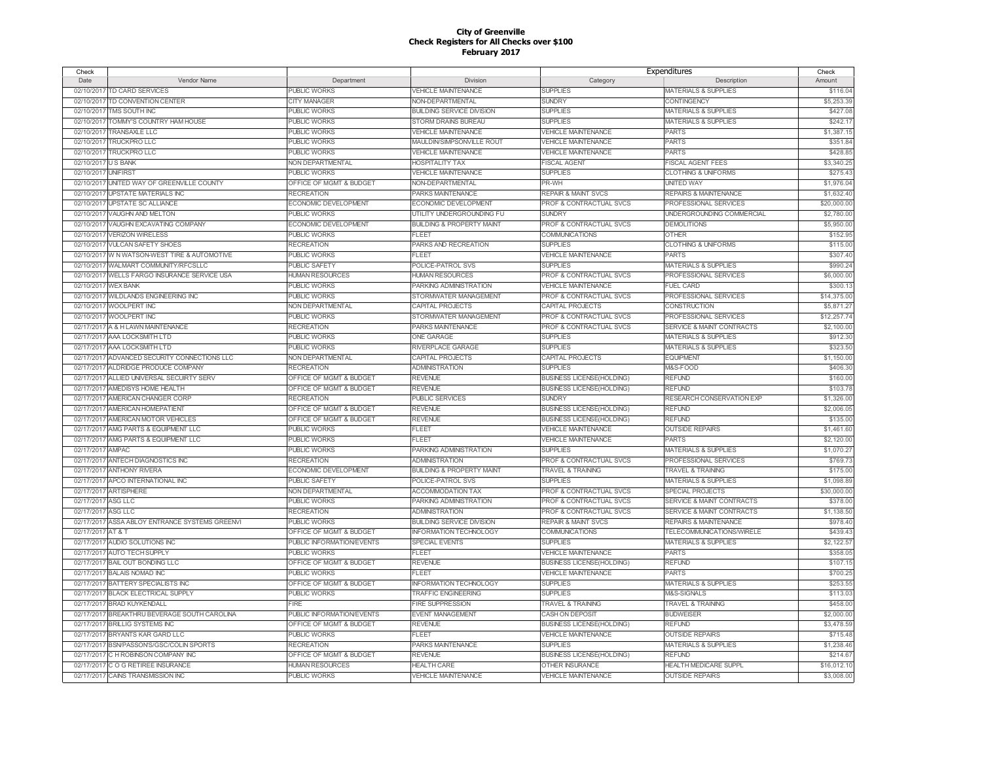| Check               |                                              |                             |                                      | Expenditures                       |                                      | Check       |
|---------------------|----------------------------------------------|-----------------------------|--------------------------------------|------------------------------------|--------------------------------------|-------------|
| Date                | Vendor Name                                  | Department                  | Division                             | Category                           | Description                          | Amount      |
|                     | 02/10/2017 TD CARD SERVICES                  | <b>PUBLIC WORKS</b>         | <b>VEHICLE MAINTENANCE</b>           | <b>SUPPLIES</b>                    | <b>MATERIALS &amp; SUPPLIES</b>      | \$116.04    |
|                     | 02/10/2017 TD CONVENTION CENTER              | <b>CITY MANAGER</b>         | <b>NON-DEPARTMENTAL</b>              | <b>SUNDRY</b>                      | <b>CONTINGENCY</b>                   | \$5,253.39  |
|                     | 02/10/2017 TMS SOUTH INC                     | <b>PUBLIC WORKS</b>         | <b>BUILDING SERVICE DIVISION</b>     | <b>SUPPLIES</b>                    | <b>MATERIALS &amp; SUPPLIES</b>      | \$427.08    |
| 02/10/2017          | TOMMY'S COUNTRY HAM HOUSE                    | PUBLIC WORKS                | STORM DRAINS BUREAU                  | <b>SUPPLIES</b>                    | <b>MATERIALS &amp; SUPPLIES</b>      | \$242.1     |
|                     | 02/10/2017 TRANSAXLE LLC                     | <b>PUBLIC WORKS</b>         | <b>/EHICLE MAINTENANCE</b>           | <b>VEHICLE MAINTENANCE</b>         | <b>PARTS</b>                         | \$1,387.1   |
| 02/10/2017          | <b>TRUCKPRO LLC</b>                          | <b>PUBLIC WORKS</b>         | MAULDIN/SIMPSONVILLE ROUT            | <b>VEHICLE MAINTENANCE</b>         | <b>PARTS</b>                         | \$351.84    |
| 02/10/2017          | <b>TRUCKPRO LLC</b>                          | <b>PUBLIC WORKS</b>         | <b>VEHICLE MAINTENANCE</b>           | <b>VEHICLE MAINTENANCE</b>         | <b>PARTS</b>                         | \$428.85    |
| 02/10/2017 US BANK  |                                              | NON DEPARTMENTAL            | <b>HOSPITALITY TAX</b>               | <b>FISCAL AGENT</b>                | FISCAL AGENT FEES                    | \$3,340.25  |
| 02/10/2017 UNIFIRST |                                              | <b>PUBLIC WORKS</b>         | <b>VEHICLE MAINTENANCE</b>           | <b>SUPPLIES</b>                    | <b>CLOTHING &amp; UNIFORMS</b>       | \$275.43    |
| 02/10/2017          | UNITED WAY OF GREENVILLE COUNTY              | OFFICE OF MGMT & BUDGET     | NON-DEPARTMENTAL                     | PR-WH                              | <b>UNITED WAY</b>                    | \$1,976.04  |
|                     | 02/10/2017 UPSTATE MATERIALS INC             | <b>RECREATION</b>           | PARKS MAINTENANCE                    | <b>REPAIR &amp; MAINT SVCS</b>     | <b>REPAIRS &amp; MAINTENANCE</b>     | \$1,632.40  |
|                     | 02/10/2017 UPSTATE SC ALLIANCE               | ECONOMIC DEVELOPMENT        | ECONOMIC DEVELOPMENT                 | PROF & CONTRACTUAL SVCS            | PROFESSIONAL SERVICES                | \$20,000.00 |
|                     | 02/10/2017 VAUGHN AND MELTON                 | <b>PUBLIC WORKS</b>         | UTILITY UNDERGROUNDING FU            | <b>SUNDRY</b>                      | UNDERGROUNDING COMMERCIAL            | \$2,780.00  |
|                     | 02/10/2017 VAUGHN EXCAVATING COMPANY         | ECONOMIC DEVELOPMENT        | <b>BUILDING &amp; PROPERTY MAINT</b> | PROF & CONTRACTUAL SVCS            | <b>DEMOLITIONS</b>                   | \$5,950.00  |
|                     | 02/10/2017 VERIZON WIRELESS                  | <b>PUBLIC WORKS</b>         | <b>FLEET</b>                         | COMMUNICATIONS                     | <b>OTHER</b>                         | \$152.95    |
|                     | 02/10/2017 VULCAN SAFETY SHOES               | <b>RECREATION</b>           | PARKS AND RECREATION                 | <b>SUPPLIES</b>                    | <b>CLOTHING &amp; UNIFORMS</b>       | \$115.00    |
|                     | 02/10/2017 W N WATSON-WEST TIRE & AUTOMOTIVE |                             | <b>FLEET</b>                         |                                    | <b>PARTS</b>                         |             |
|                     |                                              | PUBLIC WORKS                |                                      | <b>VEHICLE MAINTENANCE</b>         |                                      | \$307.40    |
|                     | 02/10/2017 WALMART COMMUNITY/RFCSLLC         | <b>PUBLIC SAFETY</b>        | POLICE-PATROL SVS                    | <b>SUPPLIES</b>                    | <b>MATERIALS &amp; SUPPLIES</b>      | \$990.24    |
|                     | 02/10/2017 WELLS FARGO INSURANCE SERVICE USA | <b>HUMAN RESOURCES</b>      | <b>HUMAN RESOURCES</b>               | PROF & CONTRACTUAL SVCS            | PROFESSIONAL SERVICES                | \$6,000.00  |
| 02/10/2017 WEX BANK |                                              | <b>PUBLIC WORKS</b>         | PARKING ADMINISTRATION               | <b>VEHICLE MAINTENANCE</b>         | <b>FUEL CARD</b>                     | \$300.1     |
|                     | 02/10/2017 WILDLANDS ENGINEERING INC         | <b>PUBLIC WORKS</b>         | STORMWATER MANAGEMENT                | PROF & CONTRACTUAL SVCS            | PROFESSIONAL SERVICES                | \$14,375.00 |
|                     | 02/10/2017 WOOLPERT INC                      | NON DEPARTMENTAL            | CAPITAL PROJECTS                     | CAPITAL PROJECTS                   | <b>CONSTRUCTION</b>                  | \$5,871.27  |
|                     | 02/10/2017 WOOLPERT INC                      | <b>PUBLIC WORKS</b>         | STORMWATER MANAGEMENT                | <b>PROF &amp; CONTRACTUAL SVCS</b> | PROFESSIONAL SERVICES                | \$12,257.74 |
|                     | 02/17/2017 A & H LAWN MAINTENANCE            | <b>RECREATION</b>           | <b>PARKS MAINTENANCE</b>             | <b>PROF &amp; CONTRACTUAL SVCS</b> | <b>SERVICE &amp; MAINT CONTRACTS</b> | \$2,100.00  |
|                     | 02/17/2017 AAA LOCKSMITH LTD                 | <b>PUBLIC WORKS</b>         | <b>ONE GARAGE</b>                    | <b>SUPPLIES</b>                    | <b>MATERIALS &amp; SUPPLIES</b>      | \$912.30    |
|                     | 02/17/2017 AAA LOCKSMITH LTD                 | <b>PUBLIC WORKS</b>         | RIVERPLACE GARAGE                    | <b>SUPPLIES</b>                    | <b>MATERIALS &amp; SUPPLIES</b>      | \$323.50    |
|                     | 02/17/2017 ADVANCED SECURITY CONNECTIONS LLC | NON DEPARTMENTAL            | CAPITAL PROJECTS                     | CAPITAL PROJECTS                   | <b>EQUIPMENT</b>                     | \$1,150.00  |
|                     | 02/17/2017 ALDRIDGE PRODUCE COMPANY          | <b>RECREATION</b>           | <b>ADMINISTRATION</b>                | <b>SUPPLIES</b>                    | M&S-FOOD                             | \$406.3     |
|                     | 02/17/2017 ALLIED UNIVERSAL SECUIRTY SERV    | OFFICE OF MGMT & BUDGET     | <b>REVENUE</b>                       | <b>BUSINESS LICENSE(HOLDING)</b>   | <b>REFUND</b>                        | \$160.00    |
|                     | 02/17/2017 AMEDISYS HOME HEALTH              | OFFICE OF MGMT & BUDGET     | <b>REVENUE</b>                       | <b>BUSINESS LICENSE(HOLDING)</b>   | <b>REFUND</b>                        | \$103.78    |
|                     | 02/17/2017 AMERICAN CHANGER CORF             | <b>RECREATION</b>           | <b>PUBLIC SERVICES</b>               | <b>SUNDRY</b>                      | RESEARCH CONSERVATION EXP            | \$1,326.00  |
|                     | 02/17/2017 AMERICAN HOMEPATIENT              | OFFICE OF MGMT & BUDGET     | <b>REVENUE</b>                       | <b>BUSINESS LICENSE(HOLDING)</b>   | <b>REFUND</b>                        | \$2,006.05  |
|                     | 02/17/2017 AMERICAN MOTOR VEHICLES           | OFFICE OF MGMT & BUDGET     | <b>REVENUE</b>                       | <b>BUSINESS LICENSE(HOLDING)</b>   | <b>REFUND</b>                        | \$135.00    |
|                     | 02/17/2017 AMG PARTS & EQUIPMENT LLC         | <b>PUBLIC WORKS</b>         | FLEET                                | <b>VEHICLE MAINTENANCE</b>         | <b>OUTSIDE REPAIRS</b>               | \$1,461.60  |
|                     | 02/17/2017 AMG PARTS & EQUIPMENT LLC         | <b>PUBLIC WORKS</b>         | FLEET                                | <b>VEHICLE MAINTENANCE</b>         | <b>PARTS</b>                         | \$2,120.00  |
| 02/17/2017 AMPAC    |                                              | <b>PUBLIC WORKS</b>         | PARKING ADMINISTRATION               | <b>SUPPLIES</b>                    | <b>MATERIALS &amp; SUPPLIES</b>      | \$1,070.2   |
|                     | 02/17/2017 ANTECH DIAGNOSTICS INC            | <b>RECREATION</b>           | <b>ADMINISTRATION</b>                | PROF & CONTRACTUAL SVCS            | PROFESSIONAL SERVICES                | \$769.7     |
|                     | 02/17/2017 ANTHONY RIVERA                    | <b>ECONOMIC DEVELOPMENT</b> | <b>BUILDING &amp; PROPERTY MAINT</b> | <b>TRAVEL &amp; TRAINING</b>       | <b>TRAVEL &amp; TRAINING</b>         | \$175.00    |
| 02/17/2017          | APCO INTERNATIONAL INC                       | <b>PUBLIC SAFETY</b>        | POLICE-PATROL SVS                    | <b>SUPPLIES</b>                    | <b>MATERIALS &amp; SUPPLIES</b>      | \$1,098.89  |
|                     | 02/17/2017 ARTISPHERE                        | NON DEPARTMENTAL            | <b>ACCOMMODATION TAX</b>             | <b>PROF &amp; CONTRACTUAL SVCS</b> | <b>SPECIAL PROJECTS</b>              | \$30,000.00 |
| 02/17/2017          | <b>ASG LLC</b>                               | <b>PUBLIC WORKS</b>         | PARKING ADMINISTRATION               | <b>PROF &amp; CONTRACTUAL SVCS</b> | SERVICE & MAINT CONTRACTS            | \$378.00    |
| 02/17/2017          | ASG LLC                                      | <b>RECREATION</b>           | <b>ADMINISTRATION</b>                | <b>PROF &amp; CONTRACTUAL SVCS</b> | <b>SERVICE &amp; MAINT CONTRACTS</b> | \$1,138.50  |
| 02/17/2017          | ASSA ABLOY ENTRANCE SYSTEMS GREENVI          | <b>PUBLIC WORKS</b>         | <b>BUILDING SERVICE DIVISION</b>     | <b>REPAIR &amp; MAINT SVCS</b>     | <b>REPAIRS &amp; MAINTENANCE</b>     | \$978.40    |
| 02/17/2017          | AT&T                                         | OFFICE OF MGMT & BUDGET     | <b>NFORMATION TECHNOLOGY</b>         | COMMUNICATIONS                     | TELECOMMUNICATIONS/WIRELE            | \$439.43    |
| 02/17/2017          | AUDIO SOLUTIONS INC                          | PUBLIC INFORMATION/EVENTS   | <b>SPECIAL EVENTS</b>                | <b>SUPPLIES</b>                    | <b>MATERIALS &amp; SUPPLIES</b>      | \$2,122.5   |
|                     | 02/17/2017 AUTO TECH SUPPLY                  | <b>PUBLIC WORKS</b>         | <b>FLEET</b>                         | <b>VEHICLE MAINTENANCE</b>         | <b>PARTS</b>                         | \$358.05    |
|                     | 02/17/2017 BAIL OUT BONDING LLC              | OFFICE OF MGMT & BUDGET     | <b>REVENUE</b>                       | <b>BUSINESS LICENSE(HOLDING)</b>   | <b>REFUND</b>                        | \$107.1     |
|                     | 02/17/2017 BALAIS NOMAD INC                  | <b>PUBLIC WORKS</b>         | FI FFT                               | <b>VEHICLE MAINTENANCE</b>         | <b>PARTS</b>                         | \$700.25    |
|                     | 02/17/2017 BATTERY SPECIALISTS INC           | OFFICE OF MGMT & BUDGET     | <b>INFORMATION TECHNOLOGY</b>        | <b>SUPPLIES</b>                    | <b>MATERIALS &amp; SUPPLIES</b>      | \$253.55    |
|                     | 02/17/2017 BLACK ELECTRICAL SUPPLY           | PUBLIC WORKS                | <b>TRAFFIC ENGINEERING</b>           | <b>SUPPLIES</b>                    | M&S-SIGNALS                          | \$113.03    |
|                     |                                              | <b>FIRE</b>                 |                                      |                                    |                                      |             |
|                     | 02/17/2017 BRAD KUYKENDALL                   |                             | <b>FIRE SUPPRESSION</b>              | <b>TRAVEL &amp; TRAINING</b>       | <b>TRAVEL &amp; TRAINING</b>         | \$458.0     |
|                     | 02/17/2017 BREAKTHRU BEVERAGE SOUTH CAROLINA | PUBLIC INFORMATION/EVENTS   | <b>EVENT MANAGEMENT</b>              | CASH ON DEPOSIT                    | <b>BUDWEISER</b>                     | \$2,000.00  |
|                     | 02/17/2017 BRILLIG SYSTEMS INC               | OFFICE OF MGMT & BUDGET     | <b>REVENUE</b>                       | <b>BUSINESS LICENSE(HOLDING)</b>   | <b>REFUND</b>                        | \$3,478.59  |
|                     | 02/17/2017 BRYANTS KAR GARD LLC              | PUBLIC WORKS                | <b>FLEET</b>                         | <b>VEHICLE MAINTENANCE</b>         | <b>OUTSIDE REPAIRS</b>               | \$715.48    |
|                     | 02/17/2017 BSNPASSON'S/GSC/COLIN SPORTS      | <b>RECREATION</b>           | PARKS MAINTENANCE                    | <b>SUPPLIES</b>                    | <b>MATERIALS &amp; SUPPLIES</b>      | \$1,238.46  |
| 02/17/2017          | C H ROBINSON COMPANY INC                     | OFFICE OF MGMT & BUDGET     | <b>REVENUE</b>                       | <b>BUSINESS LICENSE(HOLDING)</b>   | <b>REFUND</b>                        | \$214.67    |
|                     | 02/17/2017 C O G RETIREE INSURANCE           | <b>HUMAN RESOURCES</b>      | <b>HEALTH CARE</b>                   | OTHER INSURANCE                    | HEALTH MEDICARE SUPPL                | \$16,012.1  |
|                     | 02/17/2017 CAINS TRANSMISSION INC            | <b>PUBLIC WORKS</b>         | <b>VEHICLE MAINTENANCE</b>           | <b>VEHICLE MAINTENANCE</b>         | <b>OUTSIDE REPAIRS</b>               | \$3,008.00  |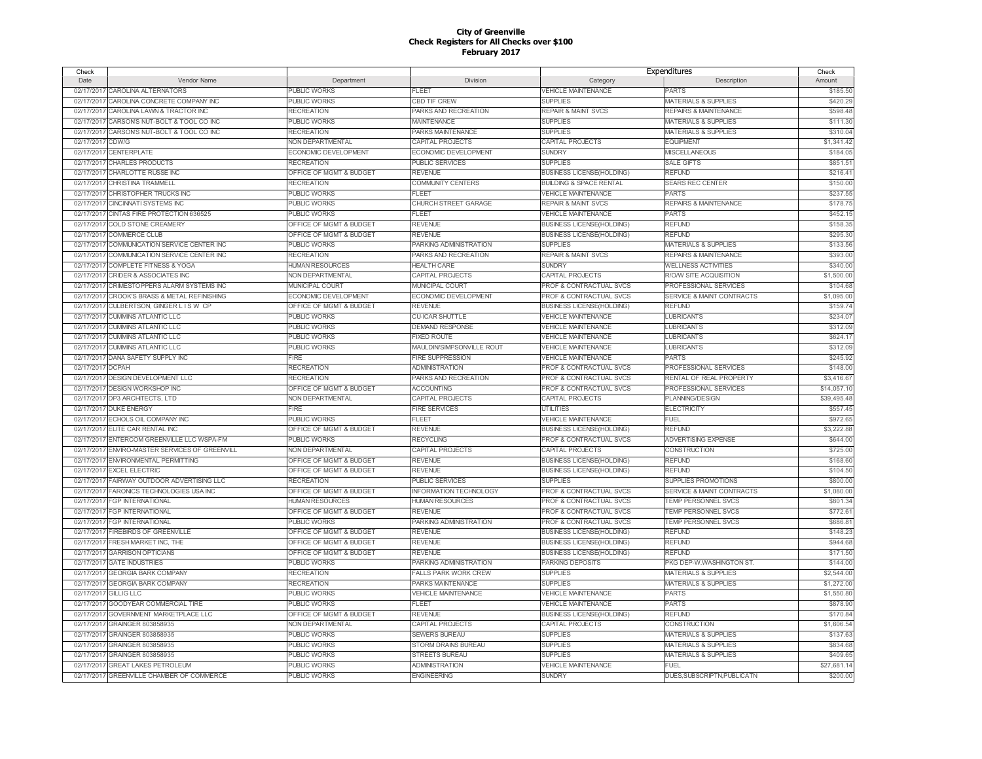| Check            |                                                |                         |                               | Expenditures                       |                                      | Check       |
|------------------|------------------------------------------------|-------------------------|-------------------------------|------------------------------------|--------------------------------------|-------------|
| Date             | Vendor Name                                    | Department              | Division                      | Category                           | Description                          | Amount      |
|                  | 02/17/2017 CAROLINA ALTERNATORS                | PUBLIC WORKS            | FLEET                         | VEHICLE MAINTENANCE                | <b>PARTS</b>                         | \$185.50    |
| 02/17/2017       | CAROLINA CONCRETE COMPANY INC                  | <b>PUBLIC WORKS</b>     | <b>CBD TIF CREW</b>           | <b>SUPPLIES</b>                    | <b>MATERIALS &amp; SUPPLIES</b>      | \$420.29    |
| 02/17/2017       | CAROLINA LAWN & TRACTOR INC                    | <b>RECREATION</b>       | PARKS AND RECREATION          | REPAIR & MAINT SVCS                | <b>REPAIRS &amp; MAINTENANCE</b>     | \$598.48    |
|                  | 02/17/2017 CARSONS NUT-BOLT & TOOL CO INC      | <b>PUBLIC WORKS</b>     | <b>MAINTENANCE</b>            | <b>SUPPLIES</b>                    | <b>MATERIALS &amp; SUPPLIES</b>      | \$111.30    |
| 02/17/2017       | CARSONS NUT-BOLT & TOOL CO INC                 | <b>RECREATION</b>       | PARKS MAINTENANCE             | <b>SUPPLIES</b>                    | <b>MATERIALS &amp; SUPPLIES</b>      | \$310.04    |
| 02/17/2017       | CDW/G                                          | NON DEPARTMENTAL        | <b>CAPITAL PROJECTS</b>       | <b>CAPITAL PROJECTS</b>            | <b>EQUIPMENT</b>                     | \$1,341.42  |
|                  | 02/17/2017 CENTERPLATE                         | ECONOMIC DEVELOPMENT    | ECONOMIC DEVELOPMENT          | <b>SUNDRY</b>                      | MISCELLANEOUS                        | \$184.0     |
|                  | 02/17/2017 CHARLES PRODUCTS                    | <b>RECREATION</b>       | <b>PUBLIC SERVICES</b>        | <b>SUPPLIES</b>                    | <b>SALE GIFTS</b>                    | \$851.5     |
| 02/17/2017       | CHARLOTTE RUSSE INC                            | OFFICE OF MGMT & BUDGET | <b>REVENUE</b>                | <b>BUSINESS LICENSE(HOLDING)</b>   | <b>REFUND</b>                        | \$216.4     |
| 02/17/2017       | <b>CHRISTINA TRAMMELL</b>                      | <b>RECREATION</b>       | <b>COMMUNITY CENTERS</b>      | <b>BUILDING &amp; SPACE RENTAL</b> | <b>SEARS REC CENTER</b>              | \$150.00    |
|                  |                                                |                         | FLEET                         |                                    | <b>PARTS</b>                         |             |
|                  | 02/17/2017 CHRISTOPHER TRUCKS INC              | <b>PUBLIC WORKS</b>     |                               | <b>VEHICLE MAINTENANCE</b>         |                                      | \$237.55    |
|                  | 02/17/2017 CINCINNATI SYSTEMS INC              | <b>PUBLIC WORKS</b>     | CHURCH STREET GARAGE          | <b>REPAIR &amp; MAINT SVCS</b>     | <b>REPAIRS &amp; MAINTENANCE</b>     | \$178.7     |
| 02/17/2017       | CINTAS FIRE PROTECTION 636525                  | <b>PUBLIC WORKS</b>     | <b>FLEET</b>                  | <b>VEHICLE MAINTENANCE</b>         | <b>PARTS</b>                         | \$452.1     |
| 02/17/2017       | COLD STONE CREAMERY                            | OFFICE OF MGMT & BUDGET | <b>REVENUE</b>                | <b>BUSINESS LICENSE(HOLDING)</b>   | <b>REFUND</b>                        | \$158.35    |
| 02/17/2017       | <b>COMMERCE CLUB</b>                           | OFFICE OF MGMT & BUDGET | <b>REVENUE</b>                | <b>BUSINESS LICENSE(HOLDING)</b>   | <b>REFUND</b>                        | \$295.30    |
| 02/17/2017       | COMMUNICATION SERVICE CENTER INC               | <b>PUBLIC WORKS</b>     | PARKING ADMINISTRATION        | <b>SUPPLIES</b>                    | <b>MATERIALS &amp; SUPPLIES</b>      | \$133.56    |
| 02/17/2017       | COMMUNICATION SERVICE CENTER INC               | <b>RECREATION</b>       | PARKS AND RECREATION          | <b>REPAIR &amp; MAINT SVCS</b>     | <b>REPAIRS &amp; MAINTENANCE</b>     | \$393.00    |
| 02/17/2017       | <b>COMPLETE FITNESS &amp; YOGA</b>             | <b>HUMAN RESOURCES</b>  | <b>HEALTH CARE</b>            | <b>SUNDRY</b>                      | <b>WELLNESS ACTIVITIES</b>           | \$340.00    |
| 02/17/2017       | <b>CRIDER &amp; ASSOCIATES INC</b>             | NON DEPARTMENTAL        | <b>CAPITAL PROJECTS</b>       | CAPITAL PROJECTS                   | R/O/W SITE ACQUISITION               | \$1,500.00  |
| 02/17/2017       | CRIMESTOPPERS ALARM SYSTEMS INC                | MUNICIPAL COURT         | MUNICIPAL COURT               | PROF & CONTRACTUAL SVCS            | PROFESSIONAL SERVICES                | \$104.68    |
| 02/17/2017       | CROOK'S BRASS & METAL REFINISHING              | ECONOMIC DEVELOPMENT    | ECONOMIC DEVELOPMENT          | PROF & CONTRACTUAL SVCS            | <b>SERVICE &amp; MAINT CONTRACTS</b> | \$1,095.00  |
| 02/17/2017       | CULBERTSON, GINGER L IS W CP                   | OFFICE OF MGMT & BUDGET | <b>REVENUE</b>                | <b>BUSINESS LICENSE(HOLDING)</b>   | <b>REFUND</b>                        | \$159.74    |
| 02/17/2017       | <b>CUMMINS ATLANTIC LLC</b>                    | <b>PUBLIC WORKS</b>     | <b>CU-ICAR SHUTTLE</b>        | <b>VEHICLE MAINTENANCE</b>         | <b>LUBRICANTS</b>                    | \$234.0     |
| 02/17/2017       | <b>CUMMINS ATLANTIC LLC</b>                    | <b>PUBLIC WORKS</b>     | <b>DEMAND RESPONSE</b>        | <b>VEHICLE MAINTENANCE</b>         | <b>LUBRICANTS</b>                    | \$312.0     |
|                  | 02/17/2017 CUMMINS ATLANTIC LLC                | <b>PUBLIC WORKS</b>     | <b>FIXED ROUTE</b>            | <b>VEHICLE MAINTENANCE</b>         | <b>LUBRICANTS</b>                    | \$624.1     |
| 02/17/2017       | <b>CUMMINS ATLANTIC LLC</b>                    | PUBLIC WORKS            | MAULDIN/SIMPSONVILLE ROUT     | <b>VEHICLE MAINTENANCE</b>         | <b>LUBRICANTS</b>                    | \$312.09    |
|                  | 02/17/2017 DANA SAFETY SUPPLY INC              | <b>FIRE</b>             | <b>FIRE SUPPRESSION</b>       | <b>VEHICLE MAINTENANCE</b>         | <b>PARTS</b>                         | \$245.92    |
| 02/17/2017 DCPAH |                                                | <b>RECREATION</b>       | <b>ADMINISTRATION</b>         | PROF & CONTRACTUAL SVCS            | PROFESSIONAL SERVICES                | \$148.0     |
|                  | 02/17/2017 DESIGN DEVELOPMENT LLC              | <b>RECREATION</b>       | PARKS AND RECREATION          | <b>PROF &amp; CONTRACTUAL SVCS</b> | RENTAL OF REAL PROPERTY              | \$3,416.6   |
| 02/17/2017       | DESIGN WORKSHOP INC                            | OFFICE OF MGMT & BUDGET | <b>ACCOUNTING</b>             | PROF & CONTRACTUAL SVCS            | PROFESSIONAL SERVICES                | \$14,057.1  |
|                  | 02/17/2017 DP3 ARCHITECTS, LTD                 | NON DEPARTMENTAL        | CAPITAL PROJECTS              | CAPITAL PROJECTS                   | PLANNING/DESIGN                      | \$39,495.48 |
|                  | 02/17/2017 DUKE ENERGY                         | <b>FIRE</b>             | <b>FIRE SERVICES</b>          | <b>UTILITIES</b>                   | <b>ELECTRICITY</b>                   | \$557.45    |
|                  | 02/17/2017 ECHOLS OIL COMPANY INC              | PUBLIC WORKS            | <b>FLEET</b>                  | <b>VEHICLE MAINTENANCE</b>         | <b>FUEL</b>                          | \$972.6     |
|                  | ELITE CAR RENTAL INC                           | OFFICE OF MGMT & BUDGET | <b>REVENUE</b>                |                                    | <b>REFUND</b>                        | \$3,222.88  |
| 02/17/2017       |                                                |                         |                               | <b>BUSINESS LICENSE(HOLDING)</b>   |                                      |             |
|                  | 02/17/2017 ENTERCOM GREENVILLE LLC WSPA-FM     | <b>PUBLIC WORKS</b>     | <b>RECYCLING</b>              | PROF & CONTRACTUAL SVCS            | ADVERTISING EXPENSE                  | \$644.00    |
|                  | 02/17/2017 ENVIRO-MASTER SERVICES OF GREENVILL | NON DEPARTMENTAL        | CAPITAL PROJECTS              | <b>CAPITAL PROJECTS</b>            | <b>CONSTRUCTION</b>                  | \$725.00    |
|                  | 02/17/2017 ENVIRONMENTAL PERMITTING            | OFFICE OF MGMT & BUDGET | <b>REVENUE</b>                | <b>BUSINESS LICENSE(HOLDING)</b>   | <b>REFUND</b>                        | \$168.6     |
| 02/17/2017       | <b>EXCEL ELECTRIC</b>                          | OFFICE OF MGMT & BUDGET | <b>REVENUE</b>                | <b>BUSINESS LICENSE(HOLDING)</b>   | <b>REFUND</b>                        | \$104.50    |
| 02/17/2017       | FAIRWAY OUTDOOR ADVERTISING LLC                | <b>RECREATION</b>       | PUBLIC SERVICES               | <b>SUPPLIES</b>                    | SUPPLIES PROMOTIONS                  | \$800.00    |
| 02/17/2017       | FARONICS TECHNOLOGIES USA INC                  | OFFICE OF MGMT & BUDGET | <b>INFORMATION TECHNOLOGY</b> | PROF & CONTRACTUAL SVCS            | SERVICE & MAINT CONTRACTS            | \$1,080.0   |
|                  | 02/17/2017 FGP INTERNATIONAL                   | <b>HUMAN RESOURCES</b>  | <b>HUMAN RESOURCES</b>        | PROF & CONTRACTUAL SVCS            | TEMP PERSONNEL SVCS                  | \$801.34    |
|                  | 02/17/2017 FGP INTERNATIONAL                   | OFFICE OF MGMT & BUDGET | <b>REVENUE</b>                | PROF & CONTRACTUAL SVCS            | TEMP PERSONNEL SVCS                  | \$772.6     |
| 02/17/2017       | <b>FGP INTERNATIONAL</b>                       | <b>PUBLIC WORKS</b>     | PARKING ADMINISTRATION        | PROF & CONTRACTUAL SVCS            | TEMP PERSONNEL SVCS                  | \$686.8     |
| 02/17/2017       | <b>FIREBIRDS OF GREENVILLE</b>                 | OFFICE OF MGMT & BUDGET | <b>REVENUE</b>                | <b>BUSINESS LICENSE(HOLDING)</b>   | <b>REFUND</b>                        | \$148.2     |
|                  | 02/17/2017 FRESH MARKET INC, THE               | OFFICE OF MGMT & BUDGET | <b>REVENUE</b>                | <b>BUSINESS LICENSE(HOLDING)</b>   | <b>REFUND</b>                        | \$944.68    |
| 02/17/2017       | <b>GARRISON OPTICIANS</b>                      | OFFICE OF MGMT & BUDGET | <b>REVENUE</b>                | <b>BUSINESS LICENSE(HOLDING)</b>   | REFUND                               | \$171.50    |
|                  | 02/17/2017 GATE INDUSTRIES                     | <b>PUBLIC WORKS</b>     | PARKING ADMINISTRATION        | PARKING DEPOSITS                   | PKG DEP-W.WASHINGTON ST.             | \$144.00    |
| 02/17/2017       | <b>GEORGIA BARK COMPANY</b>                    | <b>RECREATION</b>       | <b>FALLS PARK WORK CREW</b>   | <b>SUPPLIES</b>                    | <b>MATERIALS &amp; SUPPLIES</b>      | \$2,544.00  |
|                  | 02/17/2017 GEORGIA BARK COMPANY                | <b>RECREATION</b>       | PARKS MAINTENANCE             | <b>SUPPLIES</b>                    | <b>MATERIALS &amp; SUPPLIES</b>      | \$1,272.00  |
|                  | 02/17/2017 GILLIG LLC                          | <b>PUBLIC WORKS</b>     | <b>VEHICLE MAINTENANCE</b>    | <b>VEHICLE MAINTENANCE</b>         | <b>PARTS</b>                         | \$1,550.80  |
| 02/17/2017       | GOODYEAR COMMERCIAL TIRE                       | <b>PUBLIC WORKS</b>     | <b>FLEET</b>                  | <b>VEHICLE MAINTENANCE</b>         | <b>PARTS</b>                         | \$878.90    |
| 02/17/2017       | <b>GOVERNMENT MARKETPLACE LLC</b>              | OFFICE OF MGMT & BUDGET | <b>REVENUE</b>                | <b>BUSINESS LICENSE(HOLDING)</b>   | <b>REFUND</b>                        | \$170.8     |
| 02/17/2017       | GRAINGER 803858935                             | NON DEPARTMENTAL        | CAPITAL PROJECTS              | CAPITAL PROJECTS                   | <b>CONSTRUCTION</b>                  | \$1,606.54  |
| 02/17/2017       | GRAINGER 803858935                             | <b>PUBLIC WORKS</b>     | <b>SEWERS BUREAU</b>          | <b>SUPPLIES</b>                    | <b>MATERIALS &amp; SUPPLIES</b>      | \$137.6     |
| 02/17/2017       | GRAINGER 803858935                             | <b>PUBLIC WORKS</b>     | STORM DRAINS BUREAU           | <b>SUPPLIES</b>                    | <b>MATERIALS &amp; SUPPLIES</b>      | \$834.68    |
| 02/17/2017       | GRAINGER 803858935                             | <b>PUBLIC WORKS</b>     | <b>STREETS BUREAU</b>         | <b>SUPPLIES</b>                    | <b>MATERIALS &amp; SUPPLIES</b>      | \$409.6     |
|                  | 02/17/2017 GREAT LAKES PETROLEUM               | <b>PUBLIC WORKS</b>     | <b>ADMINISTRATION</b>         | <b>VEHICLE MAINTENANCE</b>         | <b>FUEL</b>                          | \$27,681.14 |
|                  | 02/17/2017 GREENVILLE CHAMBER OF COMMERCE      | <b>PUBLIC WORKS</b>     | <b>ENGINEERING</b>            | <b>SUNDRY</b>                      |                                      | \$200.00    |
|                  |                                                |                         |                               |                                    | DUES.SUBSCRIPTN.PUBLICATN            |             |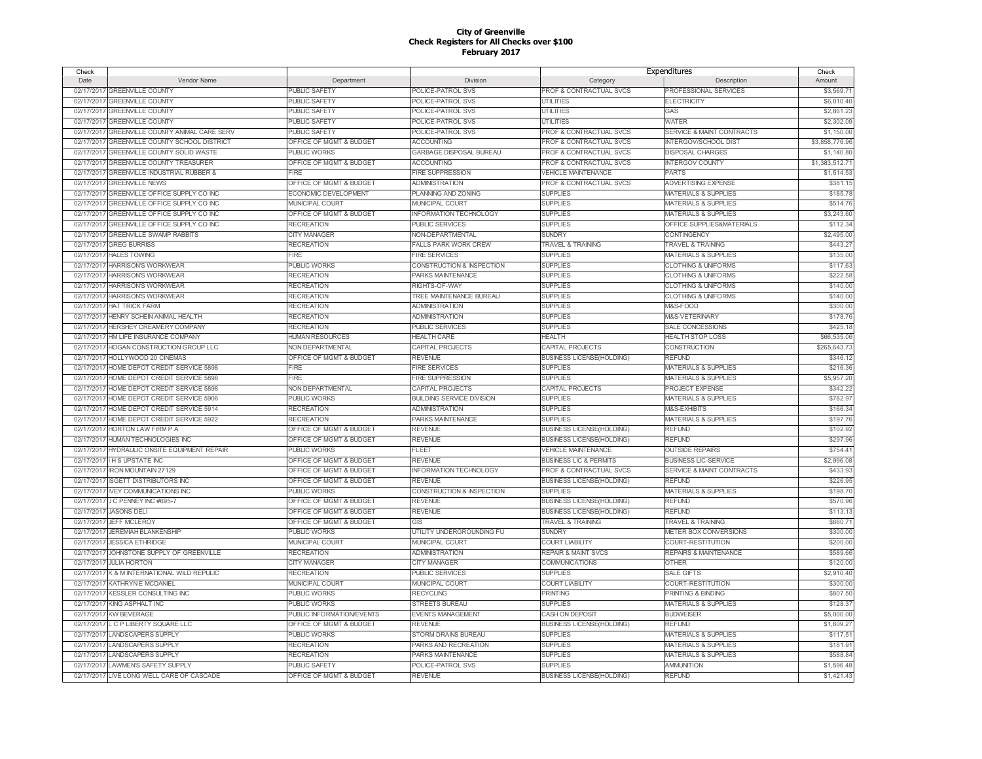| Check      |                                              |                           |                                  | Expenditures                       |                                      | Check          |
|------------|----------------------------------------------|---------------------------|----------------------------------|------------------------------------|--------------------------------------|----------------|
| Date       | Vendor Name                                  | Department                | Division                         | Category                           | Description                          | Amount         |
|            | 02/17/2017 GREENVILLE COUNTY                 | PUBLIC SAFETY             | POLICE-PATROL SVS                | PROF & CONTRACTUAL SVCS            | PROFESSIONAL SERVICES                | \$3.569.7'     |
| 02/17/2017 | <b>GREENVILLE COUNTY</b>                     | <b>PUBLIC SAFETY</b>      | POLICE-PATROL SVS                | <b>UTILITIES</b>                   | <b>ELECTRICITY</b>                   | \$6,010.40     |
| 02/17/2017 | <b>GREENVILLE COUNTY</b>                     | <b>PUBLIC SAFETY</b>      | POLICE-PATROL SVS                | <b>UTILITIES</b>                   | GAS                                  | \$2,861.23     |
| 02/17/2017 | <b>GREENVILLE COUNTY</b>                     | PUBLIC SAFETY             | POLICE-PATROL SVS                | <b>UTILITIES</b>                   | <b>WATER</b>                         | \$2,302.09     |
| 02/17/2017 | GREENVILLE COUNTY ANIMAL CARE SERV           | <b>PUBLIC SAFETY</b>      | POLICE-PATROL SVS                | PROF & CONTRACTUAL SVCS            | SERVICE & MAINT CONTRACTS            | \$1,150.0      |
| 02/17/2017 | GREENVILLE COUNTY SCHOOL DISTRICT            | OFFICE OF MGMT & BUDGET   | <b>ACCOUNTING</b>                | PROF & CONTRACTUAL SVCS            | <b>INTERGOV/SCHOOL DIST</b>          | \$3,858,776.96 |
| 02/17/2017 | <b>GREENVILLE COUNTY SOLID WASTE</b>         | <b>PUBLIC WORKS</b>       | GARBAGE DISPOSAL BUREAU          | <b>PROF &amp; CONTRACTUAL SVCS</b> | <b>DISPOSAL CHARGES</b>              | \$1,140.80     |
| 02/17/2017 | <b>GREENVILLE COUNTY TREASURER</b>           | OFFICE OF MGMT & BUDGET   | <b>ACCOUNTING</b>                | PROF & CONTRACTUAL SVCS            | <b>INTERGOV COUNTY</b>               | \$1,383,512.7  |
| 02/17/2017 | <b>GREENVILLE INDUSTRIAL RUBBER &amp;</b>    | FIRE                      | FIRE SUPPRESSION                 | <b>VEHICLE MAINTENANCE</b>         | <b>PARTS</b>                         | \$1,514.53     |
| 02/17/2017 | <b>GREENVILLE NEWS</b>                       | OFFICE OF MGMT & BUDGET   | <b>ADMINISTRATION</b>            | PROF & CONTRACTUAL SVCS            | <b>ADVERTISING EXPENSE</b>           | \$381.15       |
| 02/17/2017 | GREENVILLE OFFICE SUPPLY CO INC              | ECONOMIC DEVELOPMENT      | PLANNING AND ZONING              | <b>SUPPLIES</b>                    | <b>MATERIALS &amp; SUPPLIES</b>      | \$185.78       |
| 02/17/2017 | GREENVILLE OFFICE SUPPLY CO INC              | <b>MUNICIPAL COURT</b>    | <b>MUNICIPAL COURT</b>           | <b>SUPPLIES</b>                    | <b>MATERIALS &amp; SUPPLIES</b>      | \$514.76       |
|            |                                              |                           |                                  |                                    |                                      |                |
|            | 02/17/2017 GREENVILLE OFFICE SUPPLY CO INC   | OFFICE OF MGMT & BUDGET   | <b>INFORMATION TECHNOLOGY</b>    | <b>SUPPLIES</b>                    | <b>MATERIALS &amp; SUPPLIES</b>      | \$3,243.60     |
| 02/17/2017 | GREENVILLE OFFICE SUPPLY CO INC              | <b>RECREATION</b>         | <b>PUBLIC SERVICES</b>           | <b>SUPPLIES</b>                    | OFFICE SUPPLIES&MATERIALS            | \$112.34       |
| 02/17/2017 | <b>GREENVILLE SWAMP RABBITS</b>              | CITY MANAGER              | NON-DEPARTMENTAL                 | <b>SUNDRY</b>                      | CONTINGENCY                          | \$2,495.00     |
| 02/17/2017 | <b>GREG BURRISS</b>                          | <b>RECREATION</b>         | <b>FALLS PARK WORK CREW</b>      | <b>TRAVEL &amp; TRAINING</b>       | <b>TRAVEL &amp; TRAINING</b>         | \$443.27       |
|            | 02/17/2017 HALES TOWING                      | FIRE                      | <b>FIRE SERVICES</b>             | <b>SUPPLIES</b>                    | <b>MATERIALS &amp; SUPPLIES</b>      | \$135.00       |
| 02/17/2017 | HARRISON'S WORKWEAR                          | PUBLIC WORKS              | CONSTRUCTION & INSPECTION        | <b>SUPPLIES</b>                    | <b>CLOTHING &amp; UNIFORMS</b>       | \$117.6        |
| 02/17/2017 | <b>HARRISONS WORKWEAR</b>                    | <b>RECREATION</b>         | PARKS MAINTENANCE                | <b>SUPPLIES</b>                    | <b>CLOTHING &amp; UNIFORMS</b>       | \$222.58       |
|            | 02/17/2017 HARRISONS WORKWEAR                | <b>RECREATION</b>         | RIGHTS-OF-WAY                    | <b>SUPPLIES</b>                    | <b>CLOTHING &amp; UNIFORMS</b>       | \$140.00       |
|            | 02/17/2017 HARRISONS WORKWEAR                | <b>RECREATION</b>         | TREE MAINTENANCE BUREAU          | <b>SUPPLIES</b>                    | <b>CLOTHING &amp; UNIFORMS</b>       | \$140.00       |
|            | 02/17/2017 HAT TRICK FARM                    | <b>RECREATION</b>         | ADMINISTRATION                   | <b>SUPPLIES</b>                    | M&S-FOOD                             | \$300.00       |
|            | 02/17/2017 HENRY SCHEIN ANIMAL HEALTH        | <b>RECREATION</b>         | <b>ADMINISTRATION</b>            | <b>SUPPLIES</b>                    | M&S-VETERINARY                       | \$178.76       |
|            | 02/17/2017 HERSHEY CREAMERY COMPANY          | <b>RECREATION</b>         | <b>PUBLIC SERVICES</b>           | <b>SUPPLIES</b>                    | SALE CONCESSIONS                     | \$425.1        |
|            | 02/17/2017 HM LIFE INSURANCE COMPANY         | <b>HUMAN RESOURCES</b>    | <b>HEALTH CARE</b>               | <b>HEALTH</b>                      | <b>HEALTH STOP LOSS</b>              | \$66,535.06    |
| 02/17/2017 | HOGAN CONSTRUCTION GROUP LLC                 | NON DEPARTMENTAL          | CAPITAL PROJECTS                 | CAPITAL PROJECTS                   | CONSTRUCTION                         | \$265,643.7    |
|            | 02/17/2017 HOLLYWOOD 20 CINEMAS              | OFFICE OF MGMT & BUDGET   | <b>REVENUE</b>                   | <b>BUSINESS LICENSE(HOLDING)</b>   | <b>REFUND</b>                        | \$346.12       |
| 02/17/2017 | HOME DEPOT CREDIT SERVICE 5898               | <b>FIRF</b>               | <b>FIRE SERVICES</b>             | <b>SUPPLIES</b>                    | <b>MATERIALS &amp; SUPPLIES</b>      | \$216.36       |
|            | 02/17/2017 HOME DEPOT CREDIT SERVICE 5898    | FIRE                      | <b>FIRE SUPPRESSION</b>          | <b>SUPPLIES</b>                    | <b>MATERIALS &amp; SUPPLIES</b>      | \$5,957.20     |
|            | 02/17/2017 HOME DEPOT CREDIT SERVICE 5898    | NON DEPARTMENTAL          | CAPITAL PROJECTS                 | CAPITAL PROJECTS                   | PROJECT EXPENSE                      | \$342.22       |
|            | 02/17/2017 HOME DEPOT CREDIT SERVICE 5906    | <b>PUBLIC WORKS</b>       | <b>BUILDING SERVICE DIVISION</b> | <b>SUPPLIES</b>                    | MATERIALS & SUPPLIES                 | \$782.97       |
|            | 02/17/2017 HOME DEPOT CREDIT SERVICE 5914    | <b>RECREATION</b>         | <b>ADMINISTRATION</b>            | <b>SUPPLIES</b>                    | M&S-EXHIBITS                         | \$166.34       |
|            | 02/17/2017 HOME DEPOT CREDIT SERVICE 5922    | <b>RECREATION</b>         | PARKS MAINTENANCE                | <b>SUPPLIES</b>                    | <b>MATERIALS &amp; SUPPLIES</b>      | \$197.76       |
|            | 02/17/2017 HORTON LAW FIRM P A               | OFFICE OF MGMT & BUDGET   | <b>REVENUE</b>                   | <b>BUSINESS LICENSE(HOLDING)</b>   | <b>REFUND</b>                        | \$102.92       |
|            | 02/17/2017 HUMAN TECHNOLOGIES INC            | OFFICE OF MGMT & BUDGET   | <b>REVENUE</b>                   | <b>BUSINESS LICENSE(HOLDING)</b>   | <b>REFUND</b>                        | \$297.96       |
|            | 02/17/2017 HYDRAULIC ONSITE EQUIPMENT REPAIR | <b>PUBLIC WORKS</b>       | <b>FLEET</b>                     | <b>VEHICLE MAINTENANCE</b>         | <b>OUTSIDE REPAIRS</b>               | \$754.4        |
|            |                                              |                           |                                  |                                    |                                      |                |
|            | 02/17/2017 I H S UPSTATE INC                 | OFFICE OF MGMT & BUDGET   | <b>REVENUE</b>                   | <b>BUSINESS LIC &amp; PERMITS</b>  | <b>BUSINESS LIC-SERVICE</b>          | \$2,996.08     |
| 02/17/2017 | <b>IRON MOUNTAIN 27129</b>                   | OFFICE OF MGMT & BUDGET   | <b>INFORMATION TECHNOLOGY</b>    | PROF & CONTRACTUAL SVCS            | <b>SERVICE &amp; MAINT CONTRACTS</b> | \$433.93       |
|            | 02/17/2017 ISGETT DISTRIBUTORS INC           | OFFICE OF MGMT & BUDGET   | <b>REVENUE</b>                   | <b>BUSINESS LICENSE(HOLDING)</b>   | <b>REELIND</b>                       | \$226.95       |
| 02/17/2017 | <b>IVEY COMMUNICATIONS INC</b>               | <b>PUBLIC WORKS</b>       | CONSTRUCTION & INSPECTION        | <b>SUPPLIES</b>                    | <b>MATERIALS &amp; SUPPLIES</b>      | \$198.7        |
|            | 02/17/2017 J C PENNEY INC #695-7             | OFFICE OF MGMT & BUDGET   | <b>REVENUE</b>                   | <b>BUSINESS LICENSE(HOLDING)</b>   | <b>REFUND</b>                        | \$570.96       |
| 02/17/2017 | <b>JASONS DELI</b>                           | OFFICE OF MGMT & BUDGET   | <b>REVENUE</b>                   | <b>BUSINESS LICENSE(HOLDING)</b>   | <b>REFUND</b>                        | \$113.1        |
|            | 02/17/2017 JEFF MCLEROY                      | OFFICE OF MGMT & BUDGET   | GIS                              | <b>TRAVEL &amp; TRAINING</b>       | <b>TRAVEL &amp; TRAINING</b>         | \$660.7        |
| 02/17/2017 | <b>JEREMIAH BLANKENSHIP</b>                  | <b>PUBLIC WORKS</b>       | UTILITY UNDERGROUNDING FU        | <b>SUNDRY</b>                      | METER BOX CONVERSIONS                | \$300.00       |
|            | 02/17/2017 JESSICA ETHRIDGE                  | <b>MUNICIPAL COURT</b>    | MUNICIPAL COURT                  | <b>COURT LIABILITY</b>             | COURT-RESTITUTION                    | \$200.00       |
| 02/17/2017 | JOHNSTONE SUPPLY OF GREENVILLE               | <b>RECREATION</b>         | <b>ADMINISTRATION</b>            | <b>REPAIR &amp; MAINT SVCS</b>     | <b>REPAIRS &amp; MAINTENANCE</b>     | \$589.66       |
|            | 02/17/2017 JULIA HORTON                      | <b>CITY MANAGER</b>       | <b>CITY MANAGER</b>              | COMMUNICATIONS                     | <b>OTHER</b>                         | \$120.00       |
|            | 02/17/2017 K & M INTERNATIONAL WILD REPULIC  | <b>RECREATION</b>         | <b>PUBLIC SERVICES</b>           | <b>SUPPLIES</b>                    | <b>SALE GIFTS</b>                    | \$2,910.40     |
|            | 02/17/2017 KATHRYN E MCDANIEL                | <b>MUNICIPAL COURT</b>    | <b>MUNICIPAL COURT</b>           | <b>COURT LIABILITY</b>             | <b>COURT-RESTITUTION</b>             | \$300.00       |
|            | 02/17/2017 KESSLER CONSULTING INC            | <b>PUBLIC WORKS</b>       | <b>RECYCLING</b>                 | <b>PRINTING</b>                    | PRINTING & BINDING                   | \$807.50       |
|            | 02/17/2017 KING ASPHALT INC                  | <b>PUBLIC WORKS</b>       | STREETS BUREAU                   | <b>SUPPLIES</b>                    | <b>MATERIALS &amp; SUPPLIES</b>      | \$128.37       |
|            | 02/17/2017 KW BEVERAGE                       | PUBLIC INFORMATION/EVENTS | <b>EVENTS MANAGEMENT</b>         | CASH ON DEPOSIT                    | <b>BUDWEISER</b>                     | \$5,000.00     |
| 02/17/2017 | L C P LIBERTY SQUARE LLC                     | OFFICE OF MGMT & BUDGET   | <b>REVENUE</b>                   | <b>BUSINESS LICENSE(HOLDING)</b>   | <b>REFUND</b>                        | \$1,609.27     |
| 02/17/2017 | <b>LANDSCAPERS SUPPLY</b>                    | <b>PUBLIC WORKS</b>       | STORM DRAINS BUREAU              | <b>SUPPLIES</b>                    | <b>MATERIALS &amp; SUPPLIES</b>      | \$117.5'       |
| 02/17/2017 | <b>LANDSCAPERS SUPPLY</b>                    | <b>RECREATION</b>         | PARKS AND RECREATION             | <b>SUPPLIES</b>                    | <b>MATERIALS &amp; SUPPLIES</b>      | \$181.9        |
| 02/17/2017 | <b>LANDSCAPERS SUPPLY</b>                    | <b>RECREATION</b>         | PARKS MAINTENANCE                | <b>SUPPLIES</b>                    | <b>MATERIALS &amp; SUPPLIES</b>      | \$588.8        |
|            | 02/17/2017 LAWMEN'S SAFETY SUPPLY            | <b>PUBLIC SAFETY</b>      | POLICE-PATROL SVS                | <b>SUPPLIES</b>                    | <b>AMMUNITION</b>                    | \$1,596.48     |
|            |                                              |                           |                                  |                                    |                                      |                |
|            | 02/17/2017 LIVE LONG WELL CARE OF CASCADE    | OFFICE OF MGMT & BUDGET   | <b>REVENUE</b>                   | <b>BUSINESS LICENSE(HOLDING)</b>   | <b>REFUND</b>                        | \$1,421.43     |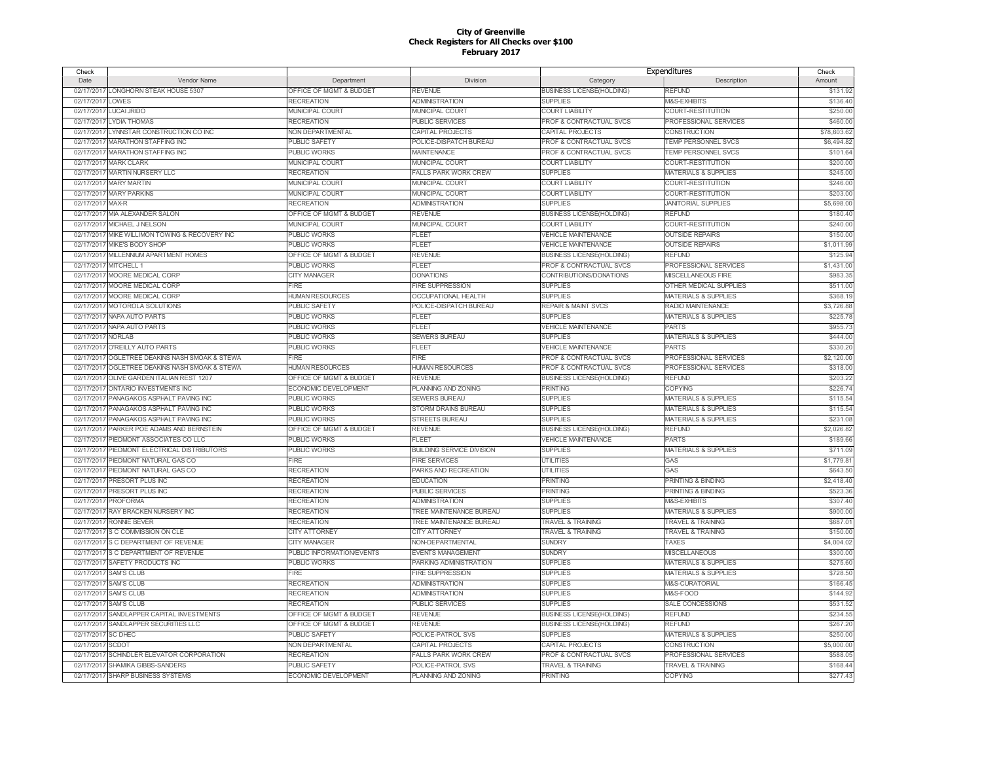| Check              |                                                |                           |                                       | Expenditures                       |                                 | Check      |
|--------------------|------------------------------------------------|---------------------------|---------------------------------------|------------------------------------|---------------------------------|------------|
| Date               | Vendor Name                                    | Department                | Division                              | Category                           | Description                     | Amount     |
|                    | 02/17/2017 LONGHORN STEAK HOUSE 5307           | OFFICE OF MGMT & BUDGET   | <b>REVENUE</b>                        | <b>BUSINESS LICENSE(HOLDING)</b>   | <b>REFUND</b>                   | \$131.92   |
| 02/17/2017         | LOWES                                          | <b>RECREATION</b>         | <b>ADMINISTRATION</b>                 | <b>SUPPLIES</b>                    | M&S-EXHIBITS                    | \$136.40   |
| 02/17/2017         | <b>LUCAI JRIDO</b>                             | <b>MUNICIPAL COURT</b>    | <b>MUNICIPAL COURT</b>                | <b>COURT LIABILITY</b>             | COURT-RESTITUTION               | \$250.00   |
| 02/17/2017         | <b>LYDIA THOMAS</b>                            | <b>RECREATION</b>         | PUBLIC SERVICES                       | PROF & CONTRACTUAL SVCS            | PROFESSIONAL SERVICES           | \$460.00   |
| 02/17/2017         | LYNNSTAR CONSTRUCTION CO INC                   | <b>NON DEPARTMENTAL</b>   | CAPITAL PROJECTS                      | CAPITAL PROJECTS                   | <b>CONSTRUCTION</b>             | \$78,603.6 |
| 02/17/2017         | <b>MARATHON STAFFING INC</b>                   | PUBLIC SAFETY             | POLICE-DISPATCH BUREAU                | <b>PROF &amp; CONTRACTUAL SVCS</b> | <b>TEMP PERSONNEL SVCS</b>      | \$6,494.82 |
| 02/17/2017         | <b>MARATHON STAFFING INC</b>                   | PUBLIC WORKS              | <b>MAINTENANCE</b>                    | PROF & CONTRACTUAL SVCS            | TEMP PERSONNEL SVCS             | \$101.64   |
| 02/17/2011         | <b>MARK CLARK</b>                              | MUNICIPAL COURT           | MUNICIPAL COURT                       | <b>COURT LIABILITY</b>             | COURT-RESTITUTION               | \$200.0    |
| 02/17/2017         | <b>MARTIN NURSERY LLC</b>                      | <b>RECREATION</b>         | <b>FALLS PARK WORK CREW</b>           | <b>SUPPLIES</b>                    | <b>MATERIALS &amp; SUPPLIES</b> | \$245.0    |
| 02/17/2011         | <b>MARY MARTIN</b>                             | MUNICIPAL COURT           | MUNICIPAL COURT                       | <b>COURT LIABILITY</b>             | COURT-RESTITUTION               | \$246.00   |
| 02/17/2017         | <b>MARY PARKINS</b>                            | <b>MUNICIPAL COURT</b>    | <b>MUNICIPAL COURT</b>                | <b>COURT LIABILITY</b>             | COURT-RESTITUTION               | \$203.0    |
| 02/17/2017         | MAX-R                                          | <b>RECREATION</b>         | <b>ADMINISTRATION</b>                 | <b>SUPPLIES</b>                    | <b>JANITORIAL SUPPLIES</b>      | \$5,698.0  |
| 02/17/2017         | MIA ALEXANDER SALON                            | OFFICE OF MGMT & BUDGET   | <b>REVENUE</b>                        | <b>BUSINESS LICENSE(HOLDING)</b>   | <b>REFUND</b>                   | \$180.4    |
| 02/17/2017         | MICHAEL J NELSON                               | MUNICIPAL COURT           | MUNICIPAL COURT                       | <b>COURT LIABILITY</b>             | COURT-RESTITUTION               | \$240.00   |
| 02/17/2017         |                                                | PUBLIC WORKS              | <b>FLEET</b>                          | <b>VEHICLE MAINTENANCE</b>         | <b>OUTSIDE REPAIRS</b>          |            |
|                    | MIKE WILLIMON TOWING & RECOVERY INC            |                           |                                       |                                    |                                 | \$150.00   |
| 02/17/2017         | MIKE'S BODY SHOP                               | <b>PUBLIC WORKS</b>       | FLEET                                 | <b>VEHICLE MAINTENANCE</b>         | <b>OUTSIDE REPAIRS</b>          | \$1,011.99 |
| 02/17/2017         | MILLENNIUM APARTMENT HOMES                     | OFFICE OF MGMT & BUDGET   | REVENUE                               | <b>BUSINESS LICENSE(HOLDING)</b>   | <b>REFUND</b>                   | \$125.9    |
| 02/17/2017         | MITCHELL 1                                     | PUBLIC WORKS              | FLEET                                 | PROF & CONTRACTUAL SVCS            | PROFESSIONAL SERVICES           | \$1,431.0  |
| 02/17/2017         | MOORE MEDICAL CORP                             | <b>CITY MANAGER</b>       | <b>DONATIONS</b>                      | CONTRIBUTIONS/DONATIONS            | MISCELLANEOUS FIRE              | \$983.35   |
| 02/17/2017         | MOORE MEDICAL CORF                             | FIRE                      | FIRE SUPPRESSION                      | <b>SUPPLIES</b>                    | OTHER MEDICAL SUPPLIES          | \$511.0    |
|                    | 02/17/2017 MOORE MEDICAL CORF                  | <b>HUMAN RESOURCES</b>    | <b>OCCUPATIONAL HEALTH</b>            | <b>SUPPLIES</b>                    | <b>MATERIALS &amp; SUPPLIES</b> | \$368.1    |
| 02/17/2017         | <b>MOTOROLA SOLUTIONS</b>                      | PUBLIC SAFETY             | POLICE-DISPATCH BUREAU                | <b>REPAIR &amp; MAINT SVCS</b>     | <b>RADIO MAINTENANCE</b>        | \$3,726.8  |
| 02/17/2017         | <b>NAPA AUTO PARTS</b>                         | PUBLIC WORKS              | <b>FLEET</b>                          | <b>SUPPLIES</b>                    | <b>MATERIALS &amp; SUPPLIES</b> | \$225.7    |
|                    | 02/17/2017 NAPA AUTO PARTS                     | PUBLIC WORKS              | FLEET                                 | <b>VEHICLE MAINTENANCE</b>         | <b>PARTS</b>                    | \$955.7    |
| 02/17/2017 NORLAB  |                                                | PUBLIC WORKS              | <b>SEWERS BUREAU</b>                  | <b>SUPPLIES</b>                    | <b>MATERIALS &amp; SUPPLIES</b> | \$444.0    |
| 02/17/2017         | O'REILLY AUTO PARTS                            | PUBLIC WORKS              | FLEET                                 | <b>VEHICLE MAINTENANCE</b>         | <b>PARTS</b>                    | \$330.2    |
|                    | 02/17/2017 OGLETREE DEAKINS NASH SMOAK & STEWA | <b>FIRE</b>               | <b>FIRE</b>                           | PROF & CONTRACTUAL SVCS            | PROFESSIONAL SERVICES           | \$2,120.00 |
| 02/17/2017         | OGLETREE DEAKINS NASH SMOAK & STEWA            | <b>HUMAN RESOURCES</b>    | <b>HUMAN RESOURCES</b>                | PROF & CONTRACTUAL SVCS            | PROFESSIONAL SERVICES           | \$318.00   |
|                    | 02/17/2017 OLIVE GARDEN ITALIAN REST 1207      | OFFICE OF MGMT & BUDGET   | <b>REVENUE</b>                        | <b>BUSINESS LICENSE(HOLDING)</b>   | <b>REFUND</b>                   | \$203.2    |
| 02/17/2017         | <b>ONTARIO INVESTMENTS INC</b>                 | ECONOMIC DEVELOPMENT      | PLANNING AND ZONING                   | <b>PRINTING</b>                    | <b>COPYING</b>                  | \$226.7    |
|                    | 02/17/2017 PANAGAKOS ASPHALT PAVING INC        | <b>PUBLIC WORKS</b>       | <b>SEWERS BUREAU</b>                  | <b>SUPPLIES</b>                    | <b>MATERIALS &amp; SUPPLIES</b> | \$115.54   |
|                    | 02/17/2017 PANAGAKOS ASPHALT PAVING INC        | <b>PUBLIC WORKS</b>       | <b>STORM DRAINS BUREAU</b>            | <b>SUPPLIES</b>                    | <b>MATERIALS &amp; SUPPLIES</b> | \$115.54   |
|                    | 02/17/2017 PANAGAKOS ASPHALT PAVING INC        | <b>PUBLIC WORKS</b>       | <b>STREETS BUREAU</b>                 | <b>SUPPLIES</b>                    | <b>MATERIALS &amp; SUPPLIES</b> | \$231.0    |
| 02/17/2017         | PARKER POE ADAMS AND BERNSTEIN                 | OFFICE OF MGMT & BUDGET   | REVENUE                               | <b>BUSINESS LICENSE(HOLDING)</b>   | <b>REFUND</b>                   | \$2,026.82 |
| 02/17/2017         | PIEDMONT ASSOCIATES CO LLC                     | PUBLIC WORKS              | FLEET                                 | <b>VEHICLE MAINTENANCE</b>         | <b>PARTS</b>                    | \$189.66   |
| 02/17/2017         | PIEDMONT ELECTRICAL DISTRIBUTORS               | PUBLIC WORKS              | <b>BUILDING SERVICE DIVISION</b>      | <b>SUPPLIES</b>                    | <b>MATERIALS &amp; SUPPLIES</b> | \$711.09   |
|                    | 02/17/2017 PIEDMONT NATURAL GAS CO             | FIRF                      | <b>FIRE SERVICES</b>                  | <b>UTILITIES</b>                   | GAS                             | \$1,779.8  |
| 02/17/2017         | PIEDMONT NATURAL GAS CO                        | <b>RECREATION</b>         | PARKS AND RECREATION                  | <b>UTILITIES</b>                   | GAS                             | \$643.5    |
| 02/17/2017         | PRESORT PLUS INC                               | <b>RECREATION</b>         | <b>EDUCATION</b>                      | <b>PRINTING</b>                    | <b>PRINTING &amp; BINDING</b>   | \$2,418.40 |
| 02/17/2017         | PRESORT PLUS INC                               | <b>RECREATION</b>         | PUBLIC SERVICES                       | PRINTING                           | PRINTING & BINDING              | \$523.3    |
| 02/17/2017         | <b>PROFORMA</b>                                | <b>RECREATION</b>         | <b>ADMINISTRATION</b>                 | <b>SUPPLIES</b>                    | M&S-EXHIBITS                    | \$307.4    |
| 02/17/2017         | <b>RAY BRACKEN NURSERY INC</b>                 | <b>RECREATION</b>         | <b><i>TREE MAINTENANCE BUREAU</i></b> | <b>SUPPLIES</b>                    | <b>MATERIALS &amp; SUPPLIES</b> | \$900.0    |
| 02/17/2017         | <b>RONNIE BEVER</b>                            | <b>RECREATION</b>         | TREE MAINTENANCE BUREAU               | <b>TRAVEL &amp; TRAINING</b>       | <b>TRAVEL &amp; TRAINING</b>    | \$687.0    |
|                    | 02/17/2017 S C COMMISSION ON CLE               | <b>CITY ATTORNEY</b>      | <b>CITY ATTORNEY</b>                  | <b>TRAVEL &amp; TRAINING</b>       | <b>TRAVEL &amp; TRAINING</b>    | \$150.00   |
|                    | 02/17/2017 S C DEPARTMENT OF REVENUE           | <b>CITY MANAGER</b>       | NON-DEPARTMENTAL                      | <b>SUNDRY</b>                      | TAXES                           | \$4,004.02 |
| 02/17/2017         | S C DEPARTMENT OF REVENUE                      | PUBLIC INFORMATION/EVENTS | <b>EVENTS MANAGEMENT</b>              | <b>SUNDRY</b>                      | <b>MISCELLANEOUS</b>            | \$300.0    |
| 02/17/2017         | SAFETY PRODUCTS INC                            | <b>PUBLIC WORKS</b>       | PARKING ADMINISTRATION                | <b>SUPPLIES</b>                    | <b>MATERIALS &amp; SUPPLIES</b> | \$275.60   |
| 02/17/2017         | <b>SAM'S CLUB</b>                              | <b>FIRE</b>               | <b>FIRE SUPPRESSION</b>               | <b>SUPPLIES</b>                    | <b>MATERIALS &amp; SUPPLIES</b> | \$728.50   |
|                    |                                                |                           |                                       | <b>SUPPLIES</b>                    | M&S-CURATORIAL                  |            |
| 02/17/2017         | <b>SAM'S CLUB</b>                              | <b>RECREATION</b>         | <b>ADMINISTRATION</b>                 |                                    |                                 | \$166.4    |
|                    | 02/17/2017 SAM'S CLUB                          | <b>RECREATION</b>         | <b>ADMINISTRATION</b>                 | <b>SUPPLIES</b>                    | M&S-FOOD                        | \$144.92   |
| 02/17/2017         | <b>SAM'S CLUB</b>                              | <b>RECREATION</b>         | <b>PUBLIC SERVICES</b>                | <b>SUPPLIES</b>                    | SALE CONCESSIONS                | \$531.5    |
|                    | 02/17/2017 SANDLAPPER CAPITAL INVESTMENTS      | OFFICE OF MGMT & BUDGET   | REVENUE                               | <b>BUSINESS LICENSE(HOLDING)</b>   | <b>REFUND</b>                   | \$234.55   |
|                    | 02/17/2017 SANDLAPPER SECURITIES LLC           | OFFICE OF MGMT & BUDGET   | <b>REVENUE</b>                        | <b>BUSINESS LICENSE(HOLDING)</b>   | <b>REFUND</b>                   | \$267.2    |
| 02/17/2017 SC DHEC |                                                | PUBLIC SAFETY             | POLICE-PATROL SVS                     | <b>SUPPLIES</b>                    | <b>MATERIALS &amp; SUPPLIES</b> | \$250.0    |
| 02/17/2017         | <b>SCDOT</b>                                   | NON DEPARTMENTAL          | CAPITAL PROJECTS                      | CAPITAL PROJECTS                   | CONSTRUCTION                    | \$5,000.0  |
| 02/17/2017         | SCHINDLER ELEVATOR CORPORATION                 | <b>RECREATION</b>         | <b>FALLS PARK WORK CREW</b>           | PROF & CONTRACTUAL SVCS            | PROFESSIONAL SERVICES           | \$588.0    |
|                    | 02/17/2017 SHAMIKA GIBBS-SANDERS               | PUBLIC SAFETY             | POLICE-PATROL SVS                     | <b>TRAVEL &amp; TRAINING</b>       | <b>TRAVEL &amp; TRAINING</b>    | \$168.44   |
|                    | 02/17/2017 SHARP BUSINESS SYSTEMS              | ECONOMIC DEVELOPMENT      | PLANNING AND ZONING                   | <b>PRINTING</b>                    | <b>COPYING</b>                  | \$277.43   |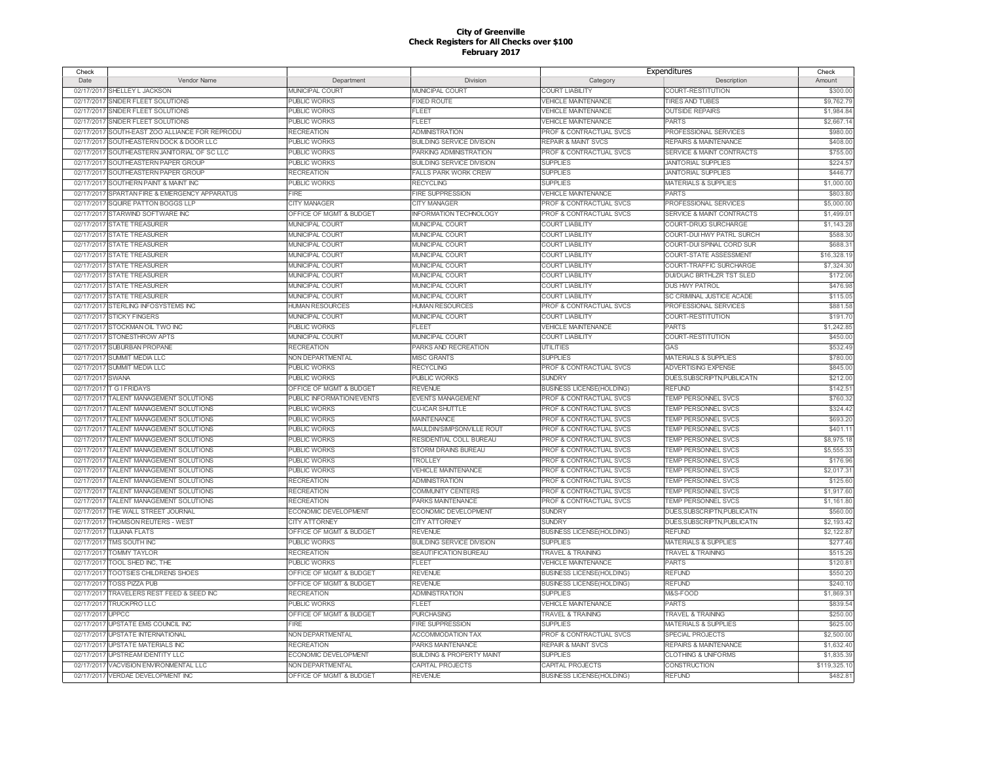| Check      |                                        |                           |                                      | Expenditures                       |                                  | Check        |
|------------|----------------------------------------|---------------------------|--------------------------------------|------------------------------------|----------------------------------|--------------|
| Date       | Vendor Name                            | Department                | Division                             | Category                           | Description                      | Amount       |
| 02/17/2017 | SHELLEY L JACKSON                      | <b>MUNICIPAL COURT</b>    | <b>MUNICIPAL COURT</b>               | <b>COURT LIABILITY</b>             | COURT-RESTITUTION                | \$300.00     |
| 02/17/2017 | SNIDER FLEET SOLUTIONS                 | <b>PUBLIC WORKS</b>       | <b>FIXED ROUTE</b>                   | <b>VEHICLE MAINTENANCE</b>         | <b>TIRES AND TUBES</b>           | \$9,762.79   |
| 02/17/2017 | SNIDER FLEET SOLUTIONS                 | PUBLIC WORKS              | <b>FLEET</b>                         | <b>VEHICLE MAINTENANCE</b>         | <b>OUTSIDE REPAIRS</b>           | \$1,984.84   |
| 02/17/2017 | SNIDER FLEET SOLUTIONS                 | <b>PUBLIC WORKS</b>       | FLEET                                | VEHICLE MAINTENANCE                | <b>PARTS</b>                     | \$2,667.1    |
| 02/17/2017 | SOUTH-EAST ZOO ALLIANCE FOR REPRODU    | <b>RECREATION</b>         | <b>ADMINISTRATION</b>                | PROF & CONTRACTUAL SVCS            | PROFESSIONAL SERVICES            | \$980.00     |
| 02/17/2017 | SOUTHEASTERN DOCK & DOOR LLC           | <b>PUBLIC WORKS</b>       | <b>BUILDING SERVICE DIVISION</b>     | <b>REPAIR &amp; MAINT SVCS</b>     | <b>REPAIRS &amp; MAINTENANCE</b> | \$408.00     |
| 02/17/2017 | SOUTHEASTERN JANITORIAL OF SC LLC      | <b>PUBLIC WORKS</b>       | PARKING ADMINISTRATION               | PROF & CONTRACTUAL SVCS            | SERVICE & MAINT CONTRACTS        | \$755.00     |
| 02/17/2017 | SOUTHEASTERN PAPER GROUP               | <b>PUBLIC WORKS</b>       | <b>BUILDING SERVICE DIVISION</b>     | <b>SUPPLIES</b>                    | <b>JANITORIAL SUPPLIES</b>       | \$224.5      |
| 02/17/2017 | SOUTHEASTERN PAPER GROUP               | <b>RECREATION</b>         | <b>FALLS PARK WORK CREW</b>          | <b>SUPPLIES</b>                    | <b>JANITORIAL SUPPLIES</b>       | \$446.7      |
| 02/17/2017 | SOUTHERN PAINT & MAINT INC             | PUBLIC WORKS              | <b>RECYCLING</b>                     | <b>SUPPLIES</b>                    | <b>MATERIALS &amp; SUPPLIES</b>  | \$1,000.00   |
| 02/17/2017 | SPARTAN FIRE & EMERGENCY APPARATUS     | FIRE                      | FIRE SUPPRESSION                     | <b>VEHICLE MAINTENANCE</b>         | <b>PARTS</b>                     | \$803.80     |
| 02/17/2017 | SQUIRE PATTON BOGGS LLP                | CITY MANAGER              | CITY MANAGER                         | PROF & CONTRACTUAL SVCS            | PROFESSIONAL SERVICES            | \$5,000.00   |
|            | 02/17/2017 STARWIND SOFTWARE INC       | OFFICE OF MGMT & BUDGET   | <b>INFORMATION TECHNOLOGY</b>        | <b>PROF &amp; CONTRACTUAL SVCS</b> | SERVICE & MAINT CONTRACTS        | \$1,499.0    |
| 02/17/2017 | <b>STATE TREASURER</b>                 | MUNICIPAL COURT           | MUNICIPAL COURT                      | <b>COURT LIABILITY</b>             | COURT-DRUG SURCHARGE             | \$1,143.28   |
|            | 02/17/2017 STATE TREASURER             | MUNICIPAL COURT           | MUNICIPAL COURT                      | <b>COURT LIABILITY</b>             | COURT-DUI HWY PATRL SURCH        | \$588.30     |
| 02/17/2017 | <b>STATE TREASURER</b>                 | MUNICIPAL COURT           | MUNICIPAL COURT                      | <b>COURT LIABILITY</b>             | COURT-DUI SPINAL CORD SUR        | \$688.3      |
|            | 02/17/2017 STATE TREASURER             | MUNICIPAL COURT           | MUNICIPAL COURT                      | COURT LIABILITY                    | COURT-STATE ASSESSMENT           | \$16,328.1   |
|            | 02/17/2017 STATE TREASURER             | MUNICIPAL COURT           | MUNICIPAL COURT                      | <b>COURT LIABILITY</b>             | COURT-TRAFFIC SURCHARGE          | \$7,324.30   |
|            | 02/17/2017 STATE TREASURER             | MUNICIPAL COURT           | MUNICIPAL COURT                      | <b>COURT LIABILITY</b>             | DUVDUAC BRTHLZR TST SLED         | \$172.06     |
|            | 02/17/2017 STATE TREASURER             | MUNICIPAL COURT           | MUNICIPAL COURT                      | <b>COURT LIABILITY</b>             | <b>DUS HWY PATROL</b>            | \$476.98     |
|            | 02/17/2017 STATE TREASURER             | MUNICIPAL COURT           | MUNICIPAL COURT                      | <b>COURT LIABILITY</b>             | SC CRIMINAL JUSTICE ACADE        | \$115.05     |
| 02/17/2017 | STERLING INFOSYSTEMS INC               | <b>HUMAN RESOURCES</b>    | <b>HUMAN RESOURCES</b>               | PROF & CONTRACTUAL SVCS            | <b>PROFESSIONAL SERVICES</b>     | \$881.58     |
|            | 02/17/2017 STICKY FINGERS              | <b>MUNICIPAL COURT</b>    | <b>MUNICIPAL COURT</b>               | <b>COURT LIABILITY</b>             | <b>COURT-RESTITUTION</b>         | \$191.70     |
|            | 02/17/2017 STOCKMAN OIL TWO INC        | <b>PUBLIC WORKS</b>       | <b>FLEET</b>                         | <b>VEHICLE MAINTENANCE</b>         | <b>PARTS</b>                     | \$1,242.85   |
|            | 02/17/2017 STONESTHROW APTS            | MUNICIPAL COURT           | MUNICIPAL COURT                      | <b>COURT LIABILITY</b>             | COURT-RESTITUTION                | \$450.00     |
|            | 02/17/2017 SUBURBAN PROPANE            | <b>RECREATION</b>         | PARKS AND RECREATION                 | <b>UTILITIES</b>                   | GAS                              | \$532.49     |
|            | 02/17/2017 SUMMIT MEDIA LLC            | NON DEPARTMENTAL          | <b>MISC GRANTS</b>                   | <b>SUPPLIES</b>                    | <b>MATERIALS &amp; SUPPLIES</b>  | \$780.00     |
|            | 02/17/2017 SUMMIT MEDIA LLC            | <b>PUBLIC WORKS</b>       | <b>RECYCLING</b>                     | PROF & CONTRACTUAL SVCS            | ADVERTISING EXPENSE              | \$845.00     |
| 02/17/2017 | <b>SWANA</b>                           | <b>PUBLIC WORKS</b>       | <b>PUBLIC WORKS</b>                  | <b>SUNDRY</b>                      | DUES, SUBSCRIPTN, PUBLICATN      | \$212.00     |
| 02/17/2017 | <b>T G I FRIDAYS</b>                   | OFFICE OF MGMT & BUDGET   | <b>REVENUE</b>                       | <b>BUSINESS LICENSE(HOLDING)</b>   | <b>REFUND</b>                    | \$142.5'     |
|            | 02/17/2017 TALENT MANAGEMENT SOLUTIONS | PUBLIC INFORMATION/EVENTS | <b>EVENTS MANAGEMENT</b>             | PROF & CONTRACTUAL SVCS            | <b>TEMP PERSONNEL SVCS</b>       | \$760.32     |
| 02/17/2017 | TALENT MANAGEMENT SOLUTIONS            | <b>PUBLIC WORKS</b>       | <b>CU-ICAR SHUTTLE</b>               | PROF & CONTRACTUAL SVCS            | TEMP PERSONNEL SVCS              | \$324.42     |
| 02/17/2017 | TALENT MANAGEMENT SOLUTIONS            | <b>PUBLIC WORKS</b>       | <b>MAINTENANCE</b>                   | PROF & CONTRACTUAL SVCS            | <b>TEMP PERSONNEL SVCS</b>       | \$693.20     |
| 02/17/2017 | <b>FALENT MANAGEMENT SOLUTIONS</b>     | PUBLIC WORKS              | MAULDIN/SIMPSONVILLE ROUT            | PROF & CONTRACTUAL SVCS            | <b>TEMP PERSONNEL SVCS</b>       | \$401.1      |
| 02/17/2017 | TALENT MANAGEMENT SOLUTIONS            | PUBLIC WORKS              | RESIDENTIAL COLL BUREAU              | <b>PROF &amp; CONTRACTUAL SVCS</b> | <b>TEMP PERSONNEL SVCS</b>       | \$8,975.18   |
| 02/17/2017 | <b>FALENT MANAGEMENT SOLUTIONS</b>     | PUBLIC WORKS              | STORM DRAINS BUREAU                  | <b>PROF &amp; CONTRACTUAL SVCS</b> | <b>TEMP PERSONNEL SVCS</b>       | \$5,555.33   |
| 02/17/2017 | TALENT MANAGEMENT SOLUTIONS            | PUBLIC WORKS              | TROLLEY                              | PROF & CONTRACTUAL SVCS            | TEMP PERSONNEL SVCS              | \$176.96     |
| 02/17/2017 | <b>FALENT MANAGEMENT SOLUTIONS</b>     | PUBLIC WORKS              | <b>VEHICLE MAINTENANCE</b>           | <b>PROF &amp; CONTRACTUAL SVCS</b> | <b>TEMP PERSONNEL SVCS</b>       | \$2,017.3'   |
| 02/17/2017 | TALENT MANAGEMENT SOLUTIONS            | <b>RECREATION</b>         | <b>ADMINISTRATION</b>                | PROF & CONTRACTUAL SVCS            | <b>TEMP PERSONNEL SVCS</b>       | \$125.60     |
| 02/17/2017 | <b>FALENT MANAGEMENT SOLUTIONS</b>     | <b>RECREATION</b>         | COMMUNITY CENTERS                    | <b>PROF &amp; CONTRACTUAL SVCS</b> | <b>TEMP PERSONNEL SVCS</b>       | \$1,917.60   |
| 02/17/2017 | TALENT MANAGEMENT SOLUTIONS            | <b>RECREATION</b>         | PARKS MAINTENANCE                    | <b>PROF &amp; CONTRACTUAL SVCS</b> | <b>TEMP PERSONNEL SVCS</b>       | \$1,161.80   |
| 02/17/2017 | THE WALL STREET JOURNAL                | ECONOMIC DEVELOPMENT      | ECONOMIC DEVELOPMENT                 | <b>SUNDRY</b>                      | DUES.SUBSCRIPTN.PUBLICATN        | \$560.00     |
| 02/17/2017 | <b>THOMSON REUTERS - WEST</b>          | <b>CITY ATTORNEY</b>      | <b>CITY ATTORNEY</b>                 | <b>SUNDRY</b>                      | DUES, SUBSCRIPTN, PUBLICATN      | \$2,193.42   |
| 02/17/2017 | <b>TIJUANA FLATS</b>                   | OFFICE OF MGMT & BUDGET   | <b>REVENUE</b>                       | <b>BUSINESS LICENSE(HOLDING)</b>   | <b>REFUND</b>                    | \$2,122.8    |
| 02/17/2017 | TMS SOUTH INC                          | <b>PUBLIC WORKS</b>       | <b>BUILDING SERVICE DIVISION</b>     | <b>SUPPLIES</b>                    | <b>MATERIALS &amp; SUPPLIES</b>  | \$277.46     |
| 02/17/2017 | <b>TOMMY TAYLOR</b>                    | <b>RECREATION</b>         | <b>BEAUTIFICATION BUREAU</b>         | <b>TRAVEL &amp; TRAINING</b>       | <b>TRAVEL &amp; TRAINING</b>     | \$515.26     |
| 02/17/2017 | TOOL SHED INC, THE                     | <b>PUBLIC WORKS</b>       | FLEET                                | <b>VEHICLE MAINTENANCE</b>         | <b>PARTS</b>                     | \$120.8      |
| 02/17/2017 | <b>TOOTSIES CHILDRENS SHOES</b>        | OFFICE OF MGMT & BUDGET   | <b>REVENUE</b>                       | <b>BUSINESS LICENSE(HOLDING)</b>   | <b>REFUND</b>                    | \$550.20     |
| 02/17/2017 | <b>TOSS PIZZA PUB</b>                  | OFFICE OF MGMT & BUDGET   | <b>REVENUE</b>                       | <b>BUSINESS LICENSE(HOLDING)</b>   | <b>REFUND</b>                    | \$240.1      |
| 02/17/2017 | TRAVELERS REST FEED & SEED INC         | <b>RECREATION</b>         | <b>ADMINISTRATION</b>                | <b>SUPPLIES</b>                    | M&S-FOOD                         | \$1,869.3    |
| 02/17/2017 | TRUCKPRO LLC                           | <b>PUBLIC WORKS</b>       | <b>FLEET</b>                         | VEHICLE MAINTENANCE                | <b>PARTS</b>                     | \$839.54     |
| 02/17/2017 | <b>JPPCC</b>                           | OFFICE OF MGMT & BUDGET   | <b>PURCHASING</b>                    | <b>TRAVEL &amp; TRAINING</b>       | <b>TRAVEL &amp; TRAINING</b>     | \$250.00     |
| 02/17/2017 | UPSTATE EMS COUNCIL INC                | <b>FIRE</b>               | <b>FIRE SUPPRESSION</b>              | <b>SUPPLIES</b>                    | <b>MATERIALS &amp; SUPPLIES</b>  | \$625.0      |
| 02/17/2017 | <b>UPSTATE INTERNATIONAL</b>           | NON DEPARTMENTAL          | <b>ACCOMMODATION TAX</b>             | PROF & CONTRACTUAL SVCS            | SPECIAL PROJECTS                 | \$2,500.00   |
| 02/17/2017 | <b>UPSTATE MATERIALS INC</b>           | <b>RECREATION</b>         | PARKS MAINTENANCE                    | <b>REPAIR &amp; MAINT SVCS</b>     | <b>REPAIRS &amp; MAINTENANCE</b> | \$1,632.40   |
| 02/17/2017 | <b>UPSTREAM IDENTITY LLC</b>           | ECONOMIC DEVELOPMENT      | <b>BUILDING &amp; PROPERTY MAINT</b> | <b>SUPPLIES</b>                    | <b>CLOTHING &amp; UNIFORMS</b>   | \$1,835.39   |
| 02/17/2017 | VACVISION ENVIRONMENTAL LLC            | NON DEPARTMENTAL          | CAPITAL PROJECTS                     | CAPITAL PROJECTS                   | CONSTRUCTION                     | \$119,325.10 |
|            | 02/17/2017 VERDAE DEVELOPMENT INC      | OFFICE OF MGMT & BUDGET   | <b>REVENUE</b>                       | <b>BUSINESS LICENSE(HOLDING)</b>   | <b>REFUND</b>                    | \$482.8      |
|            |                                        |                           |                                      |                                    |                                  |              |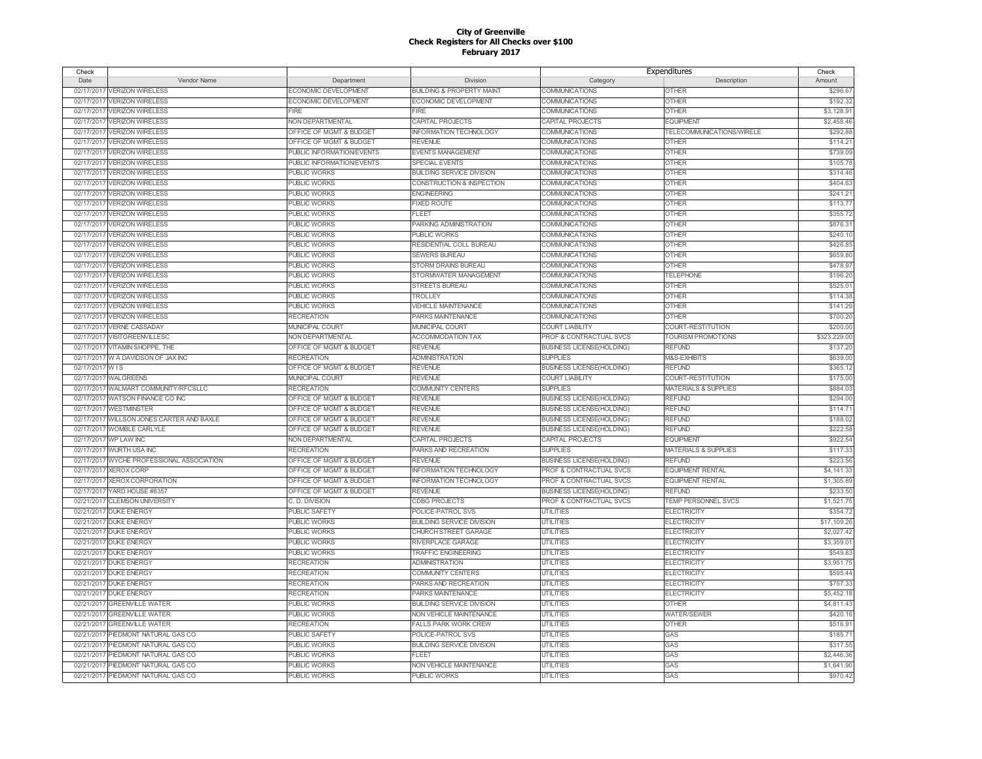| Check           |                                           |                           |                                      | Expenditures                     |                                 | Check        |
|-----------------|-------------------------------------------|---------------------------|--------------------------------------|----------------------------------|---------------------------------|--------------|
| Date            | Vendor Name                               | Department                | Division                             | Category                         | Description                     | Amount       |
| 02/17/2017      | <b>VERIZON WIRELESS</b>                   | ECONOMIC DEVELOPMENT      | <b>BUILDING &amp; PROPERTY MAINT</b> | <b>COMMUNICATIONS</b>            | <b>OTHER</b>                    | \$296.67     |
| 02/17/2011      | <b>VERIZON WIRELESS</b>                   | ECONOMIC DEVELOPMENT      | ECONOMIC DEVELOPMENT                 | COMMUNICATIONS                   | <b>OTHER</b>                    | \$192.32     |
| 02/17/2017      | <b>VERIZON WIRELESS</b>                   | FIRE                      | FIRE                                 | COMMUNICATIONS                   | <b>OTHER</b>                    | \$3,128.91   |
| 02/17/2017      | <b>VERIZON WIRELESS</b>                   | NON DEPARTMENTAL          | CAPITAL PROJECTS                     | CAPITAL PROJECTS                 | <b>EQUIPMENT</b>                | \$2,458.4    |
| 02/17/2017      | <b>VERIZON WIRELESS</b>                   | OFFICE OF MGMT & BUDGET   | <b>INFORMATION TECHNOLOGY</b>        | COMMUNICATIONS                   | TELECOMMUNICATIONS/WIRELE       | \$292.8      |
| 02/17/2017      | <b>VERIZON WIRELESS</b>                   | OFFICE OF MGMT & BUDGET   | <b>REVENUE</b>                       | COMMUNICATIONS                   | <b>OTHER</b>                    | \$114.2      |
| 02/17/2017      | <b>VERIZON WIRELESS</b>                   | PUBLIC INFORMATION/EVENTS | <b>EVENTS MANAGEMENT</b>             | <b>COMMUNICATIONS</b>            | <b>OTHER</b>                    | \$739.0      |
| 02/17/2017      | <b>VERIZON WIRELESS</b>                   | PUBLIC INFORMATION/EVENTS | SPECIAL EVENTS                       | COMMUNICATIONS                   | <b>OTHER</b>                    | \$105.7      |
| 02/17/2017      | <b>VERIZON WIRELESS</b>                   | <b>PUBLIC WORKS</b>       | <b>BUILDING SERVICE DIVISION</b>     | COMMUNICATIONS                   | <b>OTHER</b>                    | \$314.4      |
| 02/17/2017      | <b>VERIZON WIRELESS</b>                   | <b>PUBLIC WORKS</b>       | CONSTRUCTION & INSPECTION            | COMMUNICATIONS                   | <b>OTHER</b>                    | \$404.6      |
| 02/17/2017      | <b>VERIZON WIRELESS</b>                   | <b>PUBLIC WORKS</b>       | <b>ENGINEERING</b>                   | COMMUNICATIONS                   | <b>OTHER</b>                    | \$241.2      |
| 02/17/2017      | <b>VERIZON WIRELESS</b>                   | <b>PUBLIC WORKS</b>       | <b>FIXED ROUTE</b>                   | COMMUNICATIONS                   | <b>OTHER</b>                    | \$113.7      |
| 02/17/2017      | <b>VERIZON WIRELESS</b>                   | <b>PUBLIC WORKS</b>       | <b>FLEET</b>                         | <b>COMMUNICATIONS</b>            | <b>OTHER</b>                    | \$355.7      |
| 02/17/2017      | <b>VERIZON WIRELESS</b>                   | <b>PUBLIC WORKS</b>       | PARKING ADMINISTRATION               | COMMUNICATIONS                   | <b>OTHER</b>                    | \$876.3      |
| 02/17/2017      | <b>VERIZON WIRELESS</b>                   | <b>PUBLIC WORKS</b>       | <b>PUBLIC WORKS</b>                  | COMMUNICATIONS                   | <b>OTHER</b>                    | \$240.1      |
| 02/17/2017      | <b>VERIZON WIRELESS</b>                   | <b>PUBLIC WORKS</b>       | RESIDENTIAL COLL BUREAU              | COMMUNICATIONS                   | <b>OTHER</b>                    | \$426.8      |
|                 | 02/17/2017 VERIZON WIRELESS               | <b>PUBLIC WORKS</b>       | <b>SEWERS BUREAU</b>                 | COMMUNICATIONS                   | <b>OTHER</b>                    | \$659.8      |
| 02/17/2017      | <b>VERIZON WIRELESS</b>                   | <b>PUBLIC WORKS</b>       | <b>STORM DRAINS BUREAU</b>           | COMMUNICATIONS                   | <b>OTHER</b>                    | \$478.9      |
| 02/17/2017      | <b>VERIZON WIRELESS</b>                   | <b>PUBLIC WORKS</b>       | STORMWATER MANAGEMENT                | COMMUNICATIONS                   | <b>TELEPHONE</b>                | \$196.20     |
| 02/17/2017      | <b>VERIZON WIRELESS</b>                   | <b>PUBLIC WORKS</b>       | <b>STREETS BUREAU</b>                | COMMUNICATIONS                   | <b>OTHER</b>                    | \$525.0      |
|                 | 02/17/2017 VERIZON WIRELESS               | <b>PUBLIC WORKS</b>       | <b>TROLLEY</b>                       | COMMUNICATIONS                   | <b>OTHER</b>                    | \$114.38     |
| 02/17/2017      | <b>VERIZON WIRELESS</b>                   | <b>PUBLIC WORKS</b>       | <b>VEHICLE MAINTENANCE</b>           | COMMUNICATIONS                   | <b>OTHER</b>                    | \$141.2      |
| 02/17/2017      | <b>VERIZON WIRELESS</b>                   | <b>RECREATION</b>         | <b>PARKS MAINTENANCE</b>             | COMMUNICATIONS                   | <b>OTHER</b>                    | \$700.20     |
| 02/17/2017      | <b>VERNE CASSADAY</b>                     | <b>MUNICIPAL COURT</b>    | <b>MUNICIPAL COURT</b>               | <b>COURT LIABILITY</b>           | COURT-RESTITUTION               | \$200.0      |
|                 | 02/17/2017 VISITGREENVILLESC              | NON DEPARTMENTAL          | ACCOMMODATION TAX                    | PROF & CONTRACTUAL SVCS          | TOURISM PROMOTIONS              | \$323,229.00 |
| 02/17/2017      | VITAMIN SHOPPE, THE                       | OFFICE OF MGMT & BUDGET   | <b>REVENUE</b>                       | <b>BUSINESS LICENSE(HOLDING)</b> | <b>REFUND</b>                   | \$137.20     |
|                 | 02/17/2017 W A DAVIDSON OF JAX INC        | <b>RECREATION</b>         | <b>ADMINISTRATION</b>                | <b>SUPPLIES</b>                  | M&S-EXHIBITS                    | \$639.00     |
| 02/17/2017 W IS |                                           | OFFICE OF MGMT & BUDGET   | <b>REVENUE</b>                       | <b>BUSINESS LICENSE(HOLDING)</b> | <b>REFUND</b>                   | \$365.12     |
|                 | 02/17/2017 WALGREENS                      | MUNICIPAL COURT           | <b>REVENUE</b>                       | <b>COURT LIABILITY</b>           | COURT-RESTITUTION               | \$175.00     |
|                 | 02/17/2017 WALMART COMMUNITY/RFCSLLC      | <b>RECREATION</b>         | <b>COMMUNITY CENTERS</b>             | <b>SUPPLIES</b>                  | <b>MATERIALS &amp; SUPPLIES</b> | \$884.03     |
|                 | 02/17/2017 WATSON FINANCE CO INC          | OFFICE OF MGMT & BUDGET   | <b>REVENUE</b>                       | <b>BUSINESS LICENSE(HOLDING)</b> | <b>REFUND</b>                   | \$294.00     |
|                 | 02/17/2017 WESTMINSTER                    | OFFICE OF MGMT & BUDGET   | <b>REVENUE</b>                       | <b>BUSINESS LICENSE(HOLDING)</b> | <b>REFUND</b>                   | \$114.7      |
| 02/17/2017      | WILLSON JONES CARTER AND BAXLE            | OFFICE OF MGMT & BUDGET   | <b>REVENUE</b>                       | <b>BUSINESS LICENSE(HOLDING)</b> | <b>REFUND</b>                   | \$188.02     |
|                 | 02/17/2017 WOMBLE CARLYLE                 | OFFICE OF MGMT & BUDGET   | <b>REVENUE</b>                       | <b>BUSINESS LICENSE(HOLDING)</b> | <b>REFUND</b>                   | \$222.5      |
| 02/17/2017      | <b>WP LAW INC</b>                         | <b>NON DEPARTMENTAL</b>   | <b>CAPITAL PROJECTS</b>              | <b>CAPITAL PROJECTS</b>          | <b>EQUIPMENT</b>                | \$922.54     |
| 02/17/2017      | <b>WURTH USA INC</b>                      | <b>RECREATION</b>         | PARKS AND RECREATION                 | <b>SUPPLIES</b>                  | <b>MATERIALS &amp; SUPPLIES</b> | \$117.33     |
|                 | 02/17/2017 WYCHE PROFESSIONAL ASSOCIATION | OFFICE OF MGMT & BUDGET   | <b>REVENUE</b>                       | <b>BUSINESS LICENSE(HOLDING)</b> | <b>REFUND</b>                   | \$223.56     |
| 02/17/2017      | <b>XEROX CORP</b>                         | OFFICE OF MGMT & BUDGET   | <b>INFORMATION TECHNOLOGY</b>        | PROF & CONTRACTUAL SVCS          | <b>EQUIPMENT RENTAL</b>         | \$4,141.33   |
| 02/17/2017      | <b>XEROX CORPORATION</b>                  | OFFICE OF MGMT & BUDGET   | <b>INFORMATION TECHNOLOGY</b>        | PROF & CONTRACTUAL SVCS          | <b>EQUIPMENT RENTAL</b>         | \$1,305.89   |
| 02/17/2017      | YARD HOUSE #8357                          | OFFICE OF MGMT & BUDGET   | <b>REVENUE</b>                       | <b>BUSINESS LICENSE(HOLDING)</b> | <b>REFUND</b>                   | \$233.50     |
| 02/21/2017      | <b>CLEMSON UNIVERSITY</b>                 | C. D. DIVISION            | <b>CDBG PROJECTS</b>                 | PROF & CONTRACTUAL SVCS          | <b>TEMP PERSONNEL SVCS</b>      | \$1,521.7    |
| 02/21/2017      | <b>DUKE ENERGY</b>                        | <b>PUBLIC SAFETY</b>      | POLICE-PATROL SVS                    | <b>UTILITIES</b>                 | <b>ELECTRICITY</b>              | \$354.72     |
| 02/21/2017      | <b>DUKE ENERGY</b>                        | <b>PUBLIC WORKS</b>       | <b>BUILDING SERVICE DIVISION</b>     | <b>UTILITIES</b>                 | <b>ELECTRICITY</b>              | \$17,109.26  |
| 02/21/2017      | <b>DUKE ENERGY</b>                        | <b>PUBLIC WORKS</b>       | CHURCH STREET GARAGE                 | <b>UTILITIES</b>                 | <b>ELECTRICITY</b>              | \$2,027.42   |
| 02/21/2017      | <b>DUKE ENERGY</b>                        | <b>PUBLIC WORKS</b>       | RIVERPLACE GARAGE                    | <b>UTILITIES</b>                 | <b>ELECTRICITY</b>              | \$3,359.0    |
| 02/21/2017      | <b>DUKE ENERGY</b>                        | <b>PUBLIC WORKS</b>       | <b>TRAFFIC ENGINEERING</b>           | <b>UTILITIES</b>                 | <b>ELECTRICITY</b>              | \$549.8      |
| 02/21/2017      | <b>DUKE ENERGY</b>                        | <b>RECREATION</b>         | <b>ADMINISTRATION</b>                | <b>UTILITIES</b>                 | <b>ELECTRICITY</b>              | \$3,951.7    |
| 02/21/2017      | <b>DUKE ENERGY</b>                        | <b>RECREATION</b>         | <b>COMMUNITY CENTERS</b>             | <b>UTILITIES</b>                 | <b>ELECTRICITY</b>              | \$595.44     |
| 02/21/2017      | <b>DUKE ENERGY</b>                        | <b>RECREATION</b>         | PARKS AND RECREATION                 | <b>UTILITIES</b>                 | <b>ELECTRICITY</b>              | \$757.3      |
|                 | 02/21/2017 DUKE ENERGY                    | <b>RECREATION</b>         | PARKS MAINTENANCE                    | <b>UTILITIES</b>                 | <b>ELECTRICITY</b>              | \$5,452.18   |
| 02/21/2017      | <b>GREENVILLE WATER</b>                   | <b>PUBLIC WORKS</b>       | <b>BUILDING SERVICE DIVISION</b>     | <b>UTILITIES</b>                 | <b>OTHER</b>                    | \$4,811.4    |
| 02/21/2017      | <b>GREENVILLE WATER</b>                   | <b>PUBLIC WORKS</b>       | NON VEHICLE MAINTENANCE              | <b>UTILITIES</b>                 | <b>WATER/SEWER</b>              | \$420.16     |
| 02/21/2017      | <b>GREENVILLE WATER</b>                   | <b>RECREATION</b>         | <b>FALLS PARK WORK CREW</b>          | <b>UTILITIES</b>                 | <b>OTHER</b>                    | \$516.9      |
| 02/21/2017      | PIEDMONT NATURAL GAS CO                   | <b>PUBLIC SAFETY</b>      | POLICE-PATROL SVS                    | <b>UTILITIES</b>                 | GAS                             | \$185.7      |
| 02/21/2017      | PIEDMONT NATURAL GAS CO                   | <b>PUBLIC WORKS</b>       | <b>BUILDING SERVICE DIVISION</b>     | <b>UTILITIES</b>                 | GAS                             | \$317.5      |
| 02/21/2017      | PIEDMONT NATURAL GAS CO                   | <b>PUBLIC WORKS</b>       | <b>FLEET</b>                         | <b>UTILITIES</b>                 | GAS                             | \$2,446.3    |
| 02/21/2017      | PIEDMONT NATURAL GAS CO                   | <b>PUBLIC WORKS</b>       | NON VEHICLE MAINTENANCE              | <b>UTILITIES</b>                 | GAS                             | \$1,641.90   |
|                 | 02/21/2017 PIEDMONT NATURAL GAS CO        | <b>PUBLIC WORKS</b>       | <b>PUBLIC WORKS</b>                  | <b>UTILITIES</b>                 | GAS                             | \$970.42     |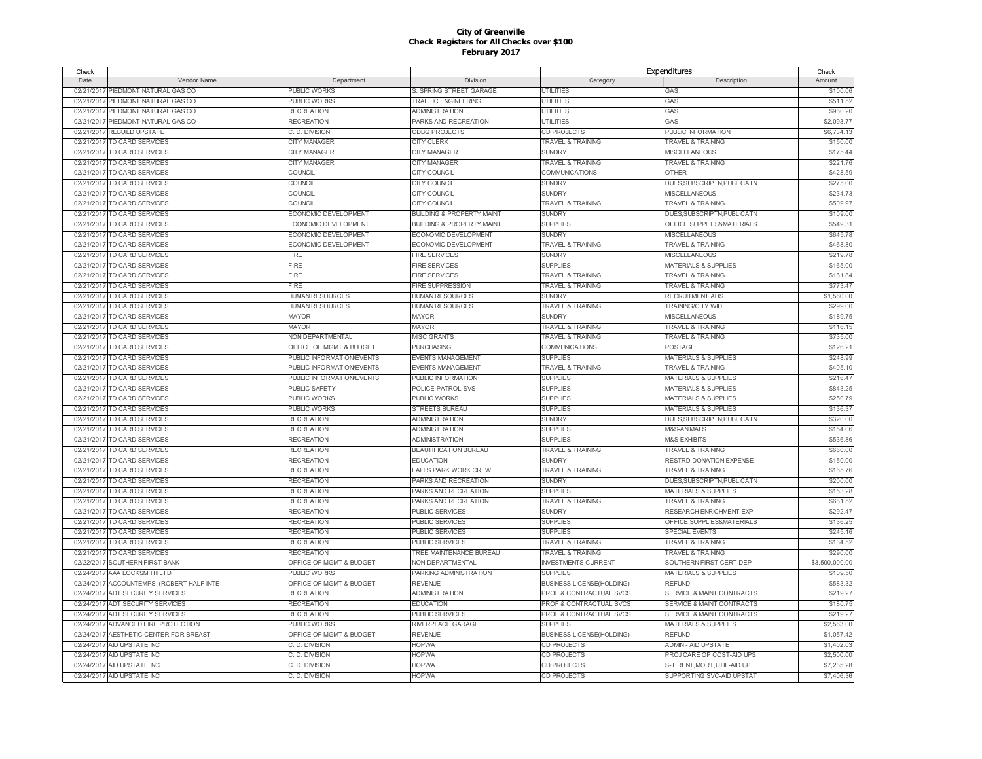| Check      |                                        |                           |                                      | Expenditures                     |                                      | Check         |
|------------|----------------------------------------|---------------------------|--------------------------------------|----------------------------------|--------------------------------------|---------------|
| Date       | Vendor Name                            | Department                | Division                             | Category                         | Description                          | Amount        |
| 02/21/2017 | PIEDMONT NATURAL GAS CO                | PUBLIC WORKS              | S. SPRING STREET GARAGE              | <b>UTILITIES</b>                 | GAS                                  | \$100.06      |
| 02/21/2017 | PIEDMONT NATURAL GAS CO                | <b>PUBLIC WORKS</b>       | <b>TRAFFIC ENGINEERING</b>           | <b>UTILITIES</b>                 | GAS                                  | \$511.52      |
| 02/21/2017 | PIEDMONT NATURAL GAS CO                | <b>RECREATION</b>         | <b>ADMINISTRATION</b>                | <b>UTILITIES</b>                 | GAS                                  | \$960.20      |
| 02/21/2017 | PIEDMONT NATURAL GAS CO                | <b>RECREATION</b>         | PARKS AND RECREATION                 | <b>UTILITIES</b>                 | GAS                                  | \$2,093.7     |
| 02/21/2017 | REBUILD UPSTATE                        | C. D. DIVISION            | <b>CDBG PROJECTS</b>                 | CD PROJECTS                      | PUBLIC INFORMATION                   | \$6,734.1     |
| 02/21/2017 | TD CARD SERVICES                       | <b>CITY MANAGER</b>       | <b>CITY CLERK</b>                    | <b>TRAVEL &amp; TRAINING</b>     | <b>TRAVEL &amp; TRAINING</b>         | \$150.0       |
| 02/21/2017 | <b>TD CARD SERVICES</b>                | <b>CITY MANAGER</b>       | <b>CITY MANAGER</b>                  | <b>SUNDRY</b>                    | <b>MISCELLANEOUS</b>                 | \$175.44      |
| 02/21/2017 | TD CARD SERVICES                       | <b>CITY MANAGER</b>       | <b>CITY MANAGER</b>                  | <b>TRAVEL &amp; TRAINING</b>     | <b>TRAVEL &amp; TRAINING</b>         | \$221.7       |
| 02/21/2017 | TD CARD SERVICES                       | COUNCIL                   | <b>CITY COUNCIL</b>                  | COMMUNICATIONS                   | <b>OTHER</b>                         | \$428.5       |
| 02/21/2017 | TD CARD SERVICES                       | COUNCIL                   | CITY COUNCIL                         | <b>SUNDRY</b>                    | DUES, SUBSCRIPTN, PUBLICATN          | \$275.00      |
| 02/21/2017 | TD CARD SERVICES                       | COUNCIL                   | <b>CITY COUNCIL</b>                  | <b>SUNDRY</b>                    | <b>MISCELLANEOUS</b>                 | \$234.7       |
| 02/21/2017 | TD CARD SERVICES                       | COUNCIL                   | <b>CITY COUNCIL</b>                  | TRAVEL & TRAINING                | <b>TRAVEL &amp; TRAINING</b>         | \$509.9       |
|            | 02/21/2017 TD CARD SERVICES            | ECONOMIC DEVELOPMENT      | <b>BUILDING &amp; PROPERTY MAINT</b> | <b>SUNDRY</b>                    | DUES.SUBSCRIPTN.PUBLICATN            |               |
|            |                                        |                           |                                      |                                  |                                      | \$109.0       |
| 02/21/2017 | TD CARD SERVICES                       | ECONOMIC DEVELOPMENT      | <b>BUILDING &amp; PROPERTY MAINT</b> | <b>SUPPLIES</b>                  | OFFICE SUPPLIES&MATERIALS            | \$549.3       |
|            | 02/21/2017 TD CARD SERVICES            | ECONOMIC DEVELOPMENT      | ECONOMIC DEVELOPMENT                 | <b>SUNDRY</b>                    | <b>MISCELLANEOUS</b>                 | \$645.7       |
| 02/21/2017 | TD CARD SERVICES                       | ECONOMIC DEVELOPMENT      | ECONOMIC DEVELOPMENT                 | TRAVEL & TRAINING                | <b>TRAVEL &amp; TRAINING</b>         | \$468.8       |
|            | 02/21/2017 TD CARD SERVICES            | FIRE                      | <b>FIRE SERVICES</b>                 | <b>SUNDRY</b>                    | <b>MISCELLANEOUS</b>                 | \$219.7       |
| 02/21/2017 | TD CARD SERVICES                       | <b>FIRE</b>               | <b>FIRE SERVICES</b>                 | <b>SUPPLIES</b>                  | <b>MATERIALS &amp; SUPPLIES</b>      | \$165.0       |
|            | 02/21/2017 TD CARD SERVICES            | FIRE                      | <b>FIRE SERVICES</b>                 | TRAVEL & TRAINING                | <b>TRAVEL &amp; TRAINING</b>         | \$161.84      |
|            | 02/21/2017 TD CARD SERVICES            | FIRE                      | <b>FIRE SUPPRESSION</b>              | <b>TRAVEL &amp; TRAINING</b>     | <b>TRAVEL &amp; TRAINING</b>         | \$773.4       |
|            | 02/21/2017 TD CARD SERVICES            | <b>HUMAN RESOURCES</b>    | <b>HUMAN RESOURCES</b>               | <b>SUNDRY</b>                    | <b>RECRUITMENT ADS</b>               | \$1,560.0     |
| 02/21/2017 | <b>TD CARD SERVICES</b>                | <b>HUMAN RESOURCES</b>    | <b>HUMAN RESOURCES</b>               | TRAVEL & TRAINING                | <b>TRAINING/CITY WIDE</b>            | \$299.0       |
|            | 02/21/2017 TD CARD SERVICES            | <b>MAYOR</b>              | <b>MAYOR</b>                         | <b>SUNDRY</b>                    | <b>MISCELLANEOUS</b>                 | \$189.7       |
|            | 02/21/2017 TD CARD SERVICES            | <b>MAYOR</b>              | <b>MAYOR</b>                         | <b>TRAVEL &amp; TRAINING</b>     | <b>TRAVEL &amp; TRAINING</b>         | \$116.15      |
|            | 02/21/2017 TD CARD SERVICES            | NON DEPARTMENTAL          | <b>MISC GRANTS</b>                   | <b>TRAVEL &amp; TRAINING</b>     | <b>TRAVEL &amp; TRAINING</b>         | \$735.00      |
|            | 02/21/2017 TD CARD SERVICES            | OFFICE OF MGMT & BUDGET   | <b>PURCHASING</b>                    | COMMUNICATIONS                   | POSTAGE                              | \$126.2       |
|            | 02/21/2017 TD CARD SERVICES            | PUBLIC INFORMATION/EVENTS | <b>EVENTS MANAGEMENT</b>             | <b>SUPPLIES</b>                  | <b>MATERIALS &amp; SUPPLIES</b>      | \$248.99      |
|            | 02/21/2017 TD CARD SERVICES            | PUBLIC INFORMATION/EVENTS | <b>EVENTS MANAGEMENT</b>             | TRAVEL & TRAINING                | <b>TRAVEL &amp; TRAINING</b>         | \$405.1       |
|            | 02/21/2017 TD CARD SERVICES            | PUBLIC INFORMATION/EVENTS | PUBLIC INFORMATION                   | <b>SUPPLIES</b>                  | <b>MATERIALS &amp; SUPPLIES</b>      | \$216.4       |
|            | 02/21/2017 TD CARD SERVICES            | <b>PUBLIC SAFETY</b>      | POLICE-PATROL SVS                    | <b>SUPPLIES</b>                  | <b>MATERIALS &amp; SUPPLIES</b>      | \$843.25      |
| 02/21/2017 | <b>TD CARD SERVICES</b>                | <b>PUBLIC WORKS</b>       | <b>PUBLIC WORKS</b>                  | <b>SUPPLIES</b>                  | <b>MATERIALS &amp; SUPPLIES</b>      | \$250.79      |
| 02/21/2017 | <b>TD CARD SERVICES</b>                | <b>PUBLIC WORKS</b>       | <b>STREETS BUREAU</b>                | <b>SUPPLIES</b>                  | <b>MATERIALS &amp; SUPPLIES</b>      | \$136.37      |
| 02/21/2017 | TD CARD SERVICES                       | <b>RECREATION</b>         | <b>ADMINISTRATION</b>                | <b>SUNDRY</b>                    | DUES, SUBSCRIPTN, PUBLICATN          | \$320.00      |
| 02/21/2017 | <b>TD CARD SERVICES</b>                | <b>RECREATION</b>         | <b>ADMINISTRATION</b>                | <b>SUPPLIES</b>                  | M&S-ANIMALS                          | \$154.06      |
| 02/21/2017 | TD CARD SERVICES                       | <b>RECREATION</b>         | <b>ADMINISTRATION</b>                | <b>SUPPLIES</b>                  | M&S-EXHIBITS                         | \$536.86      |
| 02/21/2017 | <b>TD CARD SERVICES</b>                | <b>RECREATION</b>         | <b>BEAUTIFICATION BUREAU</b>         | <b>TRAVEL &amp; TRAINING</b>     | <b>TRAVEL &amp; TRAINING</b>         | \$660.00      |
| 02/21/2017 | TD CARD SERVICES                       | <b>RECREATION</b>         | <b>EDUCATION</b>                     | <b>SUNDRY</b>                    | RESTRD DONATION EXPENSE              | \$150.00      |
| 02/21/2017 | <b>TD CARD SERVICES</b>                | <b>RECREATION</b>         | <b>FALLS PARK WORK CREW</b>          | TRAVEL & TRAINING                | <b>TRAVEL &amp; TRAINING</b>         | \$165.76      |
| 02/21/2017 | TD CARD SERVICES                       | <b>RECREATION</b>         | PARKS AND RECREATION                 | <b>SUNDRY</b>                    | DUES, SUBSCRIPTN, PUBLICATN          | \$200.00      |
| 02/21/2017 | <b>TD CARD SERVICES</b>                | <b>RECREATION</b>         | PARKS AND RECREATION                 | <b>SUPPLIES</b>                  | MATERIALS & SUPPLIES                 | \$153.28      |
| 02/21/2017 | <b>TD CARD SERVICES</b>                | <b>RECREATION</b>         | PARKS AND RECREATION                 | TRAVEL & TRAINING                | <b>TRAVEL &amp; TRAINING</b>         | \$681.52      |
| 02/21/2017 | <b>TD CARD SERVICES</b>                | <b>RECREATION</b>         | <b>PUBLIC SERVICES</b>               | <b>SUNDRY</b>                    | RESEARCH ENRICHMENT EXP              | \$292.4       |
| 02/21/2017 | <b>TD CARD SERVICES</b>                | <b>RECREATION</b>         | <b>PUBLIC SERVICES</b>               | <b>SUPPLIES</b>                  | OFFICE SUPPLIES&MATERIALS            | \$136.25      |
| 02/21/2017 | <b>TD CARD SERVICES</b>                | <b>RECREATION</b>         | <b>PUBLIC SERVICES</b>               | <b>SUPPLIES</b>                  | <b>SPECIAL EVENTS</b>                | \$245.16      |
| 02/21/2017 | TD CARD SERVICES                       | <b>RECREATION</b>         | <b>PUBLIC SERVICES</b>               | <b>TRAVEL &amp; TRAINING</b>     | <b>TRAVEL &amp; TRAINING</b>         | \$134.52      |
| 02/21/2017 | <b>TD CARD SERVICES</b>                | <b>RECREATION</b>         | TREE MAINTENANCE BUREAU              | <b>TRAVEL &amp; TRAINING</b>     | <b>TRAVEL &amp; TRAINING</b>         | \$290.0       |
| 02/22/2017 | SOUTHERN FIRST BANK                    | OFFICE OF MGMT & BUDGET   | NON-DEPARTMENTAL                     | <b>INVESTMENTS CURRENT</b>       | SOUTHERN FIRST CERT DEP              | \$3,500,000.0 |
| 02/24/2017 |                                        | <b>PUBLIC WORKS</b>       |                                      | <b>SUPPLIES</b>                  |                                      |               |
|            | AAA LOCKSMITH LTD                      |                           | PARKING ADMINISTRATION               |                                  | <b>MATERIALS &amp; SUPPLIES</b>      | \$109.50      |
| 02/24/2017 | ACCOUNTEMPS (ROBERT HALF INTE          | OFFICE OF MGMT & BUDGET   | <b>REVENUE</b>                       | <b>BUSINESS LICENSE(HOLDING)</b> | <b>REFUND</b>                        | \$583.3       |
|            | 02/24/2017 ADT SECURITY SERVICES       | <b>RECREATION</b>         | <b>ADMINISTRATION</b>                | PROF & CONTRACTUAL SVCS          | <b>SERVICE &amp; MAINT CONTRACTS</b> | \$219.27      |
| 02/24/2017 | <b>ADT SECURITY SERVICES</b>           | <b>RECREATION</b>         | <b>EDUCATION</b>                     | PROF & CONTRACTUAL SVCS          | SERVICE & MAINT CONTRACTS            | \$180.75      |
| 02/24/2017 | <b>ADT SECURITY SERVICES</b>           | <b>RECREATION</b>         | <b>PUBLIC SERVICES</b>               | PROF & CONTRACTUAL SVCS          | SERVICE & MAINT CONTRACTS            | \$219.27      |
| 02/24/2017 | ADVANCED FIRE PROTECTION               | <b>PUBLIC WORKS</b>       | RIVERPLACE GARAGE                    | <b>SUPPLIES</b>                  | <b>MATERIALS &amp; SUPPLIES</b>      | \$2,563.0     |
|            | 02/24/2017 AESTHETIC CENTER FOR BREAST | OFFICE OF MGMT & BUDGET   | <b>REVENUE</b>                       | <b>BUSINESS LICENSE(HOLDING)</b> | <b>REFUND</b>                        | \$1,057.42    |
| 02/24/2017 | AID UPSTATE INC                        | C. D. DIVISION            | <b>HOPWA</b>                         | CD PROJECTS                      | ADMIN - AID UPSTATE                  | \$1,402.0     |
| 02/24/2017 | AID UPSTATE INC                        | C. D. DIVISION            | <b>HOPWA</b>                         | <b>CD PROJECTS</b>               | PROJ CARE OP COST-AID UPS            | \$2,500.00    |
|            | 02/24/2017 AID UPSTATE INC             | C. D. DIVISION            | <b>HOPWA</b>                         | CD PROJECTS                      | S-T RENT, MORT, UTIL-AID UP          | \$7,235.28    |
|            | 02/24/2017 AID UPSTATE INC             | C. D. DIVISION            | <b>HOPWA</b>                         | <b>CD PROJECTS</b>               | SUPPORTING SVC-AID UPSTAT            | \$7,406.36    |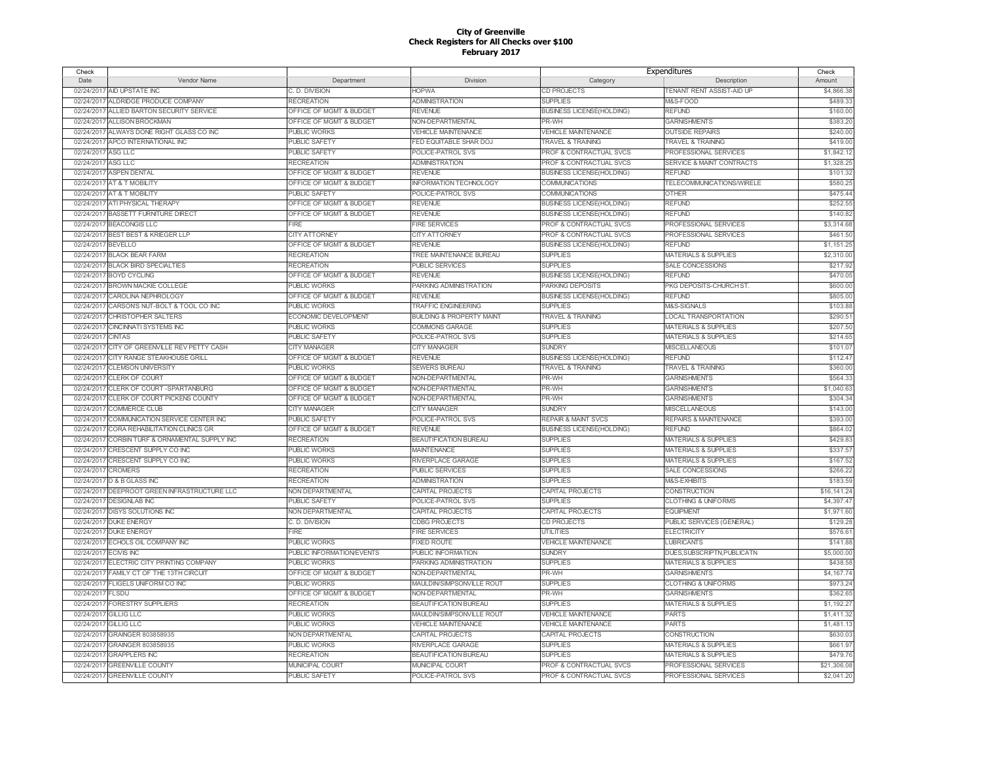| Check              |                                                               |                           |                                      | Expenditures                     |                                  | Check       |
|--------------------|---------------------------------------------------------------|---------------------------|--------------------------------------|----------------------------------|----------------------------------|-------------|
| Date               | Vendor Name                                                   | Department                | Division                             | Category                         | Description                      | Amount      |
|                    | 02/24/2017 AID UPSTATE INC                                    | C. D. DIVISION            | <b>HOPWA</b>                         | CD PROJECTS                      | TENANT RENT ASSIST-AID UP        | \$4,866.38  |
| 02/24/2017         | ALDRIDGE PRODUCE COMPANY                                      | <b>RECREATION</b>         | <b>ADMINISTRATION</b>                | <b>SUPPLIES</b>                  | M&S-FOOD                         | \$489.33    |
| 02/24/2017         | ALLIED BARTON SECURITY SERVICE                                | OFFICE OF MGMT & BUDGET   | <b>REVENUE</b>                       | <b>BUSINESS LICENSE(HOLDING)</b> | <b>REFUND</b>                    | \$160.00    |
| 02/24/2017         | <b>ALLISON BROCKMAN</b>                                       | OFFICE OF MGMT & BUDGET   | <b>NON-DEPARTMENTAL</b>              | PR-WH                            | <b>GARNISHMENTS</b>              | \$383.20    |
| 02/24/2017         | ALWAYS DONE RIGHT GLASS CO INC                                | <b>PUBLIC WORKS</b>       | <b>VEHICLE MAINTENANCE</b>           | <b>VEHICLE MAINTENANCE</b>       | <b>OUTSIDE REPAIRS</b>           | \$240.00    |
| 02/24/2017         | APCO INTERNATIONAL INC                                        | <b>PUBLIC SAFETY</b>      | <b>FED EQUITABLE SHAR DOJ</b>        | <b>TRAVEL &amp; TRAINING</b>     | <b>TRAVEL &amp; TRAINING</b>     | \$419.00    |
| 02/24/2017         | <b>ASG LLC</b>                                                | <b>PUBLIC SAFETY</b>      | POLICE-PATROL SVS                    | PROF & CONTRACTUAL SVCS          | PROFESSIONAL SERVICES            | \$1,842.12  |
| 02/24/2017         | ASG LLC                                                       | <b>RECREATION</b>         | <b>ADMINISTRATION</b>                | PROF & CONTRACTUAL SVCS          | SERVICE & MAINT CONTRACTS        | \$1,328.25  |
| 02/24/2017         | <b>ASPEN DENTAL</b>                                           | OFFICE OF MGMT & BUDGET   | <b>REVENUE</b>                       | <b>BUSINESS LICENSE(HOLDING)</b> | <b>REFUND</b>                    | \$101.32    |
| 02/24/2017         | AT & T MOBILITY                                               | OFFICE OF MGMT & BUDGET   | <b>INFORMATION TECHNOLOGY</b>        | COMMUNICATIONS                   | TELECOMMUNICATIONS/WIRELE        | \$580.2     |
|                    | 02/24/2017 AT & T MOBILITY                                    | <b>PUBLIC SAFETY</b>      | POLICE-PATROL SVS                    | COMMUNICATIONS                   | <b>OTHER</b>                     | \$475.44    |
| 02/24/2017         | ATI PHYSICAL THERAPY                                          | OFFICE OF MGMT & BUDGET   | <b>REVENUE</b>                       | <b>BUSINESS LICENSE(HOLDING)</b> | <b>REFUND</b>                    | \$252.5     |
|                    | 02/24/2017 BASSETT FURNITURE DIRECT                           | OFFICE OF MGMT & BUDGET   | <b>REVENUE</b>                       | <b>BUSINESS LICENSE(HOLDING)</b> | <b>REFUND</b>                    | \$140.82    |
| 02/24/2017         | <b>BEACONGIS LLC</b>                                          | <b>FIRE</b>               | <b>FIRE SERVICES</b>                 | PROF & CONTRACTUAL SVCS          | PROFESSIONAL SERVICES            | \$3,314.68  |
|                    | 02/24/2017 BEST BEST & KRIEGER LLP                            | CITY ATTORNEY             | <b>CITY ATTORNEY</b>                 | PROF & CONTRACTUAL SVCS          | PROFESSIONAL SERVICES            | \$461.50    |
| 02/24/2017 BEVELLO |                                                               | OFFICE OF MGMT & BUDGET   | <b>REVENUE</b>                       | <b>BUSINESS LICENSE(HOLDING)</b> | <b>REFUND</b>                    | \$1,151.2   |
|                    | 02/24/2017 BLACK BEAR FARM                                    | <b>RECREATION</b>         | TREE MAINTENANCE BUREAU              | <b>SUPPLIES</b>                  | <b>MATERIALS &amp; SUPPLIES</b>  | \$2,310.00  |
| 02/24/2017         | <b>BLACK BIRD SPECIALTIES</b>                                 | <b>RECREATION</b>         | PUBLIC SERVICES                      | <b>SUPPLIES</b>                  | SALE CONCESSIONS                 | \$217.92    |
| 02/24/2017         | <b>BOYD CYCLING</b>                                           | OFFICE OF MGMT & BUDGET   | <b>REVENUE</b>                       | <b>BUSINESS LICENSE(HOLDING)</b> | <b>REFUND</b>                    | \$470.05    |
|                    | 02/24/2017 BROWN MACKIE COLLEGE                               | <b>PUBLIC WORKS</b>       | PARKING ADMINISTRATION               | PARKING DEPOSITS                 | PKG DEPOSITS-CHURCH ST.          | \$600.0     |
| 02/24/2017         | <b>CAROLINA NEPHROLOGY</b>                                    | OFFICE OF MGMT & BUDGET   | <b>REVENUE</b>                       |                                  | <b>REFUND</b>                    | \$805.0     |
|                    |                                                               |                           |                                      | <b>BUSINESS LICENSE(HOLDING)</b> |                                  |             |
| 02/24/2017         | CARSON'S NUT-BOLT & TOOL CO INC<br><b>CHRISTOPHER SALTERS</b> | PUBLIC WORKS              | <b>TRAFFIC ENGINEERING</b>           | <b>SUPPLIES</b>                  | M&S-SIGNALS                      | \$103.8     |
| 02/24/2017         |                                                               | ECONOMIC DEVELOPMENT      | <b>BUILDING &amp; PROPERTY MAINT</b> | <b>TRAVEL &amp; TRAINING</b>     | LOCAL TRANSPORTATION             | \$290.5     |
| 02/24/2017         | <b>CINCINNATI SYSTEMS INC</b>                                 | <b>PUBLIC WORKS</b>       | COMMONS GARAGE                       | <b>SUPPLIES</b>                  | <b>MATERIALS &amp; SUPPLIES</b>  | \$207.5     |
| 02/24/2017 CINTAS  |                                                               | PUBLIC SAFETY             | POLICE-PATROL SVS                    | <b>SUPPLIES</b>                  | <b>MATERIALS &amp; SUPPLIES</b>  | \$214.6     |
| 02/24/2017         | CITY OF GREENVILLE REV PETTY CASH                             | CITY MANAGER              | CITY MANAGER                         | <b>SUNDRY</b>                    | <b>MISCELLANEOUS</b>             | \$101.0     |
| 02/24/2017         | CITY RANGE STEAKHOUSE GRILL                                   | OFFICE OF MGMT & BUDGET   | <b>REVENUE</b>                       | <b>BUSINESS LICENSE(HOLDING)</b> | <b>REFUND</b>                    | \$112.47    |
| 02/24/2017         | <b>CLEMSON UNIVERSITY</b>                                     | <b>PUBLIC WORKS</b>       | <b>SEWERS BUREAU</b>                 | <b>TRAVEL &amp; TRAINING</b>     | TRAVEL & TRAINING                | \$360.00    |
|                    | 02/24/2017 CLERK OF COURT                                     | OFFICE OF MGMT & BUDGET   | NON-DEPARTMENTAL                     | PR-WH                            | <b>GARNISHMENTS</b>              | \$564.33    |
| 02/24/2017         | CLERK OF COURT - SPARTANBURG                                  | OFFICE OF MGMT & BUDGET   | <b>NON-DEPARTMENTAL</b>              | PR-WH                            | <b>GARNISHMENTS</b>              | \$1,040.6   |
| 02/24/2017         | CLERK OF COURT PICKENS COUNTY                                 | OFFICE OF MGMT & BUDGET   | NON-DEPARTMENTAL                     | PR-WH                            | <b>GARNISHMENTS</b>              | \$304.34    |
|                    | 02/24/2017 COMMERCE CLUB                                      | <b>CITY MANAGER</b>       | <b>CITY MANAGER</b>                  | <b>SUNDRY</b>                    | <b>MISCELLANEOUS</b>             | \$143.00    |
|                    | 02/24/2017 COMMUNICATION SERVICE CENTER INC                   | <b>PUBLIC SAFETY</b>      | POLICE-PATROL SVS                    | <b>REPAIR &amp; MAINT SVCS</b>   | <b>REPAIRS &amp; MAINTENANCE</b> | \$393.00    |
| 02/24/2017         | <b>CORA REHABILITATION CLINICS GR</b>                         | OFFICE OF MGMT & BUDGET   | <b>REVENUE</b>                       | <b>BUSINESS LICENSE(HOLDING)</b> | <b>REFUND</b>                    | \$864.02    |
| 02/24/2017         | CORBIN TURF & ORNAMENTAL SUPPLY INC                           | <b>RECREATION</b>         | <b>BEAUTIFICATION BUREAU</b>         | <b>SUPPLIES</b>                  | <b>MATERIALS &amp; SUPPLIES</b>  | \$429.83    |
| 02/24/2017         | CRESCENT SUPPLY CO INC                                        | <b>PUBLIC WORKS</b>       | <b>MAINTENANCE</b>                   | <b>SUPPLIES</b>                  | <b>MATERIALS &amp; SUPPLIES</b>  | \$337.5     |
|                    | 02/24/2017 CRESCENT SUPPLY CO INC                             | <b>PUBLIC WORKS</b>       | RIVERPLACE GARAGE                    | <b>SUPPLIES</b>                  | <b>MATERIALS &amp; SUPPLIES</b>  | \$167.52    |
| 02/24/2017         | <b>CROMERS</b>                                                | <b>RECREATION</b>         | PUBLIC SERVICES                      | <b>SUPPLIES</b>                  | SALE CONCESSIONS                 | \$266.22    |
|                    | 02/24/2017 D & B GLASS INC                                    | <b>RECREATION</b>         | <b>ADMINISTRATION</b>                | <b>SUPPLIES</b>                  | M&S-EXHIBITS                     | \$183.59    |
| 02/24/2017         | DEEPROOT GREEN INFRASTRUCTURE LLC                             | NON DEPARTMENTAL          | CAPITAL PROJECTS                     | CAPITAL PROJECTS                 | <b>CONSTRUCTION</b>              | \$16,141.24 |
| 02/24/2017         | <b>DESIGNLAB INC</b>                                          | PUBLIC SAFETY             | POLICE-PATROL SVS                    | <b>SUPPLIES</b>                  | <b>CLOTHING &amp; UNIFORMS</b>   | \$4,397.4   |
| 02/24/2017         | <b>DISYS SOLUTIONS INC</b>                                    | NON DEPARTMENTAL          | CAPITAL PROJECTS                     | CAPITAL PROJECTS                 | <b>EQUIPMENT</b>                 | \$1,971.60  |
| 02/24/2017         | <b>DUKE ENERGY</b>                                            | C. D. DIVISION            | <b>CDBG PROJECTS</b>                 | CD PROJECTS                      | PUBLIC SERVICES (GENERAL)        | \$129.28    |
| 02/24/2017         | <b>DUKE ENERGY</b>                                            | FIRE                      | <b>FIRE SERVICES</b>                 | <b>UTILITIES</b>                 | <b>ELECTRICITY</b>               | \$576.6     |
| 02/24/2017         | ECHOLS OIL COMPANY INC                                        | PUBLIC WORKS              | <b>FIXED ROUTE</b>                   | <b>VEHICLE MAINTENANCE</b>       | <b>LUBRICANTS</b>                | \$141.88    |
| 02/24/2017         | <b>ECIVIS INC</b>                                             | PUBLIC INFORMATION/EVENTS | PUBLIC INFORMATION                   | <b>SUNDRY</b>                    | DUES, SUBSCRIPTN, PUBLICATN      | \$5,000.00  |
| 02/24/2017         | ELECTRIC CITY PRINTING COMPANY                                | <b>PUBLIC WORKS</b>       | PARKING ADMINISTRATION               | <b>SUPPLIES</b>                  | <b>MATERIALS &amp; SUPPLIES</b>  | \$438.58    |
| 02/24/2017         | FAMILY CT OF THE 13TH CIRCUIT                                 | OFFICE OF MGMT & BUDGET   | NON-DEPARTMENTAL                     | PR-WH                            | <b>GARNISHMENTS</b>              | \$4,167.74  |
| 02/24/2017         | FLIGELS UNIFORM CO INC                                        | <b>PUBLIC WORKS</b>       | MAULDIN/SIMPSONVILLE ROUT            | <b>SUPPLIES</b>                  | <b>CLOTHING &amp; UNIFORMS</b>   | \$973.24    |
| 02/24/2017 FLSDU   |                                                               | OFFICE OF MGMT & BUDGET   | NON-DEPARTMENTAL                     | PR-WH                            | <b>GARNISHMENTS</b>              | \$362.65    |
| 02/24/2017         | <b>FORESTRY SUPPLIERS</b>                                     | <b>RECREATION</b>         | <b>BEAUTIFICATION BUREAU</b>         | <b>SUPPLIES</b>                  | <b>MATERIALS &amp; SUPPLIES</b>  | \$1,192.27  |
|                    | 02/24/2017 GILLIG LLC                                         | PUBLIC WORKS              | MAULDIN/SIMPSONVILLE ROUT            | <b>VEHICLE MAINTENANCE</b>       | <b>PARTS</b>                     | \$1,411.32  |
| 02/24/2017         | <b>GILLIG LLC</b>                                             | PUBLIC WORKS              | <b>VEHICLE MAINTENANCE</b>           | <b>VEHICLE MAINTENANCE</b>       | <b>PARTS</b>                     | \$1,481.1   |
| 02/24/2017         | GRAINGER 803858935                                            | NON DEPARTMENTAL          | CAPITAL PROJECTS                     | CAPITAL PROJECTS                 | CONSTRUCTION                     | \$630.0     |
| 02/24/2017         | GRAINGER 803858935                                            | PUBLIC WORKS              | RIVERPLACE GARAGE                    | <b>SUPPLIES</b>                  | <b>MATERIALS &amp; SUPPLIES</b>  | \$661.9     |
| 02/24/2017         | <b>GRAPPLERS INC</b>                                          | <b>RECREATION</b>         | <b>BEAUTIFICATION BUREAU</b>         | <b>SUPPLIES</b>                  | <b>MATERIALS &amp; SUPPLIES</b>  | \$479.76    |
| 02/24/2017         | <b>GREENVILLE COUNTY</b>                                      | MUNICIPAL COURT           | MUNICIPAL COURT                      | PROF & CONTRACTUAL SVCS          | PROFESSIONAL SERVICES            | \$21,306.08 |
|                    | 02/24/2017 GREENVILLE COUNTY                                  | <b>PUBLIC SAFETY</b>      | POLICE-PATROL SVS                    | PROF & CONTRACTUAL SVCS          | PROFESSIONAL SERVICES            | \$2,041.20  |
|                    |                                                               |                           |                                      |                                  |                                  |             |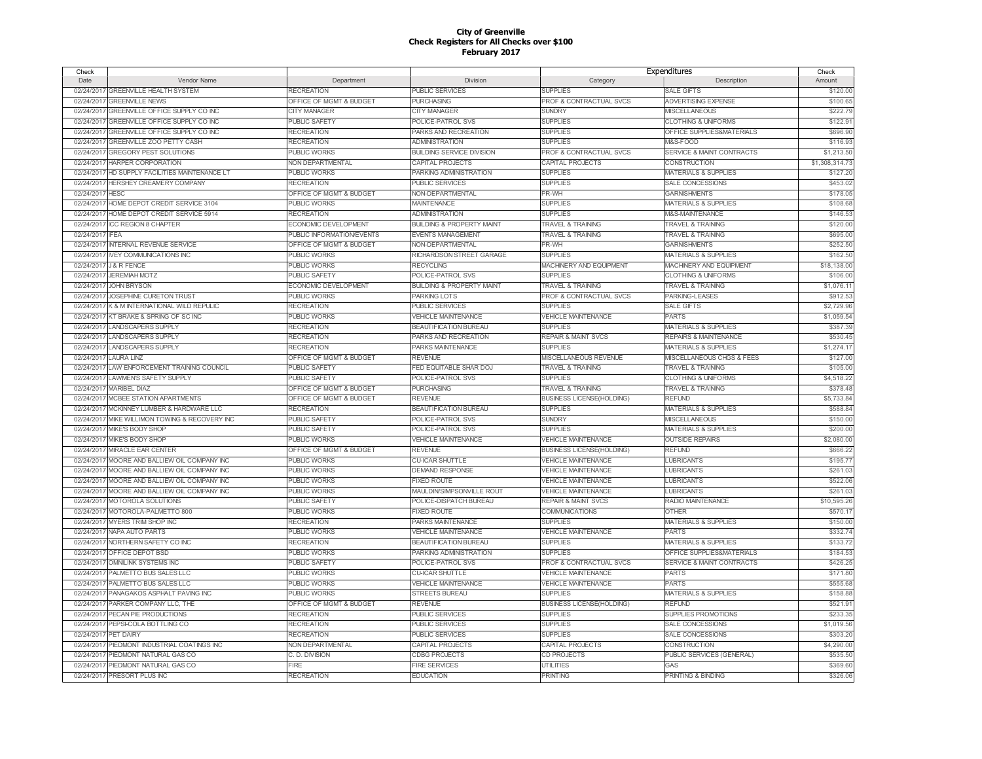| Check                |                                                |                             |                                      | Expenditures                       |                                      | Check          |
|----------------------|------------------------------------------------|-----------------------------|--------------------------------------|------------------------------------|--------------------------------------|----------------|
| Date                 | Vendor Name                                    | Department                  | Division                             | Category                           | Description                          | Amount         |
|                      | 02/24/2017 GREENVILLE HEALTH SYSTEM            | <b>RECREATION</b>           | <b>PUBLIC SERVICES</b>               | <b>SUPPLIES</b>                    | <b>SALE GIFTS</b>                    | \$120.00       |
|                      | 02/24/2017 GREENVILLE NEWS                     | OFFICE OF MGMT & BUDGET     | <b>PURCHASING</b>                    | <b>PROF &amp; CONTRACTUAL SVCS</b> | ADVERTISING EXPENSE                  | \$100.65       |
| 02/24/2017           | <b>GREENVILLE OFFICE SUPPLY CO INC</b>         | <b>CITY MANAGER</b>         | CITY MANAGER                         | <b>SUNDRY</b>                      | <b>MISCELLANEOUS</b>                 | \$222.79       |
|                      | 02/24/2017 GREENVILLE OFFICE SUPPLY CO INC     | <b>PUBLIC SAFETY</b>        | POLICE-PATROL SVS                    | <b>SUPPLIES</b>                    | <b>CLOTHING &amp; UNIFORMS</b>       | \$122.9        |
| 02/24/2017           | <b>GREENVILLE OFFICE SUPPLY CO INC</b>         | <b>RECREATION</b>           | PARKS AND RECREATION                 | <b>SUPPLIES</b>                    | OFFICE SUPPLIES&MATERIALS            | \$696.90       |
|                      | 02/24/2017 GREENVILLE ZOO PETTY CASH           | <b>RECREATION</b>           | <b>ADMINISTRATION</b>                | <b>SUPPLIES</b>                    | M&S-FOOD                             | \$116.93       |
|                      | 02/24/2017 GREGORY PEST SOLUTIONS              | <b>PUBLIC WORKS</b>         | <b>BUILDING SERVICE DIVISION</b>     | PROF & CONTRACTUAL SVCS            | <b>SERVICE &amp; MAINT CONTRACTS</b> | \$1,213.50     |
|                      | 02/24/2017 HARPER CORPORATION                  | NON DEPARTMENTAL            | <b>CAPITAL PROJECTS</b>              | CAPITAL PROJECTS                   | <b>CONSTRUCTION</b>                  | \$1,308,314.73 |
| 02/24/2017           | HD SUPPLY FACILITIES MAINTENANCE LT            | <b>PUBLIC WORKS</b>         | PARKING ADMINISTRATION               | <b>SUPPLIES</b>                    | <b>MATERIALS &amp; SUPPLIES</b>      | \$127.20       |
| 02/24/2017           | <b>HERSHEY CREAMERY COMPANY</b>                | <b>RECREATION</b>           | PUBLIC SERVICES                      | <b>SUPPLIES</b>                    | <b>SALE CONCESSIONS</b>              | \$453.02       |
| 02/24/2017           | <b>HESC</b>                                    | OFFICE OF MGMT & BUDGET     | <b>NON-DEPARTMENTAL</b>              | PR-WH                              | <b>GARNISHMENTS</b>                  | \$178.05       |
|                      |                                                |                             |                                      |                                    |                                      |                |
| 02/24/2017           | HOME DEPOT CREDIT SERVICE 3104                 | <b>PUBLIC WORKS</b>         | <b>MAINTENANCE</b>                   | <b>SUPPLIES</b>                    | <b>MATERIALS &amp; SUPPLIES</b>      | \$108.68       |
| 02/24/2017           | HOME DEPOT CREDIT SERVICE 5914                 | <b>RECREATION</b>           | <b>ADMINISTRATION</b>                | <b>SUPPLIES</b>                    | M&S-MAINTENANCE                      | \$146.53       |
| 02/24/2017           | <b>ICC REGION 8 CHAPTER</b>                    | <b>ECONOMIC DEVELOPMENT</b> | <b>BUILDING &amp; PROPERTY MAINT</b> | <b>TRAVEL &amp; TRAINING</b>       | <b>TRAVEL &amp; TRAINING</b>         | \$120.00       |
| 02/24/2017           | <b>IFFA</b>                                    | PUBLIC INFORMATION/EVENTS   | <b>EVENTS MANAGEMENT</b>             | <b>TRAVEL &amp; TRAINING</b>       | <b>TRAVEL &amp; TRAINING</b>         | \$695.00       |
| 02/24/2017           | INTERNAL REVENUE SERVICE                       | OFFICE OF MGMT & BUDGET     | NON-DEPARTMENTAL                     | PR-WH                              | <b>GARNISHMENTS</b>                  | \$252.50       |
| 02/24/2017           | <b>IVEY COMMUNICATIONS INC</b>                 | <b>PUBLIC WORKS</b>         | RICHARDSON STREET GARAGE             | <b>SUPPLIES</b>                    | <b>MATERIALS &amp; SUPPLIES</b>      | \$162.50       |
| 02/24/2017           | <b>J &amp; R FENCE</b>                         | <b>PUBLIC WORKS</b>         | <b>RECYCLING</b>                     | MACHINERY AND EQUIPMENT            | MACHINERY AND EQUIPMENT              | \$18,138.00    |
| 02/24/2017           | <b>JEREMIAH MOTZ</b>                           | <b>PUBLIC SAFETY</b>        | POLICE-PATROL SVS                    | <b>SUPPLIES</b>                    | <b>CLOTHING &amp; UNIFORMS</b>       | \$106.00       |
| 02/24/2017           | <b>JOHN BRYSON</b>                             | <b>ECONOMIC DEVELOPMENT</b> | <b>BUILDING &amp; PROPERTY MAINT</b> | <b>TRAVEL &amp; TRAINING</b>       | <b>TRAVEL &amp; TRAINING</b>         | \$1,076.1      |
| 02/24/2017           | JOSEPHINE CURETON TRUST                        | <b>PUBLIC WORKS</b>         | PARKING LOTS                         | PROF & CONTRACTUAL SVCS            | <b>PARKING-LEASES</b>                | \$912.5        |
| 02/24/2017           | K & M INTERNATIONAL WILD REPULIC               | <b>RECREATION</b>           | <b>PUBLIC SERVICES</b>               | <b>SUPPLIES</b>                    | <b>SALE GIFTS</b>                    | \$2,729.96     |
|                      | 02/24/2017 KT BRAKE & SPRING OF SC INC         | <b>PUBLIC WORKS</b>         | <b>VEHICLE MAINTENANCE</b>           | <b>VEHICLE MAINTENANCE</b>         | <b>PARTS</b>                         | \$1,059.54     |
|                      | 02/24/2017 LANDSCAPERS SUPPLY                  | <b>RECREATION</b>           | <b>BEAUTIFICATION BUREAU</b>         | <b>SUPPLIES</b>                    | <b>MATERIALS &amp; SUPPLIES</b>      | \$387.39       |
|                      | 02/24/2017 LANDSCAPERS SUPPLY                  | <b>RECREATION</b>           | PARKS AND RECREATION                 | <b>REPAIR &amp; MAINT SVCS</b>     | <b>REPAIRS &amp; MAINTENANCE</b>     | \$530.45       |
|                      | 02/24/2017 LANDSCAPERS SUPPLY                  | <b>RECREATION</b>           | PARKS MAINTENANCE                    | <b>SUPPLIES</b>                    | <b>MATERIALS &amp; SUPPLIES</b>      | \$1,274.1      |
|                      | 02/24/2017 LAURA LINZ                          | OFFICE OF MGMT & BUDGET     | <b>REVENUE</b>                       | MISCELLANEOUS REVENUE              | MISCELLANEOUS CHGS & FEES            | \$127.00       |
|                      | 02/24/2017 LAW ENFORCEMENT TRAINING COUNCIL    | PUBLIC SAFETY               | FED EQUITABLE SHAR DOJ               | <b>TRAVEL &amp; TRAINING</b>       | <b>TRAVEL &amp; TRAINING</b>         | \$105.00       |
|                      | 02/24/2017 LAWMEN'S SAFETY SUPPLY              | <b>PUBLIC SAFETY</b>        | POLICE-PATROL SVS                    | <b>SUPPLIES</b>                    | <b>CLOTHING &amp; UNIFORMS</b>       | \$4,518.22     |
| 02/24/2017           | <b>MARIBEL DIAZ</b>                            | OFFICE OF MGMT & BUDGET     | <b>PURCHASING</b>                    | <b>TRAVEL &amp; TRAINING</b>       | <b>TRAVEL &amp; TRAINING</b>         | \$378.48       |
|                      | 02/24/2017 MCBEE STATION APARTMENTS            | OFFICE OF MGMT & BUDGET     | <b>REVENUE</b>                       | <b>BUSINESS LICENSE(HOLDING)</b>   | <b>REFUND</b>                        | \$5,733.84     |
|                      | 02/24/2017 MCKINNEY LUMBER & HARDWARE LLC      | <b>RECREATION</b>           | <b>BEAUTIFICATION BUREAU</b>         | <b>SUPPLIES</b>                    | <b>MATERIALS &amp; SUPPLIES</b>      | \$588.84       |
|                      | 02/24/2017 MIKE WILLIMON TOWING & RECOVERY INC | <b>PUBLIC SAFETY</b>        | POLICE-PATROL SVS                    | <b>SUNDRY</b>                      | <b>MISCELLANEOUS</b>                 | \$150.00       |
|                      | 02/24/2017 MIKE'S BODY SHOP                    | <b>PUBLIC SAFETY</b>        | POLICE-PATROL SVS                    | <b>SUPPLIES</b>                    | <b>MATERIALS &amp; SUPPLIES</b>      | \$200.0        |
|                      |                                                |                             |                                      |                                    |                                      |                |
|                      | 02/24/2017 MIKE'S BODY SHOP                    | <b>PUBLIC WORKS</b>         | <b>VEHICLE MAINTENANCE</b>           | <b>VEHICLE MAINTENANCE</b>         | <b>OUTSIDE REPAIRS</b>               | \$2,080.00     |
|                      | 02/24/2017 MIRACLE EAR CENTER                  | OFFICE OF MGMT & BUDGET     | <b>REVENUE</b>                       | <b>BUSINESS LICENSE(HOLDING)</b>   | <b>REFUND</b>                        | \$666.22       |
|                      | 02/24/2017 MOORE AND BALLIEW OIL COMPANY INC   | PUBLIC WORKS                | <b>CU-ICAR SHUTTLE</b>               | <b>VEHICLE MAINTENANCE</b>         | <b>LUBRICANTS</b>                    | \$195.77       |
| 02/24/2017           | MOORE AND BALLIEW OIL COMPANY INC              | <b>PUBLIC WORKS</b>         | <b>DEMAND RESPONSE</b>               | <b>VEHICLE MAINTENANCE</b>         | LUBRICANTS                           | \$261.03       |
| 02/24/2017           | MOORE AND BALLIEW OIL COMPANY INC              | <b>PUBLIC WORKS</b>         | <b>FIXED ROUTE</b>                   | <b>VEHICLE MAINTENANCE</b>         | <b>LUBRICANTS</b>                    | \$522.06       |
|                      | 02/24/2017 MOORE AND BALLIEW OIL COMPANY INC   | <b>PUBLIC WORKS</b>         | MAULDIN/SIMPSONVILLE ROUT            | <b>VEHICLE MAINTENANCE</b>         | <b>LUBRICANTS</b>                    | \$261.03       |
|                      | 02/24/2017 MOTOROLA SOLUTIONS                  | <b>PUBLIC SAFETY</b>        | POLICE-DISPATCH BUREAU               | <b>REPAIR &amp; MAINT SVCS</b>     | RADIO MAINTENANCE                    | \$10,595.26    |
| 02/24/2017           | MOTOROLA-PALMETTO 800                          | <b>PUBLIC WORKS</b>         | <b>IXED ROUTE</b>                    | <b>COMMUNICATIONS</b>              | <b>OTHER</b>                         | \$570.1        |
| 02/24/2017           | <b>MYERS TRIM SHOP INC</b>                     | <b>RECREATION</b>           | PARKS MAINTENANCE                    | <b>SUPPLIES</b>                    | <b>MATERIALS &amp; SUPPLIES</b>      | \$150.00       |
|                      | 02/24/2017 NAPA AUTO PARTS                     | <b>PUBLIC WORKS</b>         | <b>VEHICLE MAINTENANCE</b>           | <b>VEHICLE MAINTENANCE</b>         | <b>PARTS</b>                         | \$332.74       |
| 02/24/2017           | NORTHERN SAFETY CO INC                         | <b>RECREATION</b>           | <b>BEAUTIFICATION BUREAU</b>         | <b>SUPPLIES</b>                    | <b>MATERIALS &amp; SUPPLIES</b>      | \$133.72       |
| 02/24/2017           | OFFICE DEPOT BSD                               | <b>PUBLIC WORKS</b>         | PARKING ADMINISTRATION               | <b>SUPPLIES</b>                    | OFFICE SUPPLIES&MATERIALS            | \$184.53       |
| 02/24/2017           | <b>OMNILINK SYSTEMS INC</b>                    | <b>PUBLIC SAFETY</b>        | POLICE-PATROL SVS                    | PROF & CONTRACTUAL SVCS            | <b>SERVICE &amp; MAINT CONTRACTS</b> | \$426.25       |
| 02/24/2017           | PALMETTO BUS SALES LLC                         | <b>PUBLIC WORKS</b>         | <b>CU-ICAR SHUTTLE</b>               | <b>VEHICLE MAINTENANCE</b>         | <b>PARTS</b>                         | \$171.80       |
|                      | 02/24/2017 PALMETTO BUS SALES LLC              | <b>PUBLIC WORKS</b>         | <b>VEHICLE MAINTENANCE</b>           | <b>VEHICLE MAINTENANCE</b>         | <b>PARTS</b>                         | \$555.68       |
|                      | 02/24/2017 PANAGAKOS ASPHALT PAVING INC        | <b>PUBLIC WORKS</b>         | <b>STREETS BUREAU</b>                | <b>SUPPLIES</b>                    | <b>MATERIALS &amp; SUPPLIES</b>      | \$158.88       |
| 02/24/2017           | PARKER COMPANY LLC, THE                        | OFFICE OF MGMT & BUDGET     | <b>REVENUE</b>                       | <b>BUSINESS LICENSE(HOLDING)</b>   | <b>REFUND</b>                        | \$521.9        |
|                      | 02/24/2017 PECAN PIE PRODUCTIONS               | <b>RECREATION</b>           | PUBLIC SERVICES                      | <b>SUPPLIES</b>                    | SUPPLIES PROMOTIONS                  | \$233.35       |
|                      | 02/24/2017 PEPSI-COLA BOTTLING CO              | <b>RECREATION</b>           | <b>PUBLIC SERVICES</b>               | <b>SUPPLIES</b>                    | SALE CONCESSIONS                     | \$1,019.56     |
| 02/24/2017 PET DAIRY |                                                | <b>RECREATION</b>           | PUBLIC SERVICES                      | <b>SUPPLIES</b>                    | <b>SALE CONCESSIONS</b>              | \$303.20       |
| 02/24/2017           | PIEDMONT INDUSTRIAL COATINGS INC               | NON DEPARTMENTAL            | CAPITAL PROJECTS                     | CAPITAL PROJECTS                   | CONSTRUCTION                         | \$4,290.00     |
| 02/24/2017           | PIEDMONT NATURAL GAS CO                        | C. D. DIVISION              | <b>CDBG PROJECTS</b>                 | CD PROJECTS                        | PUBLIC SERVICES (GENERAL)            | \$535.50       |
| 02/24/2017           | PIEDMONT NATURAL GAS CO                        | <b>FIRE</b>                 | <b>FIRE SERVICES</b>                 | <b>UTILITIES</b>                   | GAS                                  | \$369.60       |
|                      | 02/24/2017 PRESORT PLUS INC                    | <b>RECREATION</b>           | <b>EDUCATION</b>                     | <b>PRINTING</b>                    | PRINTING & BINDING                   | \$326.06       |
|                      |                                                |                             |                                      |                                    |                                      |                |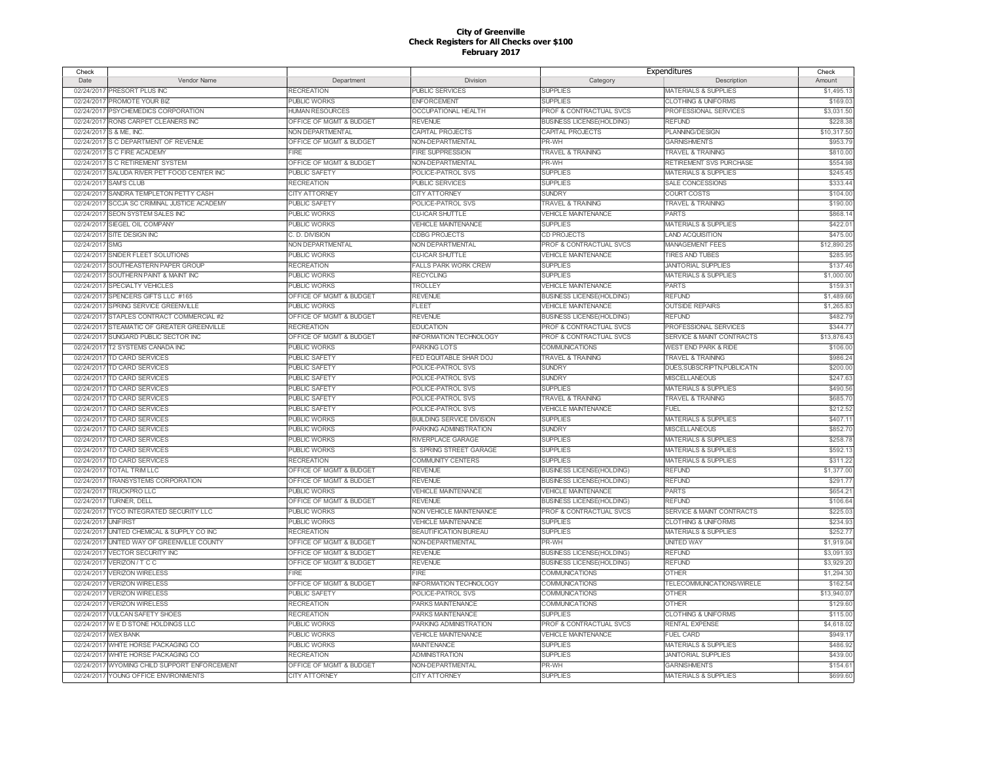| Check      |                                            |                         |                                  | Expenditures                     |                                 | Check       |
|------------|--------------------------------------------|-------------------------|----------------------------------|----------------------------------|---------------------------------|-------------|
| Date       | Vendor Name                                | Department              | Division                         | Category                         | Description                     | Amount      |
|            | 02/24/2017 PRESORT PLUS INC                | <b>RECREATION</b>       | PUBLIC SERVICES                  | <b>SUPPLIES</b>                  | MATERIALS & SUPPLIES            | \$1,495.13  |
| 02/24/2017 | PROMOTE YOUR BIZ                           | <b>PUBLIC WORKS</b>     | ENFORCEMENT                      | <b>SUPPLIES</b>                  | <b>CLOTHING &amp; UNIFORMS</b>  | \$169.03    |
| 02/24/2017 | PSYCHEMEDICS CORPORATION                   | <b>HUMAN RESOURCES</b>  | <b>OCCUPATIONAL HEALTH</b>       | PROF & CONTRACTUAL SVCS          | PROFESSIONAL SERVICES           | \$3,031.50  |
| 02/24/2017 | RONS CARPET CLEANERS INC                   | OFFICE OF MGMT & BUDGET | <b>REVENUE</b>                   | <b>BUSINESS LICENSE(HOLDING)</b> | <b>REFUND</b>                   | \$228.38    |
| 02/24/2017 | S & ME. INC.                               | NON DEPARTMENTAL        | CAPITAL PROJECTS                 | CAPITAL PROJECTS                 | PLANNING/DESIGN                 | \$10,317.50 |
| 02/24/2017 | S C DEPARTMENT OF REVENUE                  | OFFICE OF MGMT & BUDGET | NON-DEPARTMENTAL                 | PR-WH                            | <b>GARNISHMENTS</b>             | \$953.79    |
| 02/24/2017 | S C FIRE ACADEMY                           | <b>FIRE</b>             | <b>FIRE SUPPRESSION</b>          | <b>TRAVEL &amp; TRAINING</b>     | <b>TRAVEL &amp; TRAINING</b>    | \$810.00    |
| 02/24/2017 | <b>S C RETIREMENT SYSTEM</b>               | OFFICE OF MGMT & BUDGET | NON-DEPARTMENTAL                 | PR-WH                            | RETIREMENT SVS PURCHASE         | \$554.98    |
| 02/24/201  | SALUDA RIVER PET FOOD CENTER INC           | <b>PUBLIC SAFETY</b>    | POLICE-PATROL SVS                | <b>SUPPLIES</b>                  | <b>MATERIALS &amp; SUPPLIES</b> | \$245.45    |
| 02/24/201  | <b>SAM'S CLUB</b>                          | <b>RECREATION</b>       | PUBLIC SERVICES                  | <b>SUPPLIES</b>                  | SALE CONCESSIONS                | \$333.44    |
| 02/24/2017 | SANDRA TEMPLETON PETTY CASH                | <b>CITY ATTORNEY</b>    | <b>CITY ATTORNEY</b>             | <b>SUNDRY</b>                    | <b>COURT COSTS</b>              | \$104.00    |
|            | <b>SCCJA SC CRIMINAL JUSTICE ACADEMY</b>   |                         |                                  |                                  |                                 | \$190.0     |
| 02/24/201  |                                            | <b>PUBLIC SAFETY</b>    | POLICE-PATROL SVS                | <b>TRAVEL &amp; TRAINING</b>     | <b>TRAVEL &amp; TRAINING</b>    |             |
| 02/24/2017 | SEON SYSTEM SALES INC                      | <b>PUBLIC WORKS</b>     | <b>CU-ICAR SHUTTLE</b>           | <b>VEHICLE MAINTENANCE</b>       | PARTS                           | \$868.14    |
| 02/24/2017 | SIEGEL OIL COMPANY                         | <b>PUBLIC WORKS</b>     | <b>VEHICLE MAINTENANCE</b>       | <b>SUPPLIES</b>                  | <b>MATERIALS &amp; SUPPLIES</b> | \$422.0     |
| 02/24/2017 | SITE DESIGN INC                            | C. D. DIVISION          | <b>CDBG PROJECTS</b>             | CD PROJECTS                      | <b>LAND ACQUISITION</b>         | \$475.00    |
| 02/24/2017 | <b>SMG</b>                                 | NON DEPARTMENTAL        | NON DEPARTMENTAL                 | PROF & CONTRACTUAL SVCS          | <b>MANAGEMENT FEES</b>          | \$12,890.2  |
| 02/24/2017 | SNIDER FLEET SOLUTIONS                     | <b>PUBLIC WORKS</b>     | <b>CU-ICAR SHUTTLE</b>           | <b>VEHICLE MAINTENANCE</b>       | <b>TIRES AND TUBES</b>          | \$285.9     |
| 02/24/2017 | SOUTHEASTERN PAPER GROUP                   | <b>RECREATION</b>       | <b>FALLS PARK WORK CREW</b>      | <b>SUPPLIES</b>                  | <b>JANITORIAL SUPPLIES</b>      | \$137.46    |
| 02/24/2017 | SOUTHERN PAINT & MAINT INC                 | <b>PUBLIC WORKS</b>     | <b>RECYCLING</b>                 | <b>SUPPLIES</b>                  | <b>MATERIALS &amp; SUPPLIES</b> | \$1,000.00  |
| 02/24/2017 | <b>SPECIALTY VEHICLES</b>                  | <b>PUBLIC WORKS</b>     | TROLLEY                          | <b>VEHICLE MAINTENANCE</b>       | <b>PARTS</b>                    | \$159.3     |
| 02/24/2017 | SPENCERS GIFTS LLC #165                    | OFFICE OF MGMT & BUDGET | <b>REVENUE</b>                   | <b>BUSINESS LICENSE(HOLDING)</b> | <b>REFUND</b>                   | \$1,489.6   |
| 02/24/2017 | SPRING SERVICE GREENVILLE                  | PUBLIC WORKS            | FLEET                            | <b>VEHICLE MAINTENANCE</b>       | <b>OUTSIDE REPAIRS</b>          | \$1,265.83  |
| 02/24/2017 | STAPLES CONTRACT COMMERCIAL #2             | OFFICE OF MGMT & BUDGET | <b>REVENUE</b>                   | <b>BUSINESS LICENSE(HOLDING)</b> | <b>REFUND</b>                   | \$482.79    |
| 02/24/2017 | STEAMATIC OF GREATER GREENVILLE            | <b>RECREATION</b>       | <b>EDUCATION</b>                 | PROF & CONTRACTUAL SVCS          | PROFESSIONAL SERVICES           | \$344.7     |
|            | 02/24/2017 SUNGARD PUBLIC SECTOR INC       | OFFICE OF MGMT & BUDGET | <b>INFORMATION TECHNOLOGY</b>    | PROF & CONTRACTUAL SVCS          | SERVICE & MAINT CONTRACTS       | \$13,876.4  |
| 02/24/2017 | T2 SYSTEMS CANADA INC                      | PUBLIC WORKS            | PARKING LOTS                     | COMMUNICATIONS                   | WEST END PARK & RIDE            | \$106.0     |
| 02/24/2017 | TD CARD SERVICES                           | PUBLIC SAFETY           | FED EQUITABLE SHAR DOJ           | <b>TRAVEL &amp; TRAINING</b>     | <b>TRAVEL &amp; TRAINING</b>    | \$986.24    |
| 02/24/2017 | TD CARD SERVICES                           | PUBLIC SAFETY           | POLICE-PATROL SVS                | <b>SUNDRY</b>                    | DUES, SUBSCRIPTN, PUBLICATN     | \$200.0     |
| 02/24/2017 | <b>TD CARD SERVICES</b>                    | PUBLIC SAFETY           | POLICE-PATROL SVS                | <b>SUNDRY</b>                    | <b>MISCELLANEOUS</b>            | \$247.6     |
| 02/24/2017 | <b>TD CARD SERVICES</b>                    | PUBLIC SAFETY           | POLICE-PATROL SVS                | <b>SUPPLIES</b>                  | <b>MATERIALS &amp; SUPPLIES</b> | \$490.56    |
| 02/24/2017 | <b>TD CARD SERVICES</b>                    | PUBLIC SAFETY           | POLICE-PATROL SVS                | <b>TRAVEL &amp; TRAINING</b>     | <b>TRAVEL &amp; TRAINING</b>    | \$685.7     |
| 02/24/2017 | TD CARD SERVICES                           | <b>PUBLIC SAFETY</b>    | POLICE-PATROL SVS                | <b>VEHICLE MAINTENANCE</b>       | <b>FUEL</b>                     | \$212.5     |
|            | 02/24/2017 TD CARD SERVICES                | <b>PUBLIC WORKS</b>     | <b>BUILDING SERVICE DIVISION</b> | <b>SUPPLIES</b>                  | <b>MATERIALS &amp; SUPPLIES</b> | \$407.1     |
| 02/24/2017 | <b>TD CARD SERVICES</b>                    | <b>PUBLIC WORKS</b>     | PARKING ADMINISTRATION           | <b>SUNDRY</b>                    | MISCELLANEOUS                   | \$852.7     |
|            | 02/24/2017 TD CARD SERVICES                | <b>PUBLIC WORKS</b>     | RIVERPLACE GARAGE                | <b>SUPPLIES</b>                  | <b>MATERIALS &amp; SUPPLIES</b> | \$258.78    |
|            | 02/24/2017 TD CARD SERVICES                | <b>PUBLIC WORKS</b>     | S. SPRING STREET GARAGE          | <b>SUPPLIES</b>                  | <b>MATERIALS &amp; SUPPLIES</b> | \$592.13    |
|            | 02/24/2017 TD CARD SERVICES                | <b>RECREATION</b>       | COMMUNITY CENTERS                | <b>SUPPLIES</b>                  | <b>MATERIALS &amp; SUPPLIES</b> | \$311.22    |
|            | <b>TOTAL TRIM LLC</b>                      |                         |                                  |                                  | <b>REFUND</b>                   | \$1,377.00  |
| 02/24/2017 |                                            | OFFICE OF MGMT & BUDGET | <b>REVENUE</b>                   | <b>BUSINESS LICENSE(HOLDING)</b> |                                 |             |
|            | 02/24/2017 TRANSYSTEMS CORPORATION         | OFFICE OF MGMT & BUDGET | <b>REVENUE</b>                   | <b>BUSINESS LICENSE(HOLDING)</b> | <b>REFUND</b>                   | \$291.7     |
| 02/24/2017 | <b>TRUCKPRO LLC</b>                        | PUBLIC WORKS            | <b>VEHICLE MAINTENANCE</b>       | <b>VEHICLE MAINTENANCE</b>       | <b>PARTS</b>                    | \$654.2     |
|            | 02/24/2017 TURNER, DELL                    | OFFICE OF MGMT & BUDGET | <b>REVENUE</b>                   | <b>BUSINESS LICENSE(HOLDING)</b> | <b>REFUND</b>                   | \$106.64    |
| 02/24/2017 | TYCO INTEGRATED SECURITY LLC               | <b>PUBLIC WORKS</b>     | <b>NON VEHICLE MAINTENANCE</b>   | PROF & CONTRACTUAL SVCS          | SERVICE & MAINT CONTRACTS       | \$225.03    |
| 02/24/2017 | <b>UNIFIRST</b>                            | <b>PUBLIC WORKS</b>     | <b>VEHICLE MAINTENANCE</b>       | <b>SUPPLIES</b>                  | <b>CLOTHING &amp; UNIFORMS</b>  | \$234.93    |
|            | 02/24/2017 UNITED CHEMICAL & SUPPLY CO INC | <b>RECREATION</b>       | <b>BEAUTIFICATION BUREAU</b>     | <b>SUPPLIES</b>                  | <b>MATERIALS &amp; SUPPLIES</b> | \$252.7     |
|            | 02/24/2017 UNITED WAY OF GREENVILLE COUNTY | OFFICE OF MGMT & BUDGET | NON-DEPARTMENTAL                 | PR-WH                            | <b>UNITED WAY</b>               | \$1,919.04  |
| 02/24/2017 | <b>VECTOR SECURITY INC</b>                 | OFFICE OF MGMT & BUDGET | <b>REVENUE</b>                   | <b>BUSINESS LICENSE(HOLDING)</b> | <b>REFUND</b>                   | \$3,091.93  |
| 02/24/2017 | VERIZON / T C C                            | OFFICE OF MGMT & BUDGET | <b>REVENUE</b>                   | <b>BUSINESS LICENSE(HOLDING)</b> | <b>REFUND</b>                   | \$3,929.20  |
| 02/24/2017 | <b>VERIZON WIRELESS</b>                    | FIRE                    | FIRE                             | COMMUNICATIONS                   | <b>OTHER</b>                    | \$1,294.30  |
| 02/24/2017 | <b>VERIZON WIRELESS</b>                    | OFFICE OF MGMT & BUDGET | <b>INFORMATION TECHNOLOGY</b>    | COMMUNICATIONS                   | TELECOMMUNICATIONS/WIRELE       | \$162.5     |
| 02/24/2017 | <b>VERIZON WIRELESS</b>                    | <b>PUBLIC SAFETY</b>    | POLICE-PATROL SVS                | <b>COMMUNICATIONS</b>            | <b>OTHER</b>                    | \$13,940.0  |
| 02/24/201  | <b>VERIZON WIRELESS</b>                    | <b>RECREATION</b>       | PARKS MAINTENANCE                | COMMUNICATIONS                   | <b>OTHER</b>                    | \$129.60    |
| 02/24/2017 | <b>VULCAN SAFETY SHOES</b>                 | <b>RECREATION</b>       | PARKS MAINTENANCE                | <b>SUPPLIES</b>                  | <b>CLOTHING &amp; UNIFORMS</b>  | \$115.00    |
| 02/24/201  | WED STONE HOLDINGS LLC                     | <b>PUBLIC WORKS</b>     | PARKING ADMINISTRATION           | PROF & CONTRACTUAL SVCS          | <b>RENTAL EXPENSE</b>           | \$4,618.02  |
| 02/24/2017 | <b>WEX RANK</b>                            | <b>PUBLIC WORKS</b>     | <b>VEHICLE MAINTENANCE</b>       | <b>VEHICLE MAINTENANCE</b>       | <b>FUEL CARD</b>                | \$949.1     |
| 02/24/2017 | WHITE HORSE PACKAGING CO                   | <b>PUBLIC WORKS</b>     | <b>MAINTENANCE</b>               | <b>SUPPLIES</b>                  | <b>MATERIALS &amp; SUPPLIES</b> | \$486.92    |
| 02/24/201  | WHITE HORSE PACKAGING CO                   | <b>RECREATION</b>       | <b>ADMINISTRATION</b>            | <b>SUPPLIES</b>                  | <b>JANITORIAL SUPPLIES</b>      | \$439.00    |
| 02/24/2017 | WYOMING CHILD SUPPORT ENFORCEMENT          | OFFICE OF MGMT & BUDGET | NON-DEPARTMENTAL                 | PR-WH                            | <b>GARNISHMENTS</b>             | \$154.6     |
|            | 02/24/2017 YOUNG OFFICE ENVIRONMENTS       | <b>CITY ATTORNEY</b>    | <b>CITY ATTORNEY</b>             | <b>SUPPLIES</b>                  | <b>MATERIALS &amp; SUPPLIES</b> | \$699.60    |
|            |                                            |                         |                                  |                                  |                                 |             |